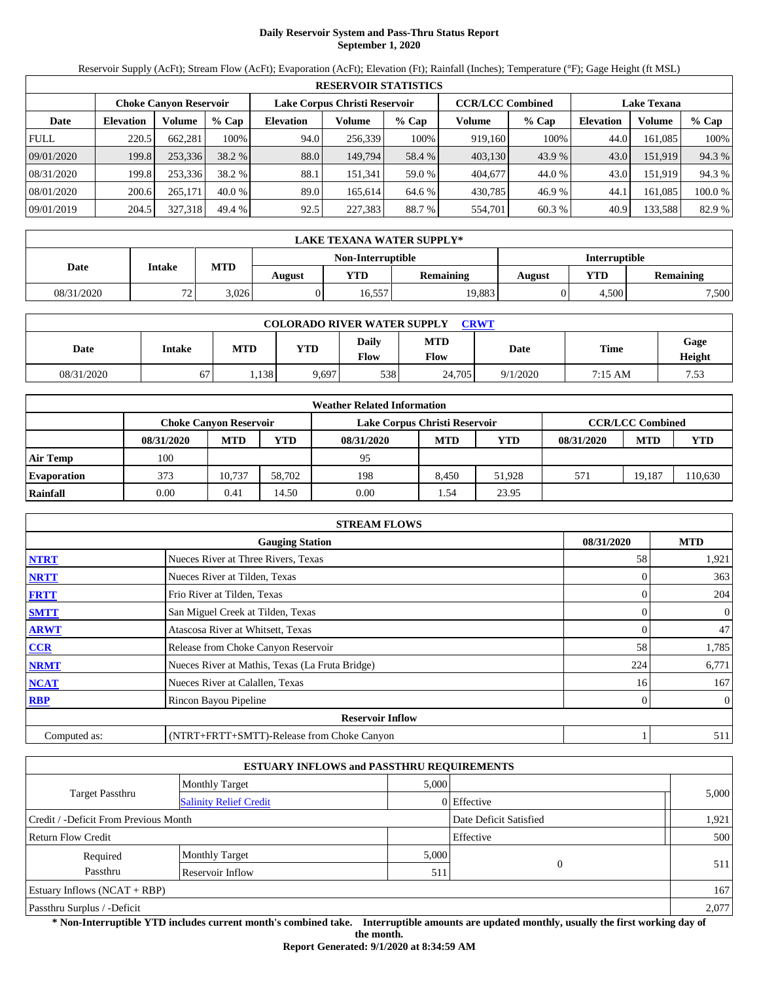# **Daily Reservoir System and Pass-Thru Status Report September 1, 2020**

Reservoir Supply (AcFt); Stream Flow (AcFt); Evaporation (AcFt); Elevation (Ft); Rainfall (Inches); Temperature (°F); Gage Height (ft MSL)

| <b>RESERVOIR STATISTICS</b> |                                                                                                                 |         |          |                  |         |         |         |        |                  |         |         |
|-----------------------------|-----------------------------------------------------------------------------------------------------------------|---------|----------|------------------|---------|---------|---------|--------|------------------|---------|---------|
|                             | Lake Corpus Christi Reservoir<br><b>CCR/LCC Combined</b><br><b>Lake Texana</b><br><b>Choke Canvon Reservoir</b> |         |          |                  |         |         |         |        |                  |         |         |
| Date                        | <b>Elevation</b>                                                                                                | Volume  | $%$ Cap  | <b>Elevation</b> | Volume  | $%$ Cap | Volume  | % Cap  | <b>Elevation</b> | Volume  | $%$ Cap |
| <b>FULL</b>                 | 220.5                                                                                                           | 662.281 | 100%     | 94.0             | 256.339 | 100%    | 919,160 | 100%   | 44.0             | 161.085 | 100%    |
| 09/01/2020                  | 199.8                                                                                                           | 253,336 | 38.2 %   | 88.0             | 149.794 | 58.4 %  | 403,130 | 43.9 % | 43.0             | 151.919 | 94.3 %  |
| 08/31/2020                  | 199.8                                                                                                           | 253,336 | 38.2 %   | 88.1             | 151.341 | 59.0 %  | 404,677 | 44.0 % | 43.0             | 151.919 | 94.3 %  |
| 08/01/2020                  | 200.6                                                                                                           | 265,171 | $40.0\%$ | 89.0             | 165.614 | 64.6 %  | 430,785 | 46.9 % | 44.1             | 161.085 | 100.0%  |
| 09/01/2019                  | 204.5                                                                                                           | 327,318 | 49.4 %   | 92.5             | 227,383 | 88.7 %  | 554,701 | 60.3 % | 40.9             | 133,588 | 82.9 %  |

| LAKE TEXANA WATER SUPPLY* |                  |            |        |                   |                  |                      |       |                  |  |  |
|---------------------------|------------------|------------|--------|-------------------|------------------|----------------------|-------|------------------|--|--|
|                           |                  |            |        | Non-Interruptible |                  | <b>Interruptible</b> |       |                  |  |  |
| Date                      | <b>Intake</b>    | <b>MTD</b> | August | <b>YTD</b>        | <b>Remaining</b> | August               | YTD   | <b>Remaining</b> |  |  |
| 08/31/2020                | 72<br>. <u>.</u> | 3,026      |        | 16,557            | 19,883           |                      | 4,500 | 7,500            |  |  |

| <b>COLORADO RIVER WATER SUPPLY</b><br>CRWT |        |            |       |                      |                    |          |             |                |  |  |  |
|--------------------------------------------|--------|------------|-------|----------------------|--------------------|----------|-------------|----------------|--|--|--|
| Date                                       | Intake | <b>MTD</b> | YTD   | <b>Daily</b><br>Flow | <b>MTD</b><br>Flow | Date     | <b>Time</b> | Gage<br>Height |  |  |  |
| 08/31/2020                                 | 67     | .138       | 9,697 | 538                  | 24.705             | 9/1/2020 | 7:15 AM     | 7.53           |  |  |  |

| <b>Weather Related Information</b> |            |                        |        |                               |                         |            |            |            |         |  |  |
|------------------------------------|------------|------------------------|--------|-------------------------------|-------------------------|------------|------------|------------|---------|--|--|
|                                    |            | Choke Canvon Reservoir |        | Lake Corpus Christi Reservoir | <b>CCR/LCC Combined</b> |            |            |            |         |  |  |
|                                    | 08/31/2020 | <b>MTD</b>             | YTD    | 08/31/2020                    | <b>MTD</b>              | <b>YTD</b> | 08/31/2020 | <b>MTD</b> | YTD     |  |  |
| Air Temp                           | 100        |                        |        | 95                            |                         |            |            |            |         |  |  |
| <b>Evaporation</b>                 | 373        | 10.737                 | 58.702 | 198                           | 8.450                   | 51.928     | 571        | 19.187     | 110,630 |  |  |
| Rainfall                           | 0.00       | 0.41                   | 14.50  | 0.00                          | 1.54                    | 23.95      |            |            |         |  |  |

| <b>STREAM FLOWS</b> |                                                 |            |                |  |  |  |  |  |  |
|---------------------|-------------------------------------------------|------------|----------------|--|--|--|--|--|--|
|                     | 08/31/2020                                      | <b>MTD</b> |                |  |  |  |  |  |  |
| <b>NTRT</b>         | Nueces River at Three Rivers, Texas             | 58         | 1,921          |  |  |  |  |  |  |
| <b>NRTT</b>         | Nueces River at Tilden, Texas                   |            | 363            |  |  |  |  |  |  |
| <b>FRTT</b>         | Frio River at Tilden, Texas                     |            | 204            |  |  |  |  |  |  |
| <b>SMTT</b>         | San Miguel Creek at Tilden, Texas               | 0          | 0              |  |  |  |  |  |  |
| <b>ARWT</b>         | Atascosa River at Whitsett, Texas               |            | 47             |  |  |  |  |  |  |
| <b>CCR</b>          | Release from Choke Canyon Reservoir             | 58         | 1,785          |  |  |  |  |  |  |
| <b>NRMT</b>         | Nueces River at Mathis, Texas (La Fruta Bridge) | 224        | 6,771          |  |  |  |  |  |  |
| <b>NCAT</b>         | Nueces River at Calallen, Texas                 | 16         | 167            |  |  |  |  |  |  |
| <b>RBP</b>          | Rincon Bayou Pipeline                           |            | $\overline{0}$ |  |  |  |  |  |  |
|                     | <b>Reservoir Inflow</b>                         |            |                |  |  |  |  |  |  |
| Computed as:        | (NTRT+FRTT+SMTT)-Release from Choke Canyon      |            | 511            |  |  |  |  |  |  |

| <b>ESTUARY INFLOWS and PASSTHRU REQUIREMENTS</b> |                               |       |                        |       |  |  |  |  |  |
|--------------------------------------------------|-------------------------------|-------|------------------------|-------|--|--|--|--|--|
|                                                  | <b>Monthly Target</b>         | 5,000 |                        |       |  |  |  |  |  |
| <b>Target Passthru</b>                           | <b>Salinity Relief Credit</b> |       | 0 Effective            | 5,000 |  |  |  |  |  |
| Credit / -Deficit From Previous Month            |                               |       | Date Deficit Satisfied | 1,921 |  |  |  |  |  |
| Effective<br><b>Return Flow Credit</b>           |                               |       |                        |       |  |  |  |  |  |
| Required                                         | <b>Monthly Target</b>         | 5,000 |                        |       |  |  |  |  |  |
| Passthru<br>Reservoir Inflow                     |                               | 511   | $\theta$               | 511   |  |  |  |  |  |
| Estuary Inflows $(NCAT + RBP)$                   |                               |       |                        |       |  |  |  |  |  |
| Passthru Surplus / -Deficit                      |                               |       |                        | 2,077 |  |  |  |  |  |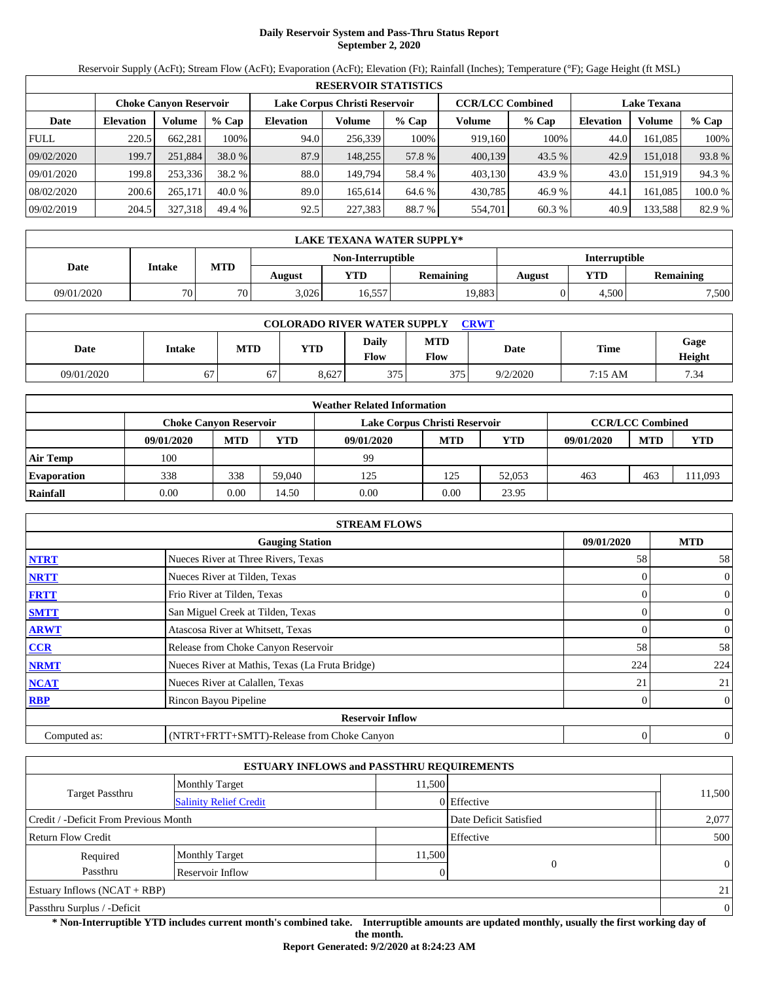# **Daily Reservoir System and Pass-Thru Status Report September 2, 2020**

Reservoir Supply (AcFt); Stream Flow (AcFt); Evaporation (AcFt); Elevation (Ft); Rainfall (Inches); Temperature (°F); Gage Height (ft MSL)

|             | <b>RESERVOIR STATISTICS</b>                                                                                     |         |          |                  |         |         |         |         |                  |         |        |  |
|-------------|-----------------------------------------------------------------------------------------------------------------|---------|----------|------------------|---------|---------|---------|---------|------------------|---------|--------|--|
|             | Lake Corpus Christi Reservoir<br><b>CCR/LCC Combined</b><br><b>Choke Canvon Reservoir</b><br><b>Lake Texana</b> |         |          |                  |         |         |         |         |                  |         |        |  |
| Date        | <b>Elevation</b>                                                                                                | Volume  | $%$ Cap  | <b>Elevation</b> | Volume  | $%$ Cap | Volume  | $%$ Cap | <b>Elevation</b> | Volume  | % Cap  |  |
| <b>FULL</b> | 220.5                                                                                                           | 662.281 | 100%     | 94.0             | 256,339 | 100%    | 919.160 | 100%    | 44.0             | 161.085 | 100%   |  |
| 09/02/2020  | 199.7                                                                                                           | 251,884 | 38.0 %   | 87.9             | 148.255 | 57.8 %  | 400,139 | 43.5 %  | 42.9             | 151.018 | 93.8%  |  |
| 09/01/2020  | 199.8                                                                                                           | 253,336 | 38.2 %   | 88.0             | 149.794 | 58.4 %  | 403.130 | 43.9 %  | 43.0             | 151.919 | 94.3 % |  |
| 08/02/2020  | 200.6                                                                                                           | 265,171 | $40.0\%$ | 89.0             | 165.614 | 64.6 %  | 430,785 | 46.9 %  | 44.1             | 161.085 | 100.0% |  |
| 09/02/2019  | 204.5                                                                                                           | 327,318 | 49.4 %   | 92.5             | 227,383 | 88.7 %  | 554,701 | 60.3 %  | 40.9             | 133,588 | 82.9 % |  |

|            | LAKE TEXANA WATER SUPPLY* |     |                                                     |                   |        |               |       |           |  |  |  |
|------------|---------------------------|-----|-----------------------------------------------------|-------------------|--------|---------------|-------|-----------|--|--|--|
|            |                           |     |                                                     | Non-Interruptible |        | Interruptible |       |           |  |  |  |
| Date       | Intake                    | MTD | YTD<br>YTD-<br><b>Remaining</b><br>August<br>August |                   |        |               |       | Remaining |  |  |  |
| 09/01/2020 | 70                        | 70  | 3.026                                               | 16,557            | 19,883 |               | 4.500 | 7,500     |  |  |  |

| <b>COLORADO RIVER WATER SUPPLY</b><br><b>CRWT</b> |               |            |       |               |                    |          |         |                |  |  |  |
|---------------------------------------------------|---------------|------------|-------|---------------|--------------------|----------|---------|----------------|--|--|--|
| Date                                              | <b>Intake</b> | <b>MTD</b> | YTD   | Daily<br>Flow | <b>MTD</b><br>Flow | Date     | Time    | Gage<br>Height |  |  |  |
| 09/01/2020                                        | 67            | 67         | 8,627 | 375           | 375                | 9/2/2020 | 7:15 AM | 7.34           |  |  |  |

| <b>Weather Related Information</b> |            |                               |        |                               |                         |            |            |            |         |  |  |
|------------------------------------|------------|-------------------------------|--------|-------------------------------|-------------------------|------------|------------|------------|---------|--|--|
|                                    |            | <b>Choke Canvon Reservoir</b> |        | Lake Corpus Christi Reservoir | <b>CCR/LCC Combined</b> |            |            |            |         |  |  |
|                                    | 09/01/2020 | <b>MTD</b>                    | YTD    | 09/01/2020                    | <b>MTD</b>              | <b>YTD</b> | 09/01/2020 | <b>MTD</b> | YTD     |  |  |
| <b>Air Temp</b>                    | 100        |                               |        | 99                            |                         |            |            |            |         |  |  |
| <b>Evaporation</b>                 | 338        | 338                           | 59,040 | 125                           | 125                     | 52,053     | 463        | 463        | 111,093 |  |  |
| Rainfall                           | 0.00       | 0.00                          | 14.50  | 0.00                          | 0.00                    | 23.95      |            |            |         |  |  |

|              | <b>STREAM FLOWS</b>                             |                |                  |  |  |  |  |  |  |
|--------------|-------------------------------------------------|----------------|------------------|--|--|--|--|--|--|
|              | 09/01/2020                                      | <b>MTD</b>     |                  |  |  |  |  |  |  |
| <b>NTRT</b>  | Nueces River at Three Rivers, Texas             | 58             | 58               |  |  |  |  |  |  |
| <b>NRTT</b>  | Nueces River at Tilden, Texas                   | $\Omega$       | $\theta$         |  |  |  |  |  |  |
| <b>FRTT</b>  | Frio River at Tilden, Texas                     | 0              | $\boldsymbol{0}$ |  |  |  |  |  |  |
| <b>SMTT</b>  | San Miguel Creek at Tilden, Texas               | $\Omega$       | $\overline{0}$   |  |  |  |  |  |  |
| <b>ARWT</b>  | Atascosa River at Whitsett, Texas               | $\Omega$       | $\overline{0}$   |  |  |  |  |  |  |
| <b>CCR</b>   | Release from Choke Canyon Reservoir             | 58             | 58               |  |  |  |  |  |  |
| <b>NRMT</b>  | Nueces River at Mathis, Texas (La Fruta Bridge) | 224            | 224              |  |  |  |  |  |  |
| <b>NCAT</b>  | Nueces River at Calallen, Texas                 | 21             | 21               |  |  |  |  |  |  |
| <b>RBP</b>   | Rincon Bayou Pipeline                           | 0              | $\overline{0}$   |  |  |  |  |  |  |
|              | <b>Reservoir Inflow</b>                         |                |                  |  |  |  |  |  |  |
| Computed as: | (NTRT+FRTT+SMTT)-Release from Choke Canyon      | $\overline{0}$ | $\theta$         |  |  |  |  |  |  |

| <b>ESTUARY INFLOWS and PASSTHRU REQUIREMENTS</b>                |                               |          |             |                |  |  |  |  |  |
|-----------------------------------------------------------------|-------------------------------|----------|-------------|----------------|--|--|--|--|--|
|                                                                 | <b>Monthly Target</b>         | 11,500   |             |                |  |  |  |  |  |
| Target Passthru                                                 | <b>Salinity Relief Credit</b> |          | 0 Effective | 11,500         |  |  |  |  |  |
| Credit / -Deficit From Previous Month<br>Date Deficit Satisfied |                               |          |             |                |  |  |  |  |  |
| Effective<br>Return Flow Credit                                 |                               |          |             |                |  |  |  |  |  |
| Required                                                        | <b>Monthly Target</b>         | 11,500   |             |                |  |  |  |  |  |
| Passthru                                                        | Reservoir Inflow              | $\Omega$ |             | $\overline{0}$ |  |  |  |  |  |
| Estuary Inflows $(NCAT + RBP)$                                  |                               |          |             |                |  |  |  |  |  |
| Passthru Surplus / -Deficit                                     |                               |          |             |                |  |  |  |  |  |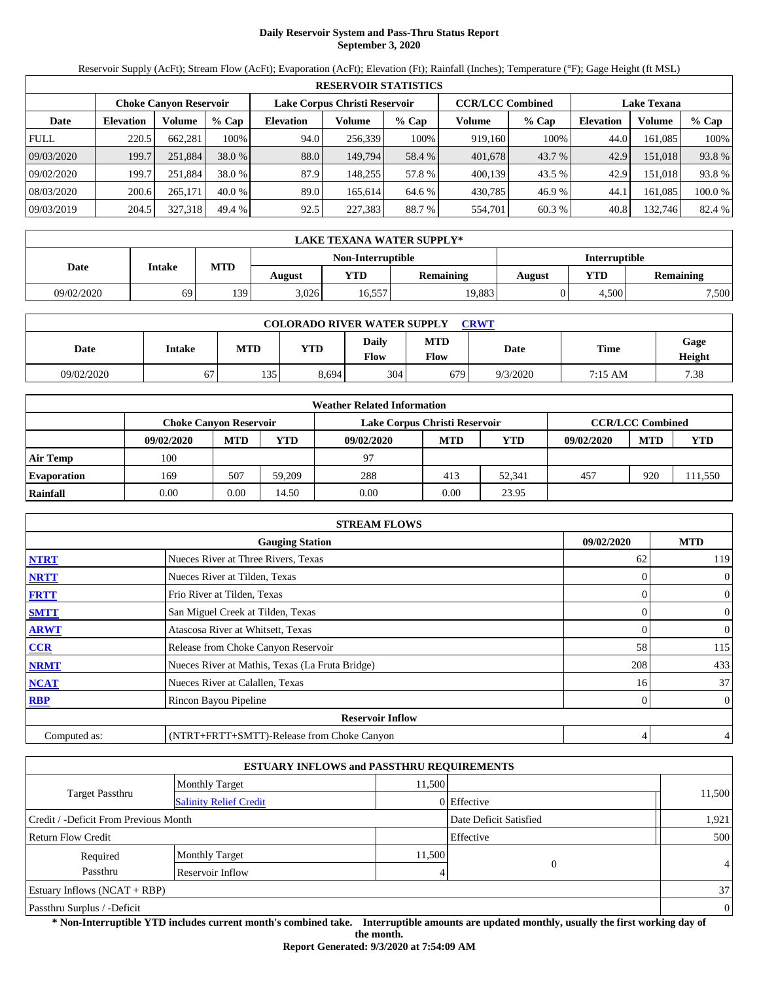# **Daily Reservoir System and Pass-Thru Status Report September 3, 2020**

Reservoir Supply (AcFt); Stream Flow (AcFt); Evaporation (AcFt); Elevation (Ft); Rainfall (Inches); Temperature (°F); Gage Height (ft MSL)

|             | <b>RESERVOIR STATISTICS</b> |                               |          |                               |                         |         |                    |        |                  |         |         |
|-------------|-----------------------------|-------------------------------|----------|-------------------------------|-------------------------|---------|--------------------|--------|------------------|---------|---------|
|             |                             | <b>Choke Canvon Reservoir</b> |          | Lake Corpus Christi Reservoir | <b>CCR/LCC Combined</b> |         | <b>Lake Texana</b> |        |                  |         |         |
| Date        | <b>Elevation</b>            | Volume                        | $%$ Cap  | <b>Elevation</b>              | Volume                  | $%$ Cap | Volume             | % Cap  | <b>Elevation</b> | Volume  | $%$ Cap |
| <b>FULL</b> | 220.5                       | 662.281                       | 100%     | 94.0                          | 256,339                 | 100%    | 919,160            | 100%   | 44.0             | 161.085 | 100%    |
| 09/03/2020  | 199.7                       | 251,884                       | 38.0 %   | 88.0                          | 149.794                 | 58.4 %  | 401,678            | 43.7 % | 42.9             | 151.018 | 93.8%   |
| 09/02/2020  | 199.7                       | 251.884                       | 38.0 %   | 87.9                          | 148.255                 | 57.8 %  | 400.139            | 43.5 % | 42.9             | 151.018 | 93.8%   |
| 08/03/2020  | 200.6                       | 265,171                       | $40.0\%$ | 89.0                          | 165.614                 | 64.6 %  | 430,785            | 46.9 % | 44.1             | 161.085 | 100.0 % |
| 09/03/2019  | 204.5                       | 327,318                       | 49.4 %   | 92.5                          | 227,383                 | 88.7 %  | 554,701            | 60.3 % | 40.8             | 132,746 | 82.4 %  |

|            | LAKE TEXANA WATER SUPPLY* |     |                   |        |           |        |               |                  |  |  |  |
|------------|---------------------------|-----|-------------------|--------|-----------|--------|---------------|------------------|--|--|--|
|            |                           |     | Non-Interruptible |        |           |        | Interruptible |                  |  |  |  |
| Date       | <b>Intake</b>             | MTD | August            | VTD -  | Remaining | August | YTD           | <b>Remaining</b> |  |  |  |
| 09/02/2020 | 69                        | 139 | 3,026             | 16.557 | 19,883    |        | 4.500         | 7,500            |  |  |  |

| <b>COLORADO RIVER WATER SUPPLY</b><br><b>CRWT</b> |                                |     |       |                      |                    |          |         |                |  |  |
|---------------------------------------------------|--------------------------------|-----|-------|----------------------|--------------------|----------|---------|----------------|--|--|
| Date                                              | Intake                         | MTD | YTD   | <b>Daily</b><br>Flow | <b>MTD</b><br>Flow | Date     | Time    | Gage<br>Height |  |  |
| 09/02/2020                                        | $\overline{\phantom{a}}$<br>67 | 135 | 8,694 | 304                  | 679                | 9/3/2020 | 7:15 AM | 7.38           |  |  |

|                    | <b>Weather Related Information</b>                                                        |            |        |            |            |        |            |            |         |  |  |
|--------------------|-------------------------------------------------------------------------------------------|------------|--------|------------|------------|--------|------------|------------|---------|--|--|
|                    | <b>CCR/LCC Combined</b><br>Lake Corpus Christi Reservoir<br><b>Choke Canvon Reservoir</b> |            |        |            |            |        |            |            |         |  |  |
|                    | 09/02/2020                                                                                | <b>MTD</b> | YTD    | 09/02/2020 | <b>MTD</b> | YTD    | 09/02/2020 | <b>MTD</b> | YTD     |  |  |
| <b>Air Temp</b>    | 100                                                                                       |            |        | 97         |            |        |            |            |         |  |  |
| <b>Evaporation</b> | 169                                                                                       | 507        | 59.209 | 288        | 413        | 52.341 | 457        | 920        | 111,550 |  |  |
| Rainfall           | 0.00                                                                                      | 0.00       | 14.50  | 0.00       | 0.00       | 23.95  |            |            |         |  |  |

|              | <b>STREAM FLOWS</b>                             |            |                  |
|--------------|-------------------------------------------------|------------|------------------|
|              | <b>Gauging Station</b>                          | 09/02/2020 | <b>MTD</b>       |
| <b>NTRT</b>  | Nueces River at Three Rivers, Texas             | 62         | 119              |
| <b>NRTT</b>  | Nueces River at Tilden, Texas                   |            | $\boldsymbol{0}$ |
| <b>FRTT</b>  | Frio River at Tilden, Texas                     | 0          | $\overline{0}$   |
| <b>SMTT</b>  | San Miguel Creek at Tilden, Texas               | 0          | $\boldsymbol{0}$ |
| <b>ARWT</b>  | Atascosa River at Whitsett, Texas               |            | $\boldsymbol{0}$ |
| <b>CCR</b>   | Release from Choke Canyon Reservoir             | 58         | 115              |
| <b>NRMT</b>  | Nueces River at Mathis, Texas (La Fruta Bridge) | 208        | 433              |
| <b>NCAT</b>  | Nueces River at Calallen, Texas                 | 16         | 37               |
| <b>RBP</b>   | Rincon Bayou Pipeline                           |            | $\overline{0}$   |
|              | <b>Reservoir Inflow</b>                         |            |                  |
| Computed as: | (NTRT+FRTT+SMTT)-Release from Choke Canyon      | 4          | 4                |

|                                                                 |                               | <b>ESTUARY INFLOWS and PASSTHRU REQUIREMENTS</b> |             |                |  |  |  |
|-----------------------------------------------------------------|-------------------------------|--------------------------------------------------|-------------|----------------|--|--|--|
|                                                                 | <b>Monthly Target</b>         | 11,500                                           |             |                |  |  |  |
| Target Passthru                                                 | <b>Salinity Relief Credit</b> |                                                  | 0 Effective | 11,500         |  |  |  |
| Credit / -Deficit From Previous Month<br>Date Deficit Satisfied |                               |                                                  |             |                |  |  |  |
| <b>Return Flow Credit</b>                                       |                               |                                                  | Effective   | 500            |  |  |  |
| Required                                                        | <b>Monthly Target</b>         | 11,500                                           |             |                |  |  |  |
| Passthru                                                        | Reservoir Inflow              |                                                  | $\theta$    | $\overline{4}$ |  |  |  |
| Estuary Inflows $(NCAT + RBP)$                                  |                               |                                                  |             | 37             |  |  |  |
| Passthru Surplus / -Deficit                                     |                               |                                                  |             | $\mathbf{0}$   |  |  |  |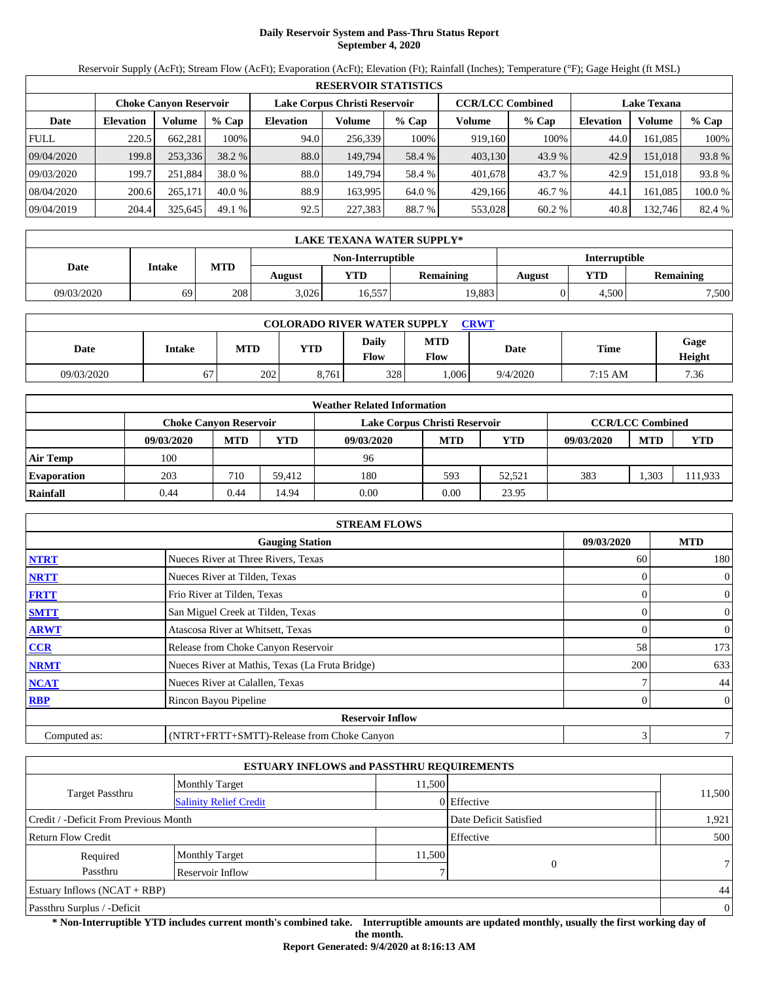# **Daily Reservoir System and Pass-Thru Status Report September 4, 2020**

Reservoir Supply (AcFt); Stream Flow (AcFt); Evaporation (AcFt); Elevation (Ft); Rainfall (Inches); Temperature (°F); Gage Height (ft MSL)

|             | <b>RESERVOIR STATISTICS</b> |                               |          |                  |                               |         |         |                         |                    |         |        |
|-------------|-----------------------------|-------------------------------|----------|------------------|-------------------------------|---------|---------|-------------------------|--------------------|---------|--------|
|             |                             | <b>Choke Canvon Reservoir</b> |          |                  | Lake Corpus Christi Reservoir |         |         | <b>CCR/LCC Combined</b> | <b>Lake Texana</b> |         |        |
| Date        | <b>Elevation</b>            | Volume                        | $%$ Cap  | <b>Elevation</b> | Volume                        | $%$ Cap | Volume  | $%$ Cap                 | <b>Elevation</b>   | Volume  | % Cap  |
| <b>FULL</b> | 220.5                       | 662.281                       | 100%     | 94.0             | 256,339                       | 100%    | 919.160 | 100%                    | 44.0               | 161.085 | 100%   |
| 09/04/2020  | 199.8                       | 253,336                       | 38.2 %   | 88.0             | 149.794                       | 58.4 %  | 403,130 | 43.9 %                  | 42.9               | 151.018 | 93.8%  |
| 09/03/2020  | 199.7                       | 251.884                       | 38.0 %   | 88.0             | 149.794                       | 58.4 %  | 401.678 | 43.7 %                  | 42.9               | 151.018 | 93.8%  |
| 08/04/2020  | 200.6                       | 265,171                       | $40.0\%$ | 88.9             | 163.995                       | 64.0 %  | 429.166 | 46.7 %                  | 44.1               | 161.085 | 100.0% |
| 09/04/2019  | 204.4                       | 325,645                       | 49.1%    | 92.5             | 227,383                       | 88.7 %  | 553,028 | 60.2%                   | 40.8               | 132,746 | 82.4 % |

|            | LAKE TEXANA WATER SUPPLY* |     |        |                   |                  |               |       |           |  |  |
|------------|---------------------------|-----|--------|-------------------|------------------|---------------|-------|-----------|--|--|
|            |                           |     |        | Non-Interruptible |                  | Interruptible |       |           |  |  |
| Date       | Intake                    | MTD | August | <b>YTD</b>        | <b>Remaining</b> | August        | YTD   | Remaining |  |  |
| 09/03/2020 | 69                        | 208 | 3.026  | 16,557            | 19,883           |               | 4.500 | 7,500     |  |  |

| <b>COLORADO RIVER WATER SUPPLY</b><br><b>CRWT</b> |               |     |       |                      |                    |          |         |                |  |  |
|---------------------------------------------------|---------------|-----|-------|----------------------|--------------------|----------|---------|----------------|--|--|
| Date                                              | <b>Intake</b> | MTD | YTD   | <b>Daily</b><br>Flow | MTD<br><b>Flow</b> | Date     | Time    | Gage<br>Height |  |  |
| 09/03/2020                                        | ╭             | 202 | 8,761 | 328                  | .006               | 9/4/2020 | 7:15 AM | 7.36           |  |  |

|                    | <b>Weather Related Information</b>                                                        |            |        |            |            |        |            |            |         |  |  |
|--------------------|-------------------------------------------------------------------------------------------|------------|--------|------------|------------|--------|------------|------------|---------|--|--|
|                    | <b>CCR/LCC Combined</b><br>Lake Corpus Christi Reservoir<br><b>Choke Canvon Reservoir</b> |            |        |            |            |        |            |            |         |  |  |
|                    | 09/03/2020                                                                                | <b>MTD</b> | YTD    | 09/03/2020 | <b>MTD</b> | YTD    | 09/03/2020 | <b>MTD</b> | YTD     |  |  |
| <b>Air Temp</b>    | 100                                                                                       |            |        | 96         |            |        |            |            |         |  |  |
| <b>Evaporation</b> | 203                                                                                       | 710        | 59.412 | 180        | 593        | 52.521 | 383        | .303       | 111,933 |  |  |
| Rainfall           | 0.44                                                                                      | 0.44       | 14.94  | 0.00       | 0.00       | 23.95  |            |            |         |  |  |

|              | <b>STREAM FLOWS</b>                             |            |                |                |
|--------------|-------------------------------------------------|------------|----------------|----------------|
|              | <b>Gauging Station</b>                          | 09/03/2020 |                | <b>MTD</b>     |
| <b>NTRT</b>  | Nueces River at Three Rivers, Texas             |            | 60             | 180            |
| <b>NRTT</b>  | Nueces River at Tilden, Texas                   |            |                | $\mathbf{0}$   |
| <b>FRTT</b>  | Frio River at Tilden, Texas                     |            | $\Omega$       | $\mathbf{0}$   |
| <b>SMTT</b>  | San Miguel Creek at Tilden, Texas               |            | $\overline{0}$ | $\mathbf{0}$   |
| <b>ARWT</b>  | Atascosa River at Whitsett, Texas               |            | 0              | $\mathbf{0}$   |
| <b>CCR</b>   | Release from Choke Canyon Reservoir             |            | 58             | 173            |
| <b>NRMT</b>  | Nueces River at Mathis, Texas (La Fruta Bridge) |            | 200            | 633            |
| <b>NCAT</b>  | Nueces River at Calallen, Texas                 |            |                | 44             |
| <b>RBP</b>   | Rincon Bayou Pipeline                           |            |                | $\overline{0}$ |
|              | <b>Reservoir Inflow</b>                         |            |                |                |
| Computed as: | (NTRT+FRTT+SMTT)-Release from Choke Canyon      |            | 3              | 7 <sub>1</sub> |

|                                       |                               | <b>ESTUARY INFLOWS and PASSTHRU REQUIREMENTS</b> |                        |                |  |  |
|---------------------------------------|-------------------------------|--------------------------------------------------|------------------------|----------------|--|--|
|                                       | <b>Monthly Target</b>         | 11.500                                           |                        |                |  |  |
| Target Passthru                       | <b>Salinity Relief Credit</b> |                                                  | 0 Effective            | 11,500         |  |  |
| Credit / -Deficit From Previous Month |                               |                                                  | Date Deficit Satisfied | 1,921          |  |  |
| Return Flow Credit                    |                               |                                                  | Effective              | 500            |  |  |
| Required                              | <b>Monthly Target</b>         | 11,500                                           |                        |                |  |  |
| Passthru                              | Reservoir Inflow              |                                                  |                        | 7 <sup>1</sup> |  |  |
| Estuary Inflows $(NCAT + RBP)$        |                               |                                                  |                        |                |  |  |
| Passthru Surplus / -Deficit           |                               |                                                  |                        | $\overline{0}$ |  |  |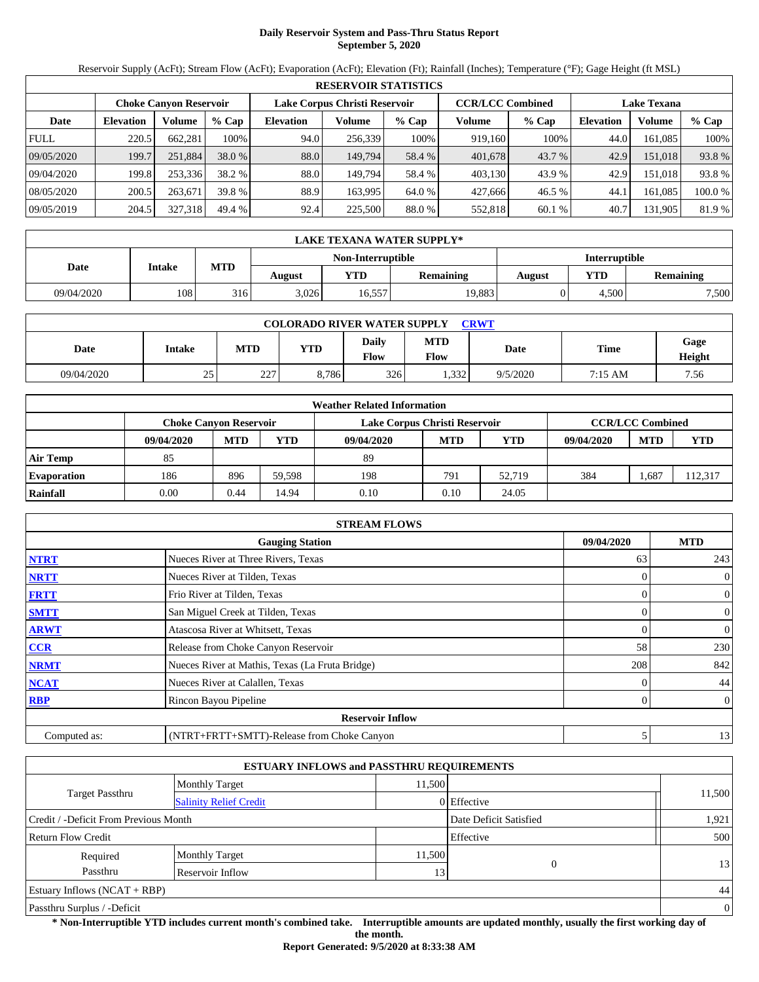# **Daily Reservoir System and Pass-Thru Status Report September 5, 2020**

Reservoir Supply (AcFt); Stream Flow (AcFt); Evaporation (AcFt); Elevation (Ft); Rainfall (Inches); Temperature (°F); Gage Height (ft MSL)

| <b>RESERVOIR STATISTICS</b> |                  |                               |         |                               |         |         |                         |         |                    |               |         |
|-----------------------------|------------------|-------------------------------|---------|-------------------------------|---------|---------|-------------------------|---------|--------------------|---------------|---------|
|                             |                  | <b>Choke Canvon Reservoir</b> |         | Lake Corpus Christi Reservoir |         |         | <b>CCR/LCC Combined</b> |         | <b>Lake Texana</b> |               |         |
| Date                        | <b>Elevation</b> | Volume                        | $%$ Cap | <b>Elevation</b>              | Volume  | $%$ Cap | Volume                  | $%$ Cap | <b>Elevation</b>   | <b>Volume</b> | % Cap   |
| <b>FULL</b>                 | 220.5            | 662.281                       | 100%    | 94.0                          | 256.339 | 100%    | 919,160                 | 100%    | 44.0               | 161.085       | 100%    |
| 09/05/2020                  | 199.7            | 251,884                       | 38.0 %  | 88.0                          | 149,794 | 58.4 %  | 401,678                 | 43.7 %  | 42.9               | 151.018       | 93.8%   |
| 09/04/2020                  | 199.8            | 253,336                       | 38.2 %  | 88.0                          | 149.794 | 58.4 %  | 403.130                 | 43.9 %  | 42.9               | 151.018       | 93.8%   |
| 08/05/2020                  | 200.5            | 263,671                       | 39.8 %  | 88.9                          | 163.995 | 64.0 %  | 427.666                 | 46.5 %  | 44.                | 161.085       | 100.0 % |
| 09/05/2019                  | 204.5            | 327,318                       | 49.4 %  | 92.4                          | 225,500 | 88.0 %  | 552,818                 | 60.1 %  | 40.7               | 131,905       | 81.9 %  |

| LAKE TEXANA WATER SUPPLY* |        |     |        |                   |                  |               |            |           |  |  |
|---------------------------|--------|-----|--------|-------------------|------------------|---------------|------------|-----------|--|--|
|                           |        |     |        | Non-Interruptible |                  | Interruptible |            |           |  |  |
| Date                      | Intake | MTD | August | <b>YTD</b>        | <b>Remaining</b> | August        | <b>YTD</b> | Remaining |  |  |
| 09/04/2020                | 108    | 316 | 3.026  | 16,557            | 19,883           |               | 4.500      | 7,500     |  |  |

| <b>COLORADO RIVER WATER SUPPLY</b><br><b>CRWT</b> |        |            |       |               |             |             |             |                |  |  |  |
|---------------------------------------------------|--------|------------|-------|---------------|-------------|-------------|-------------|----------------|--|--|--|
| Date                                              | Intake | <b>MTD</b> | YTD   | Daily<br>Flow | MTD<br>Flow | <b>Date</b> | <b>Time</b> | Gage<br>Height |  |  |  |
| 09/04/2020                                        | 25     | 227<br>∠∠  | 8.786 | 326           | .332        | 9/5/2020    | 7:15 AM     | 7.56           |  |  |  |

| <b>Weather Related Information</b> |            |                                                                                           |        |            |            |            |            |            |            |  |  |
|------------------------------------|------------|-------------------------------------------------------------------------------------------|--------|------------|------------|------------|------------|------------|------------|--|--|
|                                    |            | <b>CCR/LCC Combined</b><br>Lake Corpus Christi Reservoir<br><b>Choke Canvon Reservoir</b> |        |            |            |            |            |            |            |  |  |
|                                    | 09/04/2020 | <b>MTD</b>                                                                                | YTD    | 09/04/2020 | <b>MTD</b> | <b>YTD</b> | 09/04/2020 | <b>MTD</b> | <b>YTD</b> |  |  |
| <b>Air Temp</b>                    | 85         |                                                                                           |        | 89         |            |            |            |            |            |  |  |
| <b>Evaporation</b>                 | 186        | 896                                                                                       | 59.598 | 198        | 791        | 52.719     | 384        | . 687      | 112,317    |  |  |
| Rainfall                           | 0.00       | 0.44                                                                                      | 14.94  | 0.10       | 0.10       | 24.05      |            |            |            |  |  |

| <b>STREAM FLOWS</b>                                |                                                 |          |                |  |  |  |  |  |  |
|----------------------------------------------------|-------------------------------------------------|----------|----------------|--|--|--|--|--|--|
| <b>MTD</b><br>09/04/2020<br><b>Gauging Station</b> |                                                 |          |                |  |  |  |  |  |  |
| <b>NTRT</b>                                        | Nueces River at Three Rivers, Texas             | 63       | 243            |  |  |  |  |  |  |
| <b>NRTT</b>                                        | Nueces River at Tilden, Texas                   | $\Omega$ | $\overline{0}$ |  |  |  |  |  |  |
| <b>FRTT</b>                                        | Frio River at Tilden, Texas                     |          | $\mathbf{0}$   |  |  |  |  |  |  |
| <b>SMTT</b>                                        | San Miguel Creek at Tilden, Texas               | $\Omega$ | $\mathbf{0}$   |  |  |  |  |  |  |
| <b>ARWT</b>                                        | Atascosa River at Whitsett, Texas               | $\Omega$ | $\mathbf{0}$   |  |  |  |  |  |  |
| <b>CCR</b>                                         | Release from Choke Canyon Reservoir             | 58       | 230            |  |  |  |  |  |  |
| <b>NRMT</b>                                        | Nueces River at Mathis, Texas (La Fruta Bridge) | 208      | 842            |  |  |  |  |  |  |
| <b>NCAT</b>                                        | Nueces River at Calallen, Texas                 |          | 44             |  |  |  |  |  |  |
| <b>RBP</b>                                         | Rincon Bayou Pipeline                           |          | $\overline{0}$ |  |  |  |  |  |  |
|                                                    | <b>Reservoir Inflow</b>                         |          |                |  |  |  |  |  |  |
| Computed as:                                       | (NTRT+FRTT+SMTT)-Release from Choke Canyon      | 5        | 13             |  |  |  |  |  |  |

| <b>ESTUARY INFLOWS and PASSTHRU REQUIREMENTS</b>                |                               |        |             |        |  |  |  |  |
|-----------------------------------------------------------------|-------------------------------|--------|-------------|--------|--|--|--|--|
|                                                                 | <b>Monthly Target</b>         | 11,500 |             |        |  |  |  |  |
| <b>Target Passthru</b>                                          | <b>Salinity Relief Credit</b> |        | 0 Effective | 11,500 |  |  |  |  |
| Credit / -Deficit From Previous Month<br>Date Deficit Satisfied |                               |        |             |        |  |  |  |  |
| Effective<br>Return Flow Credit                                 |                               |        |             |        |  |  |  |  |
| Required                                                        | <b>Monthly Target</b>         | 11,500 |             |        |  |  |  |  |
| Passthru                                                        | 13                            | 13     |             |        |  |  |  |  |
| Estuary Inflows $(NCAT + RBP)$                                  |                               |        |             |        |  |  |  |  |
| Passthru Surplus / -Deficit                                     |                               |        |             |        |  |  |  |  |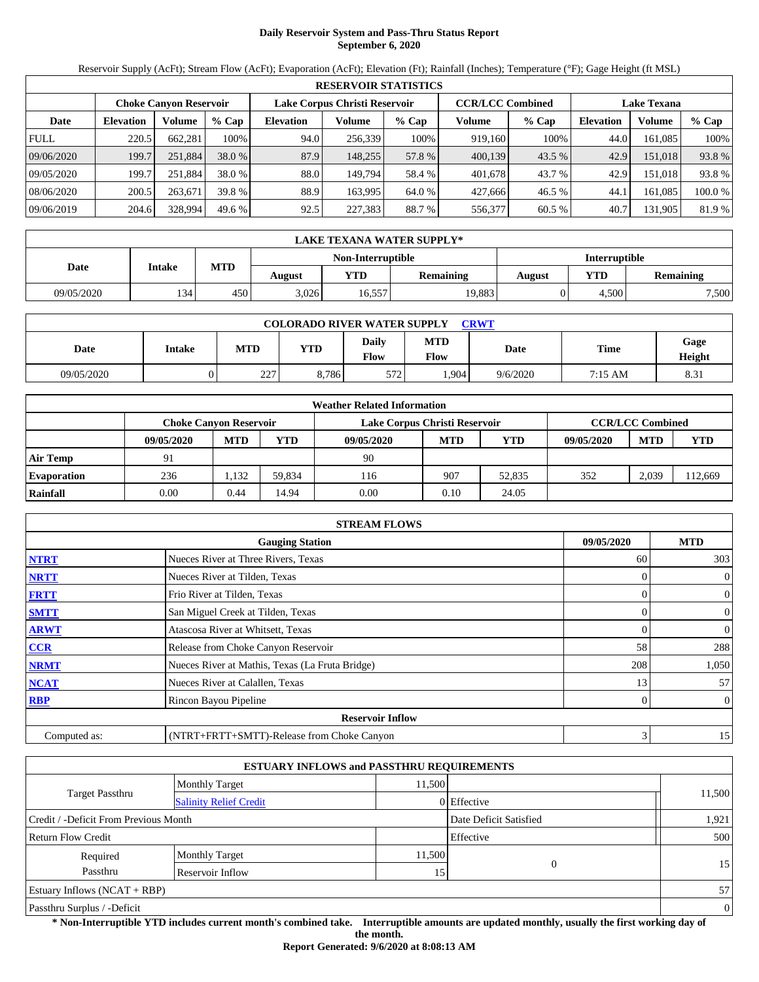# **Daily Reservoir System and Pass-Thru Status Report September 6, 2020**

Reservoir Supply (AcFt); Stream Flow (AcFt); Evaporation (AcFt); Elevation (Ft); Rainfall (Inches); Temperature (°F); Gage Height (ft MSL)

| <b>RESERVOIR STATISTICS</b> |                  |                               |         |                               |         |         |                         |          |                    |         |         |
|-----------------------------|------------------|-------------------------------|---------|-------------------------------|---------|---------|-------------------------|----------|--------------------|---------|---------|
|                             |                  | <b>Choke Canvon Reservoir</b> |         | Lake Corpus Christi Reservoir |         |         | <b>CCR/LCC Combined</b> |          | <b>Lake Texana</b> |         |         |
| Date                        | <b>Elevation</b> | Volume                        | $%$ Cap | <b>Elevation</b>              | Volume  | $%$ Cap | Volume                  | % Cap    | <b>Elevation</b>   | Volume  | $%$ Cap |
| <b>FULL</b>                 | 220.5            | 662.281                       | 100%    | 94.0                          | 256,339 | 100%    | 919,160                 | 100%     | 44.0               | 161.085 | 100%    |
| 09/06/2020                  | 199.7            | 251,884                       | 38.0 %  | 87.9                          | 148.255 | 57.8 %  | 400,139                 | $43.5\%$ | 42.9               | 151.018 | 93.8%   |
| 09/05/2020                  | 199.7            | 251.884                       | 38.0 %  | 88.0                          | 149.794 | 58.4 %  | 401.678                 | 43.7 %   | 42.9               | 151.018 | 93.8%   |
| 08/06/2020                  | 200.5            | 263,671                       | 39.8 %  | 88.9                          | 163.995 | 64.0 %  | 427,666                 | 46.5 %   | 44.1               | 161.085 | 100.0 % |
| 09/06/2019                  | 204.6            | 328,994                       | 49.6 %  | 92.5                          | 227,383 | 88.7 %  | 556,377                 | 60.5 %   | 40.7               | 131.905 | 81.9 %  |

| LAKE TEXANA WATER SUPPLY* |               |     |        |                   |           |               |       |                  |  |  |
|---------------------------|---------------|-----|--------|-------------------|-----------|---------------|-------|------------------|--|--|
|                           |               |     |        | Non-Interruptible |           | Interruptible |       |                  |  |  |
| Date                      | <b>Intake</b> | MTD | August | VTD -             | Remaining | August        | YTD   | <b>Remaining</b> |  |  |
| 09/05/2020                | 134'          | 450 | 3,026  | 16.557            | 19,883    |               | 4.500 | 7,500            |  |  |

| <b>COLORADO RIVER WATER SUPPLY</b><br>CRWT |               |            |            |                      |                    |          |         |                |  |  |
|--------------------------------------------|---------------|------------|------------|----------------------|--------------------|----------|---------|----------------|--|--|
| Date                                       | <b>Intake</b> | <b>MTD</b> | <b>YTD</b> | <b>Daily</b><br>Flow | <b>MTD</b><br>Flow | Date     | Time    | Gage<br>Height |  |  |
| 09/05/2020                                 |               | 227<br>∠∠  | 8,786      | 572                  | .904               | 9/6/2020 | 7:15 AM | 8.31           |  |  |

| <b>Weather Related Information</b> |            |                                                                                           |        |            |            |        |            |            |         |  |  |
|------------------------------------|------------|-------------------------------------------------------------------------------------------|--------|------------|------------|--------|------------|------------|---------|--|--|
|                                    |            | <b>CCR/LCC Combined</b><br>Lake Corpus Christi Reservoir<br><b>Choke Canvon Reservoir</b> |        |            |            |        |            |            |         |  |  |
|                                    | 09/05/2020 | <b>MTD</b>                                                                                | YTD    | 09/05/2020 | <b>MTD</b> | YTD    | 09/05/2020 | <b>MTD</b> | YTD     |  |  |
| <b>Air Temp</b>                    | 91         |                                                                                           |        | 90         |            |        |            |            |         |  |  |
| <b>Evaporation</b>                 | 236        | 1.132                                                                                     | 59.834 | 116        | 907        | 52,835 | 352        | 2.039      | 112,669 |  |  |
| Rainfall                           | 0.00       | 0.44                                                                                      | 14.94  | 0.00       | 0.10       | 24.05  |            |            |         |  |  |

| <b>STREAM FLOWS</b>                                |                                                       |     |                |  |  |  |  |  |  |
|----------------------------------------------------|-------------------------------------------------------|-----|----------------|--|--|--|--|--|--|
| <b>MTD</b><br>09/05/2020<br><b>Gauging Station</b> |                                                       |     |                |  |  |  |  |  |  |
| <b>NTRT</b>                                        | Nueces River at Three Rivers, Texas                   | 60  | 303            |  |  |  |  |  |  |
| <b>NRTT</b>                                        | Nueces River at Tilden, Texas                         |     | $\overline{0}$ |  |  |  |  |  |  |
| <b>FRTT</b>                                        | Frio River at Tilden, Texas                           |     | $\overline{0}$ |  |  |  |  |  |  |
| <b>SMTT</b>                                        | San Miguel Creek at Tilden, Texas                     | 0   | $\overline{0}$ |  |  |  |  |  |  |
| <b>ARWT</b>                                        | Atascosa River at Whitsett, Texas                     | 0   | $\overline{0}$ |  |  |  |  |  |  |
| <b>CCR</b>                                         | Release from Choke Canyon Reservoir                   | 58  | 288            |  |  |  |  |  |  |
| <b>NRMT</b>                                        | Nueces River at Mathis, Texas (La Fruta Bridge)       | 208 | 1,050          |  |  |  |  |  |  |
| <b>NCAT</b>                                        | Nueces River at Calallen, Texas                       | 13  | 57             |  |  |  |  |  |  |
| <b>RBP</b>                                         | Rincon Bayou Pipeline                                 | 0   | $\overline{0}$ |  |  |  |  |  |  |
|                                                    | <b>Reservoir Inflow</b>                               |     |                |  |  |  |  |  |  |
| Computed as:                                       | 3<br>15<br>(NTRT+FRTT+SMTT)-Release from Choke Canyon |     |                |  |  |  |  |  |  |

| <b>ESTUARY INFLOWS and PASSTHRU REQUIREMENTS</b> |                               |                 |             |        |  |  |  |  |  |
|--------------------------------------------------|-------------------------------|-----------------|-------------|--------|--|--|--|--|--|
|                                                  | <b>Monthly Target</b>         | 11.500          |             |        |  |  |  |  |  |
| Target Passthru                                  | <b>Salinity Relief Credit</b> |                 | 0 Effective | 11,500 |  |  |  |  |  |
| Credit / -Deficit From Previous Month            | 1,921                         |                 |             |        |  |  |  |  |  |
| Return Flow Credit                               | Effective                     |                 |             |        |  |  |  |  |  |
| Required                                         | <b>Monthly Target</b>         | 11,500          |             |        |  |  |  |  |  |
| Passthru                                         | Reservoir Inflow              | 15 <sub>1</sub> |             | 15     |  |  |  |  |  |
| Estuary Inflows $(NCAT + RBP)$                   |                               |                 |             |        |  |  |  |  |  |
| Passthru Surplus / -Deficit                      |                               |                 |             |        |  |  |  |  |  |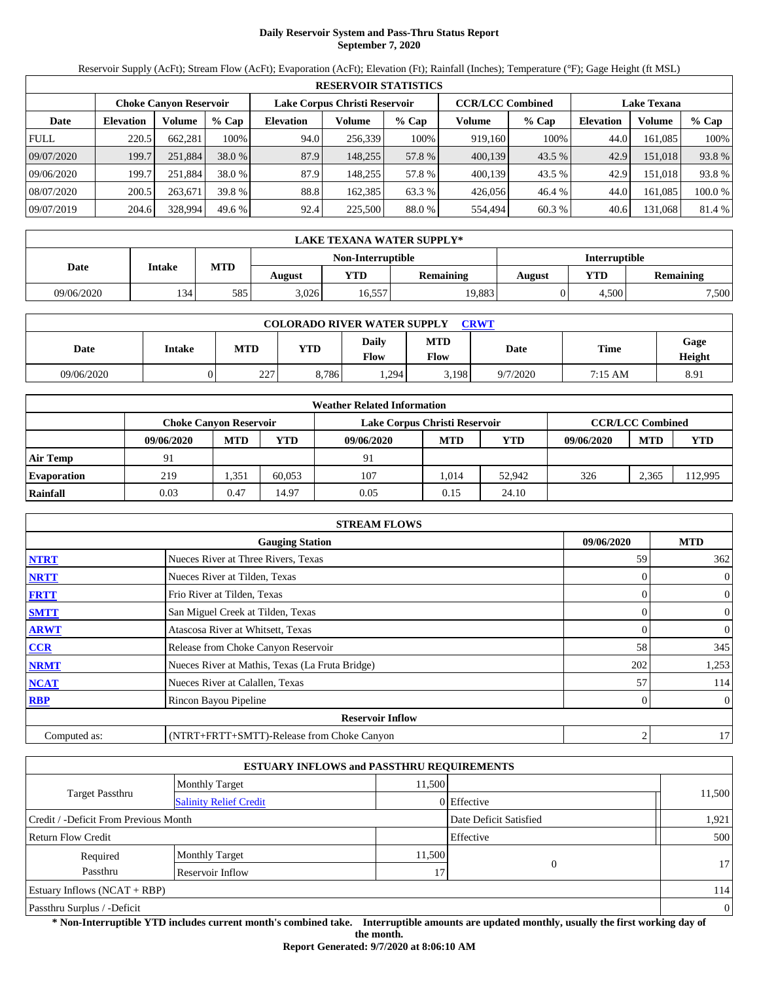# **Daily Reservoir System and Pass-Thru Status Report September 7, 2020**

Reservoir Supply (AcFt); Stream Flow (AcFt); Evaporation (AcFt); Elevation (Ft); Rainfall (Inches); Temperature (°F); Gage Height (ft MSL)

| <b>RESERVOIR STATISTICS</b> |                                                                |         |         |                  |         |         |         |                         |                    |               |        |
|-----------------------------|----------------------------------------------------------------|---------|---------|------------------|---------|---------|---------|-------------------------|--------------------|---------------|--------|
|                             | Lake Corpus Christi Reservoir<br><b>Choke Canyon Reservoir</b> |         |         |                  |         |         |         | <b>CCR/LCC Combined</b> | <b>Lake Texana</b> |               |        |
| Date                        | <b>Elevation</b>                                               | Volume  | $%$ Cap | <b>Elevation</b> | Volume  | $%$ Cap | Volume  | $%$ Cap                 | <b>Elevation</b>   | <b>Volume</b> | % Cap  |
| <b>FULL</b>                 | 220.5                                                          | 662.281 | 100%    | 94.0             | 256.339 | 100%    | 919.160 | 100%                    | 44.0               | 161.085       | 100%   |
| 09/07/2020                  | 199.7                                                          | 251,884 | 38.0 %  | 87.9             | 148,255 | 57.8 %  | 400,139 | 43.5 %                  | 42.9               | 151,018       | 93.8%  |
| 09/06/2020                  | 199.7                                                          | 251.884 | 38.0 %  | 87.9             | 148.255 | 57.8 %  | 400,139 | 43.5 %                  | 42.9               | 151.018       | 93.8%  |
| 08/07/2020                  | 200.5                                                          | 263,671 | 39.8 %  | 88.8             | 162.385 | 63.3 %  | 426.056 | 46.4 %                  | 44.0               | 161.085       | 100.0% |
| 09/07/2019                  | 204.6                                                          | 328,994 | 49.6 %  | 92.4             | 225,500 | 88.0 %  | 554.494 | 60.3 %                  | 40.6               | 131,068       | 81.4 % |

|            | LAKE TEXANA WATER SUPPLY* |     |        |                   |                  |               |            |           |  |  |  |
|------------|---------------------------|-----|--------|-------------------|------------------|---------------|------------|-----------|--|--|--|
|            |                           |     |        | Non-Interruptible |                  | Interruptible |            |           |  |  |  |
| Date       | Intake                    | MTD | August | YTD               | <b>Remaining</b> | August        | <b>YTD</b> | Remaining |  |  |  |
| 09/06/2020 | 134'                      | 585 | 3,026  | 16,557            | 19,883           |               | 4.500      | 7,500     |  |  |  |

| <b>COLORADO RIVER WATER SUPPLY</b><br><b>CRWT</b> |        |           |            |                      |                    |          |         |                |  |  |
|---------------------------------------------------|--------|-----------|------------|----------------------|--------------------|----------|---------|----------------|--|--|
| Date                                              | Intake | MTD       | <b>YTD</b> | <b>Daily</b><br>Flow | MTD<br><b>Flow</b> | Date     | Time    | Gage<br>Height |  |  |
| 09/06/2020                                        |        | つつつ<br>∠∠ | 8,786      | .294                 | 5,198              | 9/7/2020 | 7:15 AM | 8.91           |  |  |

| <b>Weather Related Information</b> |                        |            |        |                               |                         |            |            |            |            |  |  |
|------------------------------------|------------------------|------------|--------|-------------------------------|-------------------------|------------|------------|------------|------------|--|--|
|                                    | Choke Canvon Reservoir |            |        | Lake Corpus Christi Reservoir | <b>CCR/LCC Combined</b> |            |            |            |            |  |  |
|                                    | 09/06/2020             | <b>MTD</b> | YTD    | 09/06/2020                    | <b>MTD</b>              | <b>YTD</b> | 09/06/2020 | <b>MTD</b> | <b>YTD</b> |  |  |
| <b>Air Temp</b>                    | 91                     |            |        | 91                            |                         |            |            |            |            |  |  |
| <b>Evaporation</b>                 | 219                    | .351       | 60.053 | 107                           | 1.014                   | 52,942     | 326        | 2.365      | 112,995    |  |  |
| Rainfall                           | 0.03                   | 0.47       | 14.97  | 0.05                          | 0.15                    | 24.10      |            |            |            |  |  |

| <b>STREAM FLOWS</b>                  |                                                 |     |                |  |  |  |  |  |
|--------------------------------------|-------------------------------------------------|-----|----------------|--|--|--|--|--|
| 09/06/2020<br><b>Gauging Station</b> |                                                 |     |                |  |  |  |  |  |
| <b>NTRT</b>                          | Nueces River at Three Rivers, Texas             | 59  | 362            |  |  |  |  |  |
| <b>NRTT</b>                          | Nueces River at Tilden, Texas                   |     | $\overline{0}$ |  |  |  |  |  |
| <b>FRTT</b>                          | Frio River at Tilden, Texas                     |     | $\overline{0}$ |  |  |  |  |  |
| <b>SMTT</b>                          | San Miguel Creek at Tilden, Texas               | 0   | $\overline{0}$ |  |  |  |  |  |
| <b>ARWT</b>                          | Atascosa River at Whitsett, Texas               | 0   | $\overline{0}$ |  |  |  |  |  |
| <b>CCR</b>                           | Release from Choke Canyon Reservoir             | 58  | 345            |  |  |  |  |  |
| <b>NRMT</b>                          | Nueces River at Mathis, Texas (La Fruta Bridge) | 202 | 1,253          |  |  |  |  |  |
| <b>NCAT</b>                          | Nueces River at Calallen, Texas                 | 57  | 114            |  |  |  |  |  |
| <b>RBP</b>                           | Rincon Bayou Pipeline                           | 0   | $\overline{0}$ |  |  |  |  |  |
|                                      | <b>Reservoir Inflow</b>                         |     |                |  |  |  |  |  |
| Computed as:                         | (NTRT+FRTT+SMTT)-Release from Choke Canyon      | 2   | 17             |  |  |  |  |  |

| <b>ESTUARY INFLOWS and PASSTHRU REQUIREMENTS</b>                |                               |        |             |        |  |  |  |  |  |
|-----------------------------------------------------------------|-------------------------------|--------|-------------|--------|--|--|--|--|--|
|                                                                 | <b>Monthly Target</b>         | 11.500 |             |        |  |  |  |  |  |
| Target Passthru                                                 | <b>Salinity Relief Credit</b> |        | 0 Effective | 11,500 |  |  |  |  |  |
| Credit / -Deficit From Previous Month<br>Date Deficit Satisfied |                               |        |             |        |  |  |  |  |  |
| Effective<br><b>Return Flow Credit</b>                          |                               |        |             |        |  |  |  |  |  |
| Required                                                        | <b>Monthly Target</b>         | 11,500 |             |        |  |  |  |  |  |
| Passthru                                                        | Reservoir Inflow              |        | 17.         | 17     |  |  |  |  |  |
| Estuary Inflows $(NCAT + RBP)$                                  |                               |        |             |        |  |  |  |  |  |
| Passthru Surplus / -Deficit                                     |                               |        |             |        |  |  |  |  |  |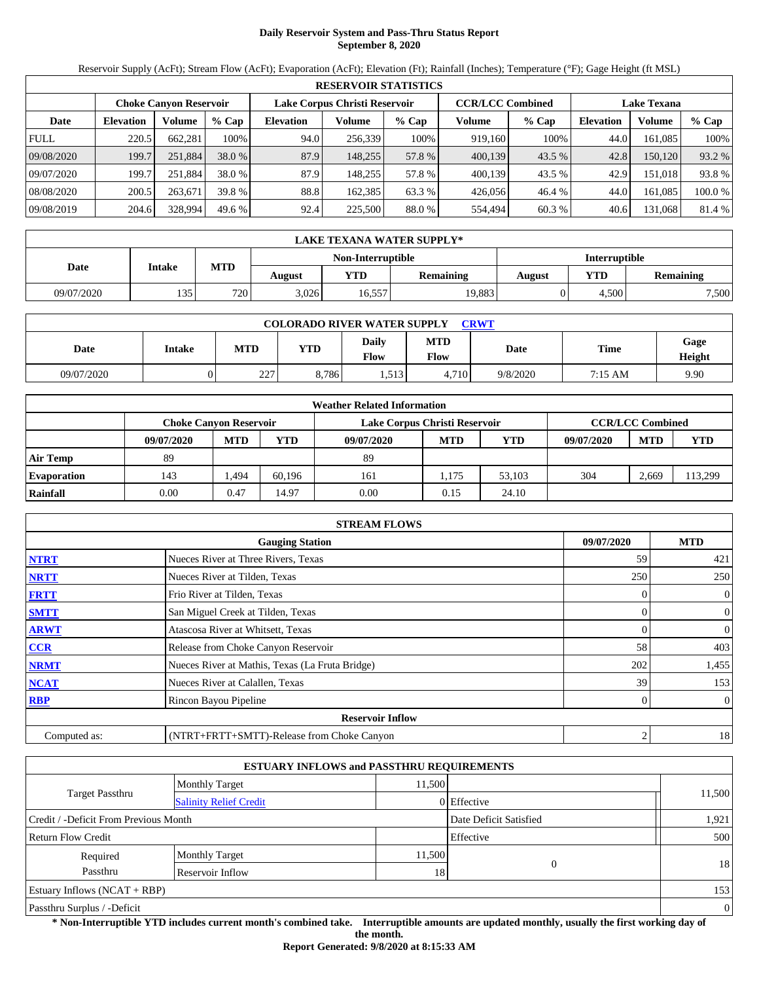# **Daily Reservoir System and Pass-Thru Status Report September 8, 2020**

Reservoir Supply (AcFt); Stream Flow (AcFt); Evaporation (AcFt); Elevation (Ft); Rainfall (Inches); Temperature (°F); Gage Height (ft MSL)

|             | <b>RESERVOIR STATISTICS</b> |                               |         |                               |         |         |                         |         |                    |         |        |  |
|-------------|-----------------------------|-------------------------------|---------|-------------------------------|---------|---------|-------------------------|---------|--------------------|---------|--------|--|
|             |                             | <b>Choke Canvon Reservoir</b> |         | Lake Corpus Christi Reservoir |         |         | <b>CCR/LCC Combined</b> |         | <b>Lake Texana</b> |         |        |  |
| Date        | <b>Elevation</b>            | Volume                        | $%$ Cap | <b>Elevation</b>              | Volume  | $%$ Cap | Volume                  | $%$ Cap | <b>Elevation</b>   | Volume  | % Cap  |  |
| <b>FULL</b> | 220.5                       | 662.281                       | 100%    | 94.0                          | 256,339 | 100%    | 919.160                 | 100%    | 44.0               | 161.085 | 100%   |  |
| 09/08/2020  | 199.7                       | 251,884                       | 38.0 %  | 87.9                          | 148.255 | 57.8 %  | 400,139                 | 43.5 %  | 42.8               | 150,120 | 93.2 % |  |
| 09/07/2020  | 199.7                       | 251.884                       | 38.0 %  | 87.9                          | 148.255 | 57.8 %  | 400.139                 | 43.5 %  | 42.9               | 151.018 | 93.8%  |  |
| 08/08/2020  | 200.5                       | 263,671                       | 39.8 %  | 88.8                          | 162.385 | 63.3 %  | 426,056                 | 46.4 %  | 44.0               | 161.085 | 100.0% |  |
| 09/08/2019  | 204.6                       | 328,994                       | 49.6 %  | 92.4                          | 225,500 | 88.0 %  | 554,494                 | 60.3 %  | 40.6               | 131,068 | 81.4 % |  |

| LAKE TEXANA WATER SUPPLY* |        |     |        |                   |                  |               |            |           |  |  |
|---------------------------|--------|-----|--------|-------------------|------------------|---------------|------------|-----------|--|--|
|                           |        |     |        | Non-Interruptible |                  | Interruptible |            |           |  |  |
| Date                      | Intake | MTD | August | YTD               | <b>Remaining</b> | August        | <b>YTD</b> | Remaining |  |  |
| 09/07/2020                | 135    | 720 | 3,026  | 16,557            | 19,883           |               | 4.500      | 7,500     |  |  |

| <b>COLORADO RIVER WATER SUPPLY</b><br>CRWT |        |            |            |               |                           |          |         |                |  |  |
|--------------------------------------------|--------|------------|------------|---------------|---------------------------|----------|---------|----------------|--|--|
| Date                                       | Intake | <b>MTD</b> | <b>YTD</b> | Daily<br>Flow | <b>MTD</b><br><b>Flow</b> | Date     | Time    | Gage<br>Height |  |  |
| 09/07/2020                                 |        | 227<br>∠∠  | 8,786      | 1,513         | 4,710                     | 9/8/2020 | 7:15 AM | 9.90           |  |  |

| <b>Weather Related Information</b> |                        |            |        |                               |                         |            |            |            |            |  |  |
|------------------------------------|------------------------|------------|--------|-------------------------------|-------------------------|------------|------------|------------|------------|--|--|
|                                    | Choke Canvon Reservoir |            |        | Lake Corpus Christi Reservoir | <b>CCR/LCC Combined</b> |            |            |            |            |  |  |
|                                    | 09/07/2020             | <b>MTD</b> | YTD    | 09/07/2020                    | <b>MTD</b>              | <b>YTD</b> | 09/07/2020 | <b>MTD</b> | <b>YTD</b> |  |  |
| <b>Air Temp</b>                    | 89                     |            |        | 89                            |                         |            |            |            |            |  |  |
| <b>Evaporation</b>                 | 143                    | .494       | 60.196 | 161                           | 1.175                   | 53.103     | 304        | 2.669      | 113,299    |  |  |
| Rainfall                           | 0.00                   | 0.47       | 14.97  | 0.00                          | 0.15                    | 24.10      |            |            |            |  |  |

| <b>STREAM FLOWS</b>                                |                                                 |     |                  |  |  |  |  |  |
|----------------------------------------------------|-------------------------------------------------|-----|------------------|--|--|--|--|--|
| <b>MTD</b><br>09/07/2020<br><b>Gauging Station</b> |                                                 |     |                  |  |  |  |  |  |
| <b>NTRT</b>                                        | Nueces River at Three Rivers, Texas             | 59  | 421              |  |  |  |  |  |
| <b>NRTT</b>                                        | Nueces River at Tilden, Texas                   | 250 | 250              |  |  |  |  |  |
| <b>FRTT</b>                                        | Frio River at Tilden, Texas                     |     | 0                |  |  |  |  |  |
| <b>SMTT</b>                                        | San Miguel Creek at Tilden, Texas               |     | $\overline{0}$   |  |  |  |  |  |
| <b>ARWT</b>                                        | Atascosa River at Whitsett, Texas               |     | $\boldsymbol{0}$ |  |  |  |  |  |
| <b>CCR</b>                                         | Release from Choke Canyon Reservoir             | 58  | 403              |  |  |  |  |  |
| <b>NRMT</b>                                        | Nueces River at Mathis, Texas (La Fruta Bridge) | 202 | 1,455            |  |  |  |  |  |
| <b>NCAT</b>                                        | Nueces River at Calallen, Texas                 | 39  | 153              |  |  |  |  |  |
| <b>RBP</b>                                         | Rincon Bayou Pipeline                           |     | $\overline{0}$   |  |  |  |  |  |
|                                                    | <b>Reservoir Inflow</b>                         |     |                  |  |  |  |  |  |
| Computed as:                                       | (NTRT+FRTT+SMTT)-Release from Choke Canyon      | 2   | 18               |  |  |  |  |  |

| <b>ESTUARY INFLOWS and PASSTHRU REQUIREMENTS</b>                |                               |        |             |                |  |  |  |  |  |
|-----------------------------------------------------------------|-------------------------------|--------|-------------|----------------|--|--|--|--|--|
|                                                                 | <b>Monthly Target</b>         | 11,500 |             |                |  |  |  |  |  |
| Target Passthru                                                 | <b>Salinity Relief Credit</b> |        | 0 Effective | 11,500         |  |  |  |  |  |
| Credit / -Deficit From Previous Month<br>Date Deficit Satisfied |                               |        |             |                |  |  |  |  |  |
| Effective<br><b>Return Flow Credit</b>                          |                               |        |             |                |  |  |  |  |  |
| Required                                                        | Monthly Target                | 11,500 |             |                |  |  |  |  |  |
| Passthru                                                        | Reservoir Inflow<br>18        |        |             | 18             |  |  |  |  |  |
| Estuary Inflows $(NCAT + RBP)$                                  |                               |        |             |                |  |  |  |  |  |
| Passthru Surplus / -Deficit                                     |                               |        |             | $\overline{0}$ |  |  |  |  |  |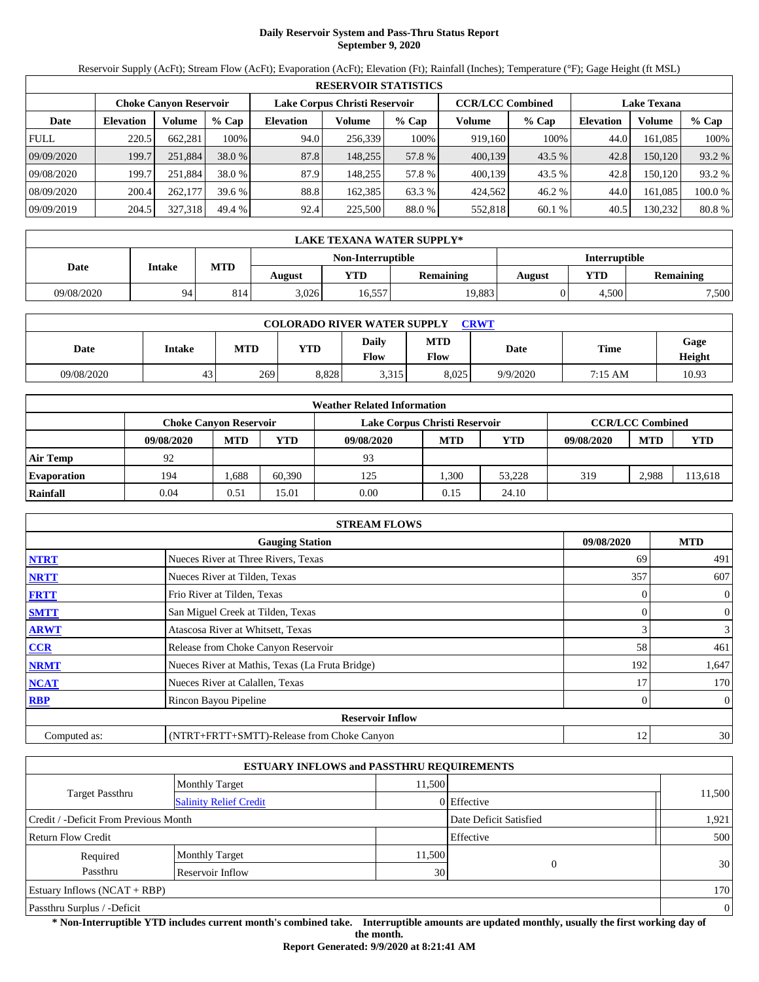# **Daily Reservoir System and Pass-Thru Status Report September 9, 2020**

Reservoir Supply (AcFt); Stream Flow (AcFt); Evaporation (AcFt); Elevation (Ft); Rainfall (Inches); Temperature (°F); Gage Height (ft MSL)

| <b>RESERVOIR STATISTICS</b> |                  |                               |         |                               |         |         |                         |          |                    |         |         |  |
|-----------------------------|------------------|-------------------------------|---------|-------------------------------|---------|---------|-------------------------|----------|--------------------|---------|---------|--|
|                             |                  | <b>Choke Canvon Reservoir</b> |         | Lake Corpus Christi Reservoir |         |         | <b>CCR/LCC Combined</b> |          | <b>Lake Texana</b> |         |         |  |
| Date                        | <b>Elevation</b> | Volume                        | $%$ Cap | <b>Elevation</b>              | Volume  | $%$ Cap | Volume                  | % Cap    | <b>Elevation</b>   | Volume  | $%$ Cap |  |
| <b>FULL</b>                 | 220.5            | 662.281                       | 100%    | 94.0                          | 256,339 | 100%    | 919,160                 | 100%     | 44.0               | 161.085 | 100%    |  |
| 09/09/2020                  | 199.7            | 251,884                       | 38.0 %  | 87.8                          | 148.255 | 57.8 %  | 400,139                 | $43.5\%$ | 42.8               | 150,120 | 93.2 %  |  |
| 09/08/2020                  | 199.7            | 251.884                       | 38.0 %  | 87.9                          | 148.255 | 57.8 %  | 400.139                 | 43.5 %   | 42.8               | 150.120 | 93.2 %  |  |
| 08/09/2020                  | 200.4            | 262,177                       | 39.6 %  | 88.8                          | 162.385 | 63.3 %  | 424.562                 | 46.2 %   | 44.0               | 161.085 | 100.0 % |  |
| 09/09/2019                  | 204.5            | 327,318                       | 49.4 %  | 92.4                          | 225,500 | 88.0 %  | 552.818                 | 60.1%    | 40.5               | 130,232 | 80.8%   |  |

| LAKE TEXANA WATER SUPPLY* |        |     |        |                                            |        |               |       |       |  |  |
|---------------------------|--------|-----|--------|--------------------------------------------|--------|---------------|-------|-------|--|--|
|                           |        |     |        | Non-Interruptible                          |        | Interruptible |       |       |  |  |
| Date                      | Intake | MTD | August | <b>YTD</b><br>VTD -<br>Remaining<br>August |        |               |       |       |  |  |
| 09/08/2020                | 94     | 814 | 3,026  | 16,557                                     | 19,883 |               | 4.500 | 7,500 |  |  |

| <b>COLORADO RIVER WATER SUPPLY</b><br>CRWT |        |     |       |               |                           |          |             |                |  |  |  |
|--------------------------------------------|--------|-----|-------|---------------|---------------------------|----------|-------------|----------------|--|--|--|
| Date                                       | Intake | MTD | YTD   | Dailv<br>Flow | <b>MTD</b><br><b>Flow</b> | Date     | <b>Time</b> | Gage<br>Height |  |  |  |
| 09/08/2020                                 | 43     | 269 | 8.828 | 3,315         | 8.025                     | 9/9/2020 | 7:15 AM     | 10.93          |  |  |  |

| <b>Weather Related Information</b> |                               |            |        |                               |                         |            |            |            |         |  |  |
|------------------------------------|-------------------------------|------------|--------|-------------------------------|-------------------------|------------|------------|------------|---------|--|--|
|                                    | <b>Choke Canvon Reservoir</b> |            |        | Lake Corpus Christi Reservoir | <b>CCR/LCC Combined</b> |            |            |            |         |  |  |
|                                    | 09/08/2020                    | <b>MTD</b> | YTD    | 09/08/2020                    | <b>MTD</b>              | <b>YTD</b> | 09/08/2020 | <b>MTD</b> | YTD     |  |  |
| <b>Air Temp</b>                    | 92                            |            |        | 93                            |                         |            |            |            |         |  |  |
| <b>Evaporation</b>                 | 194                           | .688       | 60.390 | 125                           | .300                    | 53.228     | 319        | 2.988      | 113,618 |  |  |
| Rainfall                           | 0.04                          | 0.51       | 15.01  | 0.00                          | 0.15                    | 24.10      |            |            |         |  |  |

| <b>STREAM FLOWS</b>                                |                                                 |          |                |  |  |  |  |  |  |
|----------------------------------------------------|-------------------------------------------------|----------|----------------|--|--|--|--|--|--|
| <b>MTD</b><br>09/08/2020<br><b>Gauging Station</b> |                                                 |          |                |  |  |  |  |  |  |
| <b>NTRT</b>                                        | Nueces River at Three Rivers, Texas             | 69       | 491            |  |  |  |  |  |  |
| <b>NRTT</b>                                        | Nueces River at Tilden, Texas                   | 357      | 607            |  |  |  |  |  |  |
| <b>FRTT</b>                                        | Frio River at Tilden, Texas                     | $\Omega$ | $\overline{0}$ |  |  |  |  |  |  |
| <b>SMTT</b>                                        | San Miguel Creek at Tilden, Texas               | 0        | $\overline{0}$ |  |  |  |  |  |  |
| <b>ARWT</b>                                        | Atascosa River at Whitsett, Texas               | 3        | $\mathfrak{Z}$ |  |  |  |  |  |  |
| <b>CCR</b>                                         | Release from Choke Canyon Reservoir             | 58       | 461            |  |  |  |  |  |  |
| <b>NRMT</b>                                        | Nueces River at Mathis, Texas (La Fruta Bridge) | 192      | 1,647          |  |  |  |  |  |  |
| <b>NCAT</b>                                        | Nueces River at Calallen, Texas                 | 17       | 170            |  |  |  |  |  |  |
| <b>RBP</b>                                         | Rincon Bayou Pipeline                           | 0        | $\overline{0}$ |  |  |  |  |  |  |
|                                                    | <b>Reservoir Inflow</b>                         |          |                |  |  |  |  |  |  |
| Computed as:                                       | (NTRT+FRTT+SMTT)-Release from Choke Canyon      | 12       | 30             |  |  |  |  |  |  |

| <b>ESTUARY INFLOWS and PASSTHRU REQUIREMENTS</b>                |                               |        |             |                |  |  |  |  |
|-----------------------------------------------------------------|-------------------------------|--------|-------------|----------------|--|--|--|--|
|                                                                 | <b>Monthly Target</b>         | 11,500 |             |                |  |  |  |  |
| Target Passthru                                                 | <b>Salinity Relief Credit</b> |        | 0 Effective | 11,500         |  |  |  |  |
| Credit / -Deficit From Previous Month<br>Date Deficit Satisfied |                               |        |             |                |  |  |  |  |
| Effective<br><b>Return Flow Credit</b>                          |                               |        |             |                |  |  |  |  |
| Required                                                        | Monthly Target                | 11,500 |             | 30             |  |  |  |  |
| Passthru                                                        | 30<br>Reservoir Inflow        |        |             |                |  |  |  |  |
| Estuary Inflows $(NCAT + RBP)$                                  |                               |        |             |                |  |  |  |  |
| Passthru Surplus / -Deficit                                     |                               |        |             | $\overline{0}$ |  |  |  |  |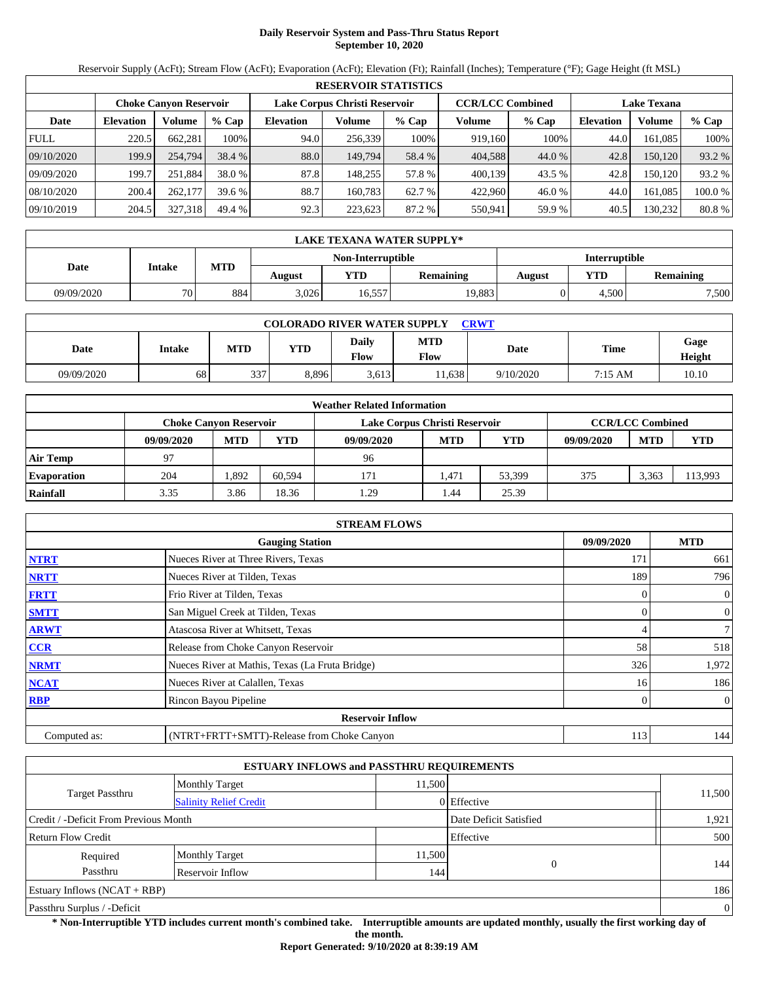# **Daily Reservoir System and Pass-Thru Status Report September 10, 2020**

Reservoir Supply (AcFt); Stream Flow (AcFt); Evaporation (AcFt); Elevation (Ft); Rainfall (Inches); Temperature (°F); Gage Height (ft MSL)

| <b>RESERVOIR STATISTICS</b> |                  |                               |         |                               |         |         |                         |         |                    |         |         |
|-----------------------------|------------------|-------------------------------|---------|-------------------------------|---------|---------|-------------------------|---------|--------------------|---------|---------|
|                             |                  | <b>Choke Canvon Reservoir</b> |         | Lake Corpus Christi Reservoir |         |         | <b>CCR/LCC Combined</b> |         | <b>Lake Texana</b> |         |         |
| Date                        | <b>Elevation</b> | Volume                        | $%$ Cap | <b>Elevation</b>              | Volume  | $%$ Cap | Volume                  | $%$ Cap | <b>Elevation</b>   | Volume  | % Cap   |
| <b>FULL</b>                 | 220.5            | 662.281                       | 100%    | 94.0                          | 256,339 | 100%    | 919.160                 | 100%    | 44.0               | 161.085 | 100%    |
| 09/10/2020                  | 199.9            | 254,794                       | 38.4 %  | 88.0                          | 149.794 | 58.4 %  | 404.588                 | 44.0 %  | 42.8               | 150,120 | 93.2 %  |
| 09/09/2020                  | 199.7            | 251.884                       | 38.0 %  | 87.8                          | 148.255 | 57.8 %  | 400.139                 | 43.5 %  | 42.8               | 150.120 | 93.2 %  |
| 08/10/2020                  | 200.4            | 262,177                       | 39.6 %  | 88.7                          | 160.783 | 62.7 %  | 422,960                 | 46.0%   | 44.0               | 161.085 | 100.0 % |
| 09/10/2019                  | 204.5            | 327,318                       | 49.4 %  | 92.3                          | 223,623 | 87.2 %  | 550,941                 | 59.9 %  | 40.5               | 130,232 | 80.8%   |

|            | LAKE TEXANA WATER SUPPLY* |     |        |                                                 |        |               |       |       |  |  |  |
|------------|---------------------------|-----|--------|-------------------------------------------------|--------|---------------|-------|-------|--|--|--|
|            |                           |     |        | Non-Interruptible                               |        | Interruptible |       |       |  |  |  |
| Date       | Intake                    | MTD | August | <b>YTD</b><br>YTD<br><b>Remaining</b><br>August |        |               |       |       |  |  |  |
| 09/09/2020 | 70                        | 884 | 3,026  | 16,557                                          | 19,883 |               | 4.500 | 7,500 |  |  |  |

| <b>COLORADO RIVER WATER SUPPLY</b><br><b>CRWT</b> |        |            |            |                             |                    |           |             |                |  |  |  |
|---------------------------------------------------|--------|------------|------------|-----------------------------|--------------------|-----------|-------------|----------------|--|--|--|
| Date                                              | Intake | <b>MTD</b> | <b>YTD</b> | <b>Daily</b><br><b>Flow</b> | <b>MTD</b><br>Flow | Date      | <b>Time</b> | Gage<br>Height |  |  |  |
| 09/09/2020                                        | 68     | 337        | 8.896      | 3.613                       | 1,638              | 9/10/2020 | $7:15$ AM   | 10.10          |  |  |  |

| <b>Weather Related Information</b> |            |                               |        |                               |                         |            |            |            |            |  |  |
|------------------------------------|------------|-------------------------------|--------|-------------------------------|-------------------------|------------|------------|------------|------------|--|--|
|                                    |            | <b>Choke Canvon Reservoir</b> |        | Lake Corpus Christi Reservoir | <b>CCR/LCC Combined</b> |            |            |            |            |  |  |
|                                    | 09/09/2020 | <b>MTD</b>                    | YTD    | 09/09/2020                    | <b>MTD</b>              | <b>YTD</b> | 09/09/2020 | <b>MTD</b> | <b>YTD</b> |  |  |
| <b>Air Temp</b>                    | 97         |                               |        | 96                            |                         |            |            |            |            |  |  |
| <b>Evaporation</b>                 | 204        | .892                          | 60.594 | 171                           | l.471                   | 53.399     | 375        | 3.363      | 113,993    |  |  |
| Rainfall                           | 3.35       | 3.86                          | 18.36  | 1.29                          | 44.ء                    | 25.39      |            |            |            |  |  |

| <b>STREAM FLOWS</b>                                |                                                 |          |                |  |  |  |  |  |  |
|----------------------------------------------------|-------------------------------------------------|----------|----------------|--|--|--|--|--|--|
| <b>MTD</b><br>09/09/2020<br><b>Gauging Station</b> |                                                 |          |                |  |  |  |  |  |  |
| <b>NTRT</b>                                        | Nueces River at Three Rivers, Texas             | 171      | 661            |  |  |  |  |  |  |
| <b>NRTT</b>                                        | Nueces River at Tilden, Texas                   | 189      | 796            |  |  |  |  |  |  |
| <b>FRTT</b>                                        | Frio River at Tilden, Texas                     | $\Omega$ | $\overline{0}$ |  |  |  |  |  |  |
| <b>SMTT</b>                                        | San Miguel Creek at Tilden, Texas               | 0        | $\overline{0}$ |  |  |  |  |  |  |
| <b>ARWT</b>                                        | Atascosa River at Whitsett, Texas               | 4        | $\overline{7}$ |  |  |  |  |  |  |
| <b>CCR</b>                                         | Release from Choke Canyon Reservoir             | 58       | 518            |  |  |  |  |  |  |
| <b>NRMT</b>                                        | Nueces River at Mathis, Texas (La Fruta Bridge) | 326      | 1,972          |  |  |  |  |  |  |
| <b>NCAT</b>                                        | Nueces River at Calallen, Texas                 | 16       | 186            |  |  |  |  |  |  |
| <b>RBP</b>                                         | Rincon Bayou Pipeline                           | 0        | $\overline{0}$ |  |  |  |  |  |  |
|                                                    | <b>Reservoir Inflow</b>                         |          |                |  |  |  |  |  |  |
| Computed as:                                       | (NTRT+FRTT+SMTT)-Release from Choke Canyon      | 113      | 144            |  |  |  |  |  |  |

| <b>ESTUARY INFLOWS and PASSTHRU REQUIREMENTS</b> |                               |        |               |        |  |  |  |  |
|--------------------------------------------------|-------------------------------|--------|---------------|--------|--|--|--|--|
|                                                  | <b>Monthly Target</b>         | 11.500 |               |        |  |  |  |  |
| Target Passthru                                  | <b>Salinity Relief Credit</b> |        | $0$ Effective | 11,500 |  |  |  |  |
| Credit / -Deficit From Previous Month            | Date Deficit Satisfied        | 1,921  |               |        |  |  |  |  |
| <b>Return Flow Credit</b>                        | Effective                     |        |               |        |  |  |  |  |
| Required                                         | <b>Monthly Target</b>         | 11,500 |               |        |  |  |  |  |
| Passthru                                         | Reservoir Inflow              | 144    | $\Omega$      | 144    |  |  |  |  |
| Estuary Inflows $(NCAT + RBP)$                   |                               |        |               |        |  |  |  |  |
| Passthru Surplus / -Deficit                      |                               |        |               |        |  |  |  |  |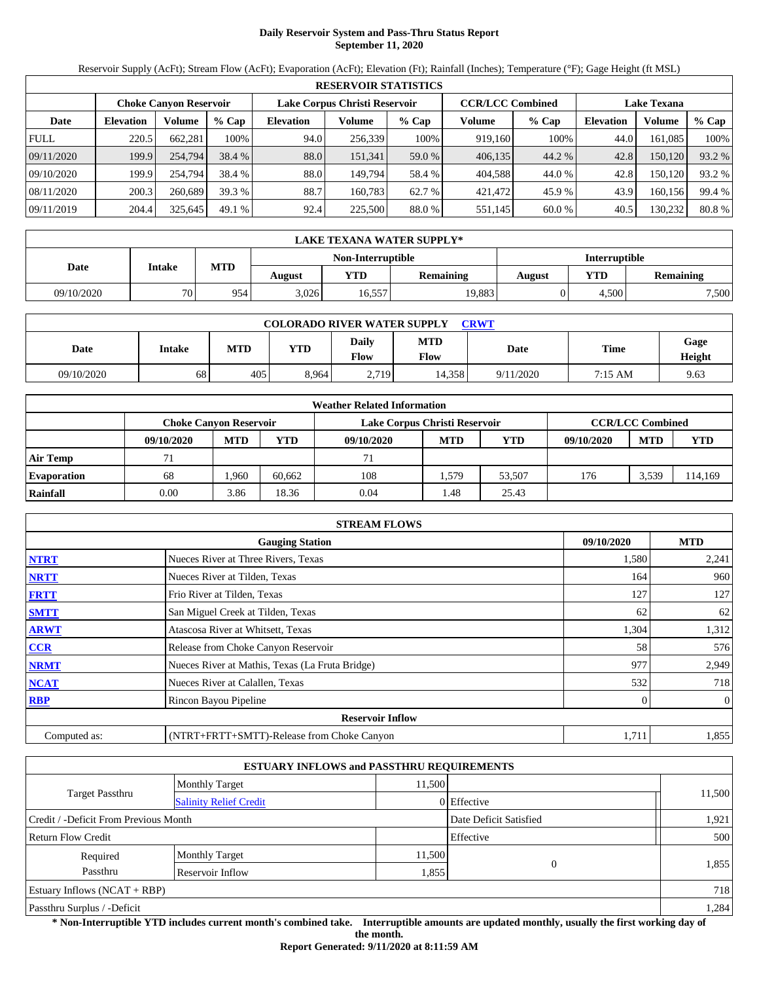# **Daily Reservoir System and Pass-Thru Status Report September 11, 2020**

Reservoir Supply (AcFt); Stream Flow (AcFt); Evaporation (AcFt); Elevation (Ft); Rainfall (Inches); Temperature (°F); Gage Height (ft MSL)

|             | <b>RESERVOIR STATISTICS</b>   |         |         |                               |         |         |                         |         |                    |         |        |  |
|-------------|-------------------------------|---------|---------|-------------------------------|---------|---------|-------------------------|---------|--------------------|---------|--------|--|
|             | <b>Choke Canyon Reservoir</b> |         |         | Lake Corpus Christi Reservoir |         |         | <b>CCR/LCC Combined</b> |         | <b>Lake Texana</b> |         |        |  |
| Date        | <b>Elevation</b>              | Volume  | $%$ Cap | <b>Elevation</b>              | Volume  | $%$ Cap | Volume                  | $%$ Cap | <b>Elevation</b>   | Volume  | % Cap  |  |
| <b>FULL</b> | 220.5                         | 662.281 | 100%    | 94.0                          | 256,339 | 100%    | 919,160                 | 100%    | 44.0               | 161.085 | 100%   |  |
| 09/11/2020  | 199.9                         | 254,794 | 38.4 %  | 88.0                          | 151.341 | 59.0 %  | 406,135                 | 44.2 %  | 42.8               | 150,120 | 93.2 % |  |
| 09/10/2020  | 199.9                         | 254,794 | 38.4 %  | 88.0                          | 149.794 | 58.4 %  | 404,588                 | 44.0 %  | 42.8               | 150.120 | 93.2 % |  |
| 08/11/2020  | 200.3                         | 260,689 | 39.3 %  | 88.7                          | 160.783 | 62.7 %  | 421.472                 | 45.9 %  | 43.9               | 160.156 | 99.4 % |  |
| 09/11/2019  | 204.4                         | 325,645 | 49.1%   | 92.4                          | 225,500 | 88.0 %  | 551,145                 | 60.0 %  | 40.5               | 130,232 | 80.8%  |  |

|            | LAKE TEXANA WATER SUPPLY* |     |                   |        |           |        |               |                  |  |  |  |
|------------|---------------------------|-----|-------------------|--------|-----------|--------|---------------|------------------|--|--|--|
|            |                           |     | Non-Interruptible |        |           |        | Interruptible |                  |  |  |  |
| Date       | <b>Intake</b>             | MTD | August            | VTD-   | Remaining | August | YTD           | <b>Remaining</b> |  |  |  |
| 09/10/2020 | <b>70</b>                 | 954 | 3.026             | 16,557 | 19,883    |        | 4.500         | 7,500            |  |  |  |

| <b>COLORADO RIVER WATER SUPPLY</b><br><b>CRWT</b> |        |            |            |                             |                    |           |         |                |  |  |  |
|---------------------------------------------------|--------|------------|------------|-----------------------------|--------------------|-----------|---------|----------------|--|--|--|
| Date                                              | Intake | <b>MTD</b> | <b>YTD</b> | <b>Daily</b><br><b>Flow</b> | <b>MTD</b><br>Flow | Date      | Time    | Gage<br>Height |  |  |  |
| 09/10/2020                                        | 68     | 405        | 8.964      | 2.719                       | 4.358              | 9/11/2020 | 7:15 AM | 9.63           |  |  |  |

|                    | <b>Weather Related Information</b> |                               |        |                               |            |                         |            |            |            |  |  |
|--------------------|------------------------------------|-------------------------------|--------|-------------------------------|------------|-------------------------|------------|------------|------------|--|--|
|                    |                                    | <b>Choke Canvon Reservoir</b> |        | Lake Corpus Christi Reservoir |            | <b>CCR/LCC Combined</b> |            |            |            |  |  |
|                    | 09/10/2020                         | <b>MTD</b>                    | YTD    | 09/10/2020                    | <b>MTD</b> | <b>YTD</b>              | 09/10/2020 | <b>MTD</b> | <b>YTD</b> |  |  |
| <b>Air Temp</b>    |                                    |                               |        | 71                            |            |                         |            |            |            |  |  |
| <b>Evaporation</b> | 68                                 | .960                          | 60.662 | 108                           | .579       | 53.507                  | 176        | 3,539      | 114,169    |  |  |
| Rainfall           | 0.00                               | 3.86                          | 18.36  | 0.04                          | 48. ،      | 25.43                   |            |            |            |  |  |

|              | <b>STREAM FLOWS</b>                             |            |                |  |  |  |  |  |  |  |
|--------------|-------------------------------------------------|------------|----------------|--|--|--|--|--|--|--|
|              | <b>Gauging Station</b>                          | 09/10/2020 | <b>MTD</b>     |  |  |  |  |  |  |  |
| <b>NTRT</b>  | Nueces River at Three Rivers, Texas             | 1,580      | 2,241          |  |  |  |  |  |  |  |
| <b>NRTT</b>  | Nueces River at Tilden, Texas                   | 164        | 960            |  |  |  |  |  |  |  |
| <b>FRTT</b>  | Frio River at Tilden, Texas                     | 127        | 127            |  |  |  |  |  |  |  |
| <b>SMTT</b>  | San Miguel Creek at Tilden, Texas               | 62         | 62             |  |  |  |  |  |  |  |
| <b>ARWT</b>  | Atascosa River at Whitsett, Texas               | 1,304      | 1,312          |  |  |  |  |  |  |  |
| CCR          | Release from Choke Canyon Reservoir             | 58         | 576            |  |  |  |  |  |  |  |
| <b>NRMT</b>  | Nueces River at Mathis, Texas (La Fruta Bridge) | 977        | 2,949          |  |  |  |  |  |  |  |
| <b>NCAT</b>  | Nueces River at Calallen, Texas                 | 532        | 718            |  |  |  |  |  |  |  |
| <b>RBP</b>   | Rincon Bayou Pipeline                           | 0          | $\overline{0}$ |  |  |  |  |  |  |  |
|              | <b>Reservoir Inflow</b>                         |            |                |  |  |  |  |  |  |  |
| Computed as: | (NTRT+FRTT+SMTT)-Release from Choke Canyon      | 1,711      | 1,855          |  |  |  |  |  |  |  |

|                                       |                               | <b>ESTUARY INFLOWS and PASSTHRU REQUIREMENTS</b> |             |        |
|---------------------------------------|-------------------------------|--------------------------------------------------|-------------|--------|
|                                       | <b>Monthly Target</b>         | 11.500                                           |             |        |
| <b>Target Passthru</b>                | <b>Salinity Relief Credit</b> |                                                  | 0 Effective | 11,500 |
| Credit / -Deficit From Previous Month |                               | Date Deficit Satisfied                           | 1,921       |        |
| <b>Return Flow Credit</b>             |                               |                                                  | Effective   | 500    |
| Required                              | <b>Monthly Target</b>         | 11,500                                           |             |        |
| Passthru                              | Reservoir Inflow              | 1,855                                            | $\Omega$    | 1,855  |
| Estuary Inflows $(NCAT + RBP)$        |                               |                                                  |             | 718    |
| Passthru Surplus / -Deficit           |                               |                                                  |             | 1,284  |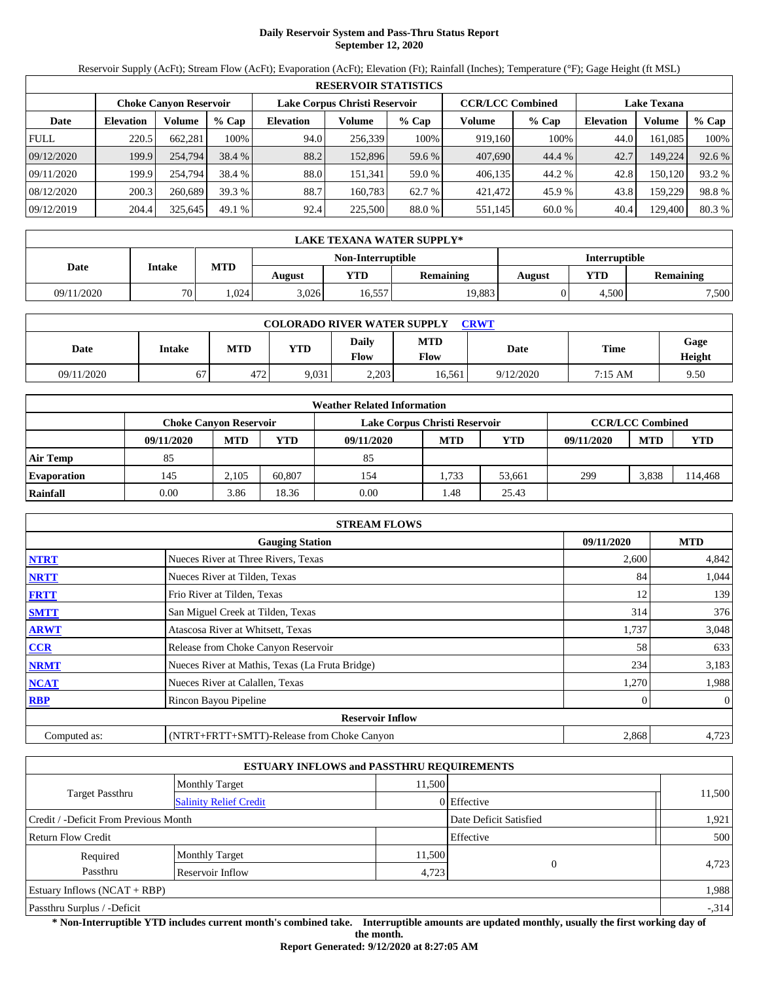# **Daily Reservoir System and Pass-Thru Status Report September 12, 2020**

Reservoir Supply (AcFt); Stream Flow (AcFt); Evaporation (AcFt); Elevation (Ft); Rainfall (Inches); Temperature (°F); Gage Height (ft MSL)

|             | <b>RESERVOIR STATISTICS</b>   |         |         |                               |         |         |                         |         |                    |         |        |  |
|-------------|-------------------------------|---------|---------|-------------------------------|---------|---------|-------------------------|---------|--------------------|---------|--------|--|
|             | <b>Choke Canyon Reservoir</b> |         |         | Lake Corpus Christi Reservoir |         |         | <b>CCR/LCC Combined</b> |         | <b>Lake Texana</b> |         |        |  |
| Date        | <b>Elevation</b>              | Volume  | $%$ Cap | <b>Elevation</b>              | Volume  | $%$ Cap | Volume                  | $%$ Cap | <b>Elevation</b>   | Volume  | % Cap  |  |
| <b>FULL</b> | 220.5                         | 662.281 | 100%    | 94.0                          | 256,339 | 100%    | 919,160                 | 100%    | 44.0               | 161.085 | 100%   |  |
| 09/12/2020  | 199.9                         | 254,794 | 38.4 %  | 88.2                          | 152,896 | 59.6 %  | 407,690                 | 44.4 %  | 42.7               | 149,224 | 92.6 % |  |
| 09/11/2020  | 199.9                         | 254,794 | 38.4 %  | 88.0                          | 151.341 | 59.0 %  | 406,135                 | 44.2 %  | 42.8               | 150.120 | 93.2 % |  |
| 08/12/2020  | 200.3                         | 260,689 | 39.3 %  | 88.7                          | 160.783 | 62.7 %  | 421.472                 | 45.9 %  | 43.8               | 159.229 | 98.8%  |  |
| 09/12/2019  | 204.4                         | 325,645 | 49.1%   | 92.4                          | 225,500 | 88.0 %  | 551,145                 | 60.0 %  | 40.4               | 129,400 | 80.3 % |  |

|            | LAKE TEXANA WATER SUPPLY* |            |        |                   |                  |               |       |                  |  |  |  |
|------------|---------------------------|------------|--------|-------------------|------------------|---------------|-------|------------------|--|--|--|
|            |                           |            |        | Non-Interruptible |                  | Interruptible |       |                  |  |  |  |
| Date       | <b>Intake</b>             | <b>MTD</b> | August | YTD               | <b>Remaining</b> | August        | YTD   | <b>Remaining</b> |  |  |  |
| 09/11/2020 | 70 <sub>1</sub>           | .024       | 3.026  | 16,557            | 19,883           |               | 4.500 | 7,500            |  |  |  |

|            | <b>COLORADO RIVER WATER SUPPLY</b><br><b>CRWT</b> |            |            |                      |                    |           |         |                |  |  |  |  |
|------------|---------------------------------------------------|------------|------------|----------------------|--------------------|-----------|---------|----------------|--|--|--|--|
| Date       | Intake                                            | <b>MTD</b> | <b>YTD</b> | Daily<br><b>Flow</b> | <b>MTD</b><br>Flow | Date      | Time    | Gage<br>Height |  |  |  |  |
| 09/11/2020 | 67                                                | 472        | 9,031      | 2.203                | 16.561             | 9/12/2020 | 7:15 AM | 9.50           |  |  |  |  |

|                    |                               |            |        | <b>Weather Related Information</b> |            |                         |            |            |            |
|--------------------|-------------------------------|------------|--------|------------------------------------|------------|-------------------------|------------|------------|------------|
|                    | <b>Choke Canvon Reservoir</b> |            |        | Lake Corpus Christi Reservoir      |            | <b>CCR/LCC Combined</b> |            |            |            |
|                    | 09/11/2020                    | <b>MTD</b> | YTD    | 09/11/2020                         | <b>MTD</b> | <b>YTD</b>              | 09/11/2020 | <b>MTD</b> | <b>YTD</b> |
| <b>Air Temp</b>    | 85                            |            |        | 85                                 |            |                         |            |            |            |
| <b>Evaporation</b> | 145                           | 2.105      | 60.807 | 154                                | .733       | 53.661                  | 299        | 3,838      | 114,468    |
| Rainfall           | 0.00                          | 3.86       | 18.36  | 0.00                               | 1.48       | 25.43                   |            |            |            |

|                                                    | <b>STREAM FLOWS</b>                             |       |                |  |  |  |  |  |
|----------------------------------------------------|-------------------------------------------------|-------|----------------|--|--|--|--|--|
| <b>MTD</b><br><b>Gauging Station</b><br>09/11/2020 |                                                 |       |                |  |  |  |  |  |
| <b>NTRT</b>                                        | Nueces River at Three Rivers, Texas             | 2,600 | 4,842          |  |  |  |  |  |
| <b>NRTT</b>                                        | Nueces River at Tilden, Texas                   | 84    | 1,044          |  |  |  |  |  |
| <b>FRTT</b>                                        | Frio River at Tilden, Texas                     | 12    | 139            |  |  |  |  |  |
| <b>SMTT</b>                                        | San Miguel Creek at Tilden, Texas               | 314   | 376            |  |  |  |  |  |
| <b>ARWT</b>                                        | Atascosa River at Whitsett, Texas               | 1,737 | 3,048          |  |  |  |  |  |
| CCR                                                | Release from Choke Canyon Reservoir             | 58    | 633            |  |  |  |  |  |
| <b>NRMT</b>                                        | Nueces River at Mathis, Texas (La Fruta Bridge) | 234   | 3,183          |  |  |  |  |  |
| <b>NCAT</b>                                        | Nueces River at Calallen, Texas                 | 1,270 | 1,988          |  |  |  |  |  |
| <b>RBP</b>                                         | Rincon Bayou Pipeline                           | 0     | $\overline{0}$ |  |  |  |  |  |
|                                                    | <b>Reservoir Inflow</b>                         |       |                |  |  |  |  |  |
| Computed as:                                       | (NTRT+FRTT+SMTT)-Release from Choke Canyon      | 2,868 | 4,723          |  |  |  |  |  |

|                                       |                                 | <b>ESTUARY INFLOWS and PASSTHRU REQUIREMENTS</b> |             |        |
|---------------------------------------|---------------------------------|--------------------------------------------------|-------------|--------|
|                                       | 11.500<br><b>Monthly Target</b> |                                                  |             |        |
| <b>Target Passthru</b>                | <b>Salinity Relief Credit</b>   |                                                  | 0 Effective | 11,500 |
| Credit / -Deficit From Previous Month |                                 | Date Deficit Satisfied                           | 1,921       |        |
| <b>Return Flow Credit</b>             |                                 |                                                  | Effective   | 500    |
| Required                              | <b>Monthly Target</b>           | 11,500                                           |             |        |
| Passthru                              | Reservoir Inflow                | 4,723                                            | $\Omega$    | 4,723  |
| Estuary Inflows $(NCAT + RBP)$        |                                 |                                                  |             | 1,988  |
| Passthru Surplus / -Deficit           |                                 |                                                  |             | $-314$ |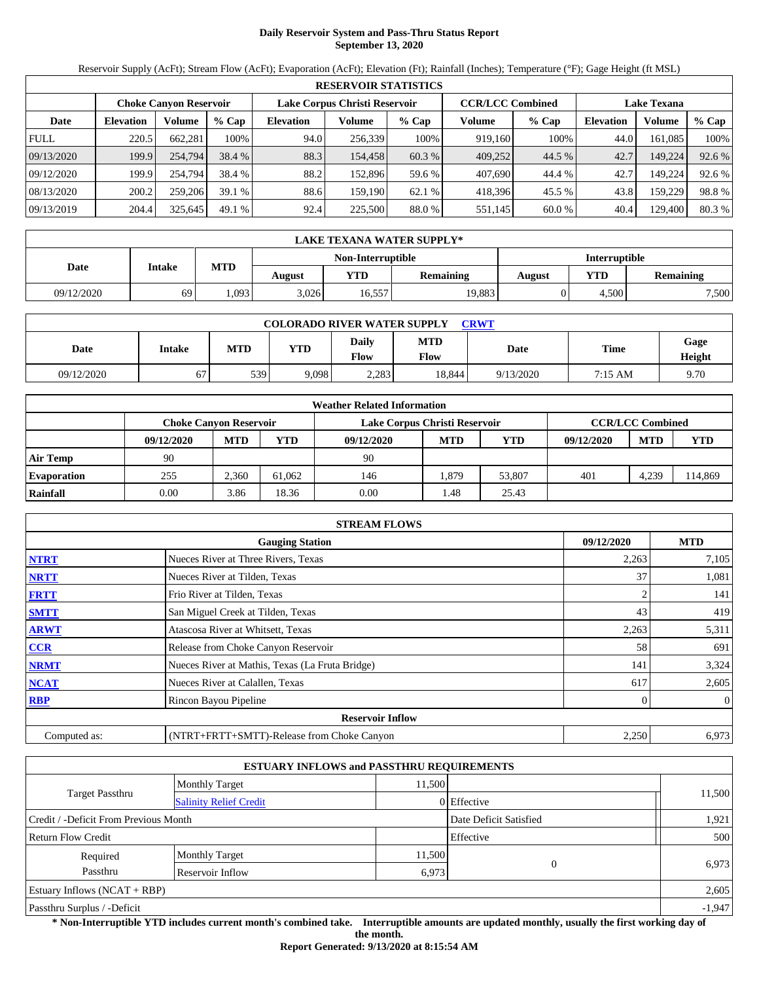# **Daily Reservoir System and Pass-Thru Status Report September 13, 2020**

Reservoir Supply (AcFt); Stream Flow (AcFt); Evaporation (AcFt); Elevation (Ft); Rainfall (Inches); Temperature (°F); Gage Height (ft MSL)

|             | <b>RESERVOIR STATISTICS</b> |                               |         |                               |         |         |                         |         |                    |         |        |  |  |
|-------------|-----------------------------|-------------------------------|---------|-------------------------------|---------|---------|-------------------------|---------|--------------------|---------|--------|--|--|
|             |                             | <b>Choke Canyon Reservoir</b> |         | Lake Corpus Christi Reservoir |         |         | <b>CCR/LCC Combined</b> |         | <b>Lake Texana</b> |         |        |  |  |
| Date        | <b>Elevation</b>            | Volume                        | $%$ Cap | <b>Elevation</b>              | Volume  | $%$ Cap | Volume                  | $%$ Cap | <b>Elevation</b>   | Volume  | % Cap  |  |  |
| <b>FULL</b> | 220.5                       | 662,281                       | 100%    | 94.0                          | 256,339 | 100%    | 919,160                 | 100%    | 44.0               | 161.085 | 100%   |  |  |
| 09/13/2020  | 199.9                       | 254,794                       | 38.4 %  | 88.3                          | 154.458 | 60.3 %  | 409,252                 | 44.5 %  | 42.7               | 149,224 | 92.6 % |  |  |
| 09/12/2020  | 199.9                       | 254.794                       | 38.4 %  | 88.2                          | 152.896 | 59.6 %  | 407,690                 | 44.4 %  | 42.7               | 149.224 | 92.6 % |  |  |
| 08/13/2020  | 200.2                       | 259,206                       | 39.1%   | 88.6                          | 159.190 | 62.1%   | 418,396                 | 45.5 %  | 43.8               | 159.229 | 98.8%  |  |  |
| 09/13/2019  | 204.4                       | 325,645                       | 49.1%   | 92.4                          | 225,500 | 88.0 %  | 551,145                 | 60.0 %  | 40.4               | 129,400 | 80.3%  |  |  |

|                   | <b>LAKE TEXANA WATER SUPPLY*</b> |            |        |            |                  |        |                      |       |  |  |  |
|-------------------|----------------------------------|------------|--------|------------|------------------|--------|----------------------|-------|--|--|--|
| Non-Interruptible |                                  |            |        |            |                  |        | <b>Interruptible</b> |       |  |  |  |
| Date              | Intake                           | <b>MTD</b> | August | <b>YTD</b> | <b>Remaining</b> | August | <b>Remaining</b>     |       |  |  |  |
| 09/12/2020        | 69                               | .093       | 3,026  | 16,557     | 19,883           |        | 4.500                | 7,500 |  |  |  |

| <b>COLORADO RIVER WATER SUPPLY</b><br>CRWT |        |            |            |                      |                    |           |         |                |  |  |  |
|--------------------------------------------|--------|------------|------------|----------------------|--------------------|-----------|---------|----------------|--|--|--|
| Date                                       | Intake | <b>MTD</b> | <b>YTD</b> | Daily<br><b>Flow</b> | <b>MTD</b><br>Flow | Date      | Time    | Gage<br>Height |  |  |  |
| 09/12/2020                                 | 67     | 539        | 9,098      | 2,283                | 18.844             | 9/13/2020 | 7:15 AM | 9.70           |  |  |  |

|                    | <b>Weather Related Information</b> |                                                                |        |            |            |            |            |                         |            |  |  |  |
|--------------------|------------------------------------|----------------------------------------------------------------|--------|------------|------------|------------|------------|-------------------------|------------|--|--|--|
|                    |                                    | Lake Corpus Christi Reservoir<br><b>Choke Canvon Reservoir</b> |        |            |            |            |            | <b>CCR/LCC Combined</b> |            |  |  |  |
|                    | 09/12/2020                         | <b>MTD</b>                                                     | YTD    | 09/12/2020 | <b>MTD</b> | <b>YTD</b> | 09/12/2020 | <b>MTD</b>              | <b>YTD</b> |  |  |  |
| <b>Air Temp</b>    | 90                                 |                                                                |        | 90         |            |            |            |                         |            |  |  |  |
| <b>Evaporation</b> | 255                                | 2.360                                                          | 61.062 | 146        | .879       | 53.807     | 401        | 4,239                   | 14,869     |  |  |  |
| Rainfall           | 0.00                               | 3.86                                                           | 18.36  | 0.00       | 1.48       | 25.43      |            |                         |            |  |  |  |

|              | <b>STREAM FLOWS</b>                             |            |                |  |  |  |  |  |  |  |
|--------------|-------------------------------------------------|------------|----------------|--|--|--|--|--|--|--|
|              | 09/12/2020                                      | <b>MTD</b> |                |  |  |  |  |  |  |  |
| <b>NTRT</b>  | Nueces River at Three Rivers, Texas             | 2,263      | 7,105          |  |  |  |  |  |  |  |
| <b>NRTT</b>  | Nueces River at Tilden, Texas                   | 37         | 1,081          |  |  |  |  |  |  |  |
| <b>FRTT</b>  | Frio River at Tilden, Texas                     |            | 141            |  |  |  |  |  |  |  |
| <b>SMTT</b>  | San Miguel Creek at Tilden, Texas               | 43         | 419            |  |  |  |  |  |  |  |
| <b>ARWT</b>  | Atascosa River at Whitsett, Texas               | 2,263      | 5,311          |  |  |  |  |  |  |  |
| <b>CCR</b>   | Release from Choke Canyon Reservoir             | 58         | 691            |  |  |  |  |  |  |  |
| <b>NRMT</b>  | Nueces River at Mathis, Texas (La Fruta Bridge) | 141        | 3,324          |  |  |  |  |  |  |  |
| <b>NCAT</b>  | Nueces River at Calallen, Texas                 | 617        | 2,605          |  |  |  |  |  |  |  |
| <b>RBP</b>   | Rincon Bayou Pipeline                           |            | $\overline{0}$ |  |  |  |  |  |  |  |
|              | <b>Reservoir Inflow</b>                         |            |                |  |  |  |  |  |  |  |
| Computed as: | (NTRT+FRTT+SMTT)-Release from Choke Canyon      | 2,250      | 6,973          |  |  |  |  |  |  |  |

|                                       |                               | <b>ESTUARY INFLOWS and PASSTHRU REQUIREMENTS</b> |             |          |  |  |
|---------------------------------------|-------------------------------|--------------------------------------------------|-------------|----------|--|--|
|                                       | <b>Monthly Target</b>         | 11.500                                           |             |          |  |  |
| <b>Target Passthru</b>                | <b>Salinity Relief Credit</b> |                                                  | 0 Effective | 11,500   |  |  |
| Credit / -Deficit From Previous Month |                               | Date Deficit Satisfied                           | 1,921       |          |  |  |
| <b>Return Flow Credit</b>             |                               |                                                  | Effective   | 500      |  |  |
| Required                              | <b>Monthly Target</b>         | 11,500                                           |             |          |  |  |
| Passthru                              | Reservoir Inflow              | 6,973                                            | $\Omega$    | 6,973    |  |  |
| Estuary Inflows $(NCAT + RBP)$        |                               |                                                  |             |          |  |  |
| Passthru Surplus / -Deficit           |                               |                                                  |             | $-1,947$ |  |  |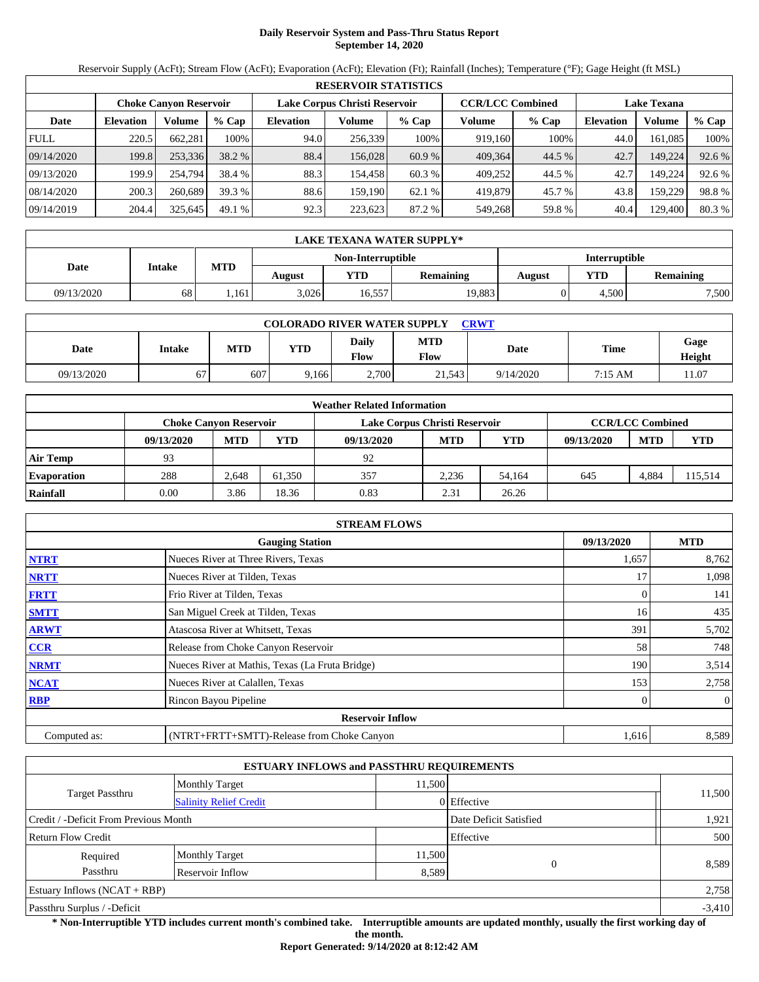# **Daily Reservoir System and Pass-Thru Status Report September 14, 2020**

Reservoir Supply (AcFt); Stream Flow (AcFt); Evaporation (AcFt); Elevation (Ft); Rainfall (Inches); Temperature (°F); Gage Height (ft MSL)

|             | <b>RESERVOIR STATISTICS</b>   |         |         |                  |                               |         |         |                         |                    |         |        |  |  |
|-------------|-------------------------------|---------|---------|------------------|-------------------------------|---------|---------|-------------------------|--------------------|---------|--------|--|--|
|             | <b>Choke Canyon Reservoir</b> |         |         |                  | Lake Corpus Christi Reservoir |         |         | <b>CCR/LCC Combined</b> | <b>Lake Texana</b> |         |        |  |  |
| Date        | <b>Elevation</b>              | Volume  | $%$ Cap | <b>Elevation</b> | Volume                        | $%$ Cap | Volume  | $%$ Cap                 | <b>Elevation</b>   | Volume  | % Cap  |  |  |
| <b>FULL</b> | 220.5                         | 662.281 | 100%    | 94.0             | 256,339                       | 100%    | 919.160 | 100%                    | 44.0               | 161.085 | 100%   |  |  |
| 09/14/2020  | 199.8                         | 253,336 | 38.2 %  | 88.4             | 156,028                       | 60.9 %  | 409.364 | 44.5 %                  | 42.7               | 149,224 | 92.6 % |  |  |
| 09/13/2020  | 199.9                         | 254,794 | 38.4 %  | 88.3             | 154.458                       | 60.3 %  | 409,252 | 44.5 %                  | 42.7               | 149.224 | 92.6 % |  |  |
| 08/14/2020  | 200.3                         | 260,689 | 39.3 %  | 88.6             | 159.190                       | 62.1%   | 419,879 | 45.7 %                  | 43.8               | 159.229 | 98.8%  |  |  |
| 09/14/2019  | 204.4                         | 325,645 | 49.1%   | 92.3             | 223,623                       | 87.2 %  | 549,268 | 59.8%                   | 40.4               | 129,400 | 80.3 % |  |  |

|            | LAKE TEXANA WATER SUPPLY*          |            |        |        |                  |        |                  |       |  |  |  |
|------------|------------------------------------|------------|--------|--------|------------------|--------|------------------|-------|--|--|--|
|            | Interruptible<br>Non-Interruptible |            |        |        |                  |        |                  |       |  |  |  |
| Date       | <b>Intake</b>                      | <b>MTD</b> | August | YTD    | <b>Remaining</b> | August | <b>Remaining</b> |       |  |  |  |
| 09/13/2020 | 68                                 | .161       | 3.026  | 16,557 | 19,883           |        | 4.500            | 7,500 |  |  |  |

| <b>COLORADO RIVER WATER SUPPLY</b><br>CRWT |        |            |            |                      |                    |           |         |                |  |  |  |
|--------------------------------------------|--------|------------|------------|----------------------|--------------------|-----------|---------|----------------|--|--|--|
| Date                                       | Intake | <b>MTD</b> | <b>YTD</b> | Daily<br><b>Flow</b> | <b>MTD</b><br>Flow | Date      | Time    | Gage<br>Height |  |  |  |
| 09/13/2020                                 | 67     | 607        | 9.166      | 2.700                | 21.543             | 9/14/2020 | 7:15 AM | 1.07           |  |  |  |

|                    | <b>Weather Related Information</b> |                               |        |                               |                         |            |            |            |            |  |  |  |
|--------------------|------------------------------------|-------------------------------|--------|-------------------------------|-------------------------|------------|------------|------------|------------|--|--|--|
|                    |                                    | <b>Choke Canvon Reservoir</b> |        | Lake Corpus Christi Reservoir | <b>CCR/LCC Combined</b> |            |            |            |            |  |  |  |
|                    | 09/13/2020                         | <b>MTD</b>                    | YTD    | 09/13/2020                    | <b>MTD</b>              | <b>YTD</b> | 09/13/2020 | <b>MTD</b> | <b>YTD</b> |  |  |  |
| <b>Air Temp</b>    | 93                                 |                               |        | 92                            |                         |            |            |            |            |  |  |  |
| <b>Evaporation</b> | 288                                | 2.648                         | 61.350 | 357                           | 2.236                   | 54.164     | 645        | 4,884      | 15,514     |  |  |  |
| Rainfall           | 0.00                               | 3.86                          | 18.36  | 0.83                          | 2.31                    | 26.26      |            |            |            |  |  |  |

|                                      | <b>STREAM FLOWS</b>                             |       |              |  |  |  |  |  |  |
|--------------------------------------|-------------------------------------------------|-------|--------------|--|--|--|--|--|--|
| <b>Gauging Station</b><br>09/13/2020 |                                                 |       |              |  |  |  |  |  |  |
| <b>NTRT</b>                          | Nueces River at Three Rivers, Texas             | 1,657 | 8,762        |  |  |  |  |  |  |
| <b>NRTT</b>                          | Nueces River at Tilden, Texas                   |       | 1,098        |  |  |  |  |  |  |
| <b>FRTT</b>                          | Frio River at Tilden, Texas                     |       | 141          |  |  |  |  |  |  |
| <b>SMTT</b>                          | San Miguel Creek at Tilden, Texas               | 16    | 435          |  |  |  |  |  |  |
| <b>ARWT</b>                          | Atascosa River at Whitsett, Texas               | 391   | 5,702        |  |  |  |  |  |  |
| <b>CCR</b>                           | Release from Choke Canyon Reservoir             | 58    | 748          |  |  |  |  |  |  |
| <b>NRMT</b>                          | Nueces River at Mathis, Texas (La Fruta Bridge) | 190   | 3,514        |  |  |  |  |  |  |
| <b>NCAT</b>                          | Nueces River at Calallen, Texas                 | 153   | 2,758        |  |  |  |  |  |  |
| <b>RBP</b>                           | Rincon Bayou Pipeline                           | 0     | $\mathbf{0}$ |  |  |  |  |  |  |
|                                      | <b>Reservoir Inflow</b>                         |       |              |  |  |  |  |  |  |
| Computed as:                         | (NTRT+FRTT+SMTT)-Release from Choke Canyon      | 1,616 | 8,589        |  |  |  |  |  |  |

| <b>ESTUARY INFLOWS and PASSTHRU REQUIREMENTS</b> |                               |        |                        |        |  |  |  |  |  |
|--------------------------------------------------|-------------------------------|--------|------------------------|--------|--|--|--|--|--|
|                                                  | <b>Monthly Target</b>         | 11.500 |                        |        |  |  |  |  |  |
| Target Passthru                                  | <b>Salinity Relief Credit</b> |        | 0 Effective            | 11,500 |  |  |  |  |  |
| Credit / -Deficit From Previous Month            |                               |        | Date Deficit Satisfied | 1,921  |  |  |  |  |  |
| <b>Return Flow Credit</b>                        |                               |        | Effective              | 500    |  |  |  |  |  |
| Required                                         | <b>Monthly Target</b>         | 11,500 | $\Omega$               |        |  |  |  |  |  |
| Passthru                                         | Reservoir Inflow              | 8,589  |                        | 8,589  |  |  |  |  |  |
| Estuary Inflows $(NCAT + RBP)$                   |                               |        |                        |        |  |  |  |  |  |
| Passthru Surplus / -Deficit                      |                               |        |                        |        |  |  |  |  |  |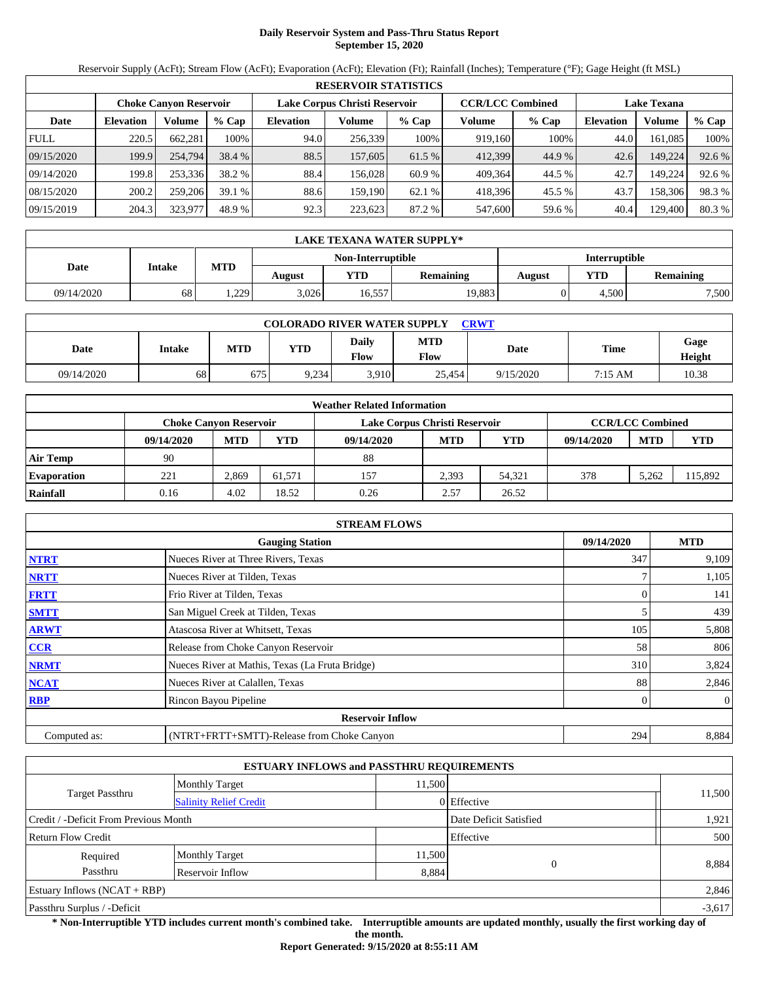# **Daily Reservoir System and Pass-Thru Status Report September 15, 2020**

Reservoir Supply (AcFt); Stream Flow (AcFt); Evaporation (AcFt); Elevation (Ft); Rainfall (Inches); Temperature (°F); Gage Height (ft MSL)

|             | <b>RESERVOIR STATISTICS</b> |                               |         |                               |         |         |                         |         |                    |         |        |  |  |
|-------------|-----------------------------|-------------------------------|---------|-------------------------------|---------|---------|-------------------------|---------|--------------------|---------|--------|--|--|
|             |                             | <b>Choke Canyon Reservoir</b> |         | Lake Corpus Christi Reservoir |         |         | <b>CCR/LCC Combined</b> |         | <b>Lake Texana</b> |         |        |  |  |
| Date        | <b>Elevation</b>            | Volume                        | $%$ Cap | <b>Elevation</b>              | Volume  | $%$ Cap | Volume                  | $%$ Cap | <b>Elevation</b>   | Volume  | % Cap  |  |  |
| <b>FULL</b> | 220.5                       | 662.281                       | 100%    | 94.0                          | 256,339 | 100%    | 919,160                 | 100%    | 44.0               | 161.085 | 100%   |  |  |
| 09/15/2020  | 199.9                       | 254,794                       | 38.4 %  | 88.5                          | 157,605 | 61.5 %  | 412,399                 | 44.9 %  | 42.6               | 149,224 | 92.6 % |  |  |
| 09/14/2020  | 199.8                       | 253.336                       | 38.2 %  | 88.4                          | 156.028 | 60.9 %  | 409.364                 | 44.5 %  | 42.7               | 149.224 | 92.6 % |  |  |
| 08/15/2020  | 200.2                       | 259,206                       | 39.1%   | 88.6                          | 159.190 | 62.1%   | 418.396                 | 45.5 %  | 43.7               | 158,306 | 98.3%  |  |  |
| 09/15/2019  | 204.3                       | 323,977                       | 48.9 %  | 92.3                          | 223,623 | 87.2 %  | 547,600                 | 59.6 %  | 40.4               | 129,400 | 80.3 % |  |  |

|            | <b>LAKE TEXANA WATER SUPPLY*</b> |            |        |                   |                  |                      |                  |       |  |  |  |  |
|------------|----------------------------------|------------|--------|-------------------|------------------|----------------------|------------------|-------|--|--|--|--|
|            |                                  |            |        | Non-Interruptible |                  | <b>Interruptible</b> |                  |       |  |  |  |  |
| Date       | Intake                           | <b>MTD</b> | August | YTD               | <b>Remaining</b> | August               | <b>Remaining</b> |       |  |  |  |  |
| 09/14/2020 | 68                               | 1,229      | 3.026  | 16.557            | 19,883           |                      | 4.500            | 7,500 |  |  |  |  |

| <b>COLORADO RIVER WATER SUPPLY</b><br>CRWT |        |            |            |                      |                    |           |         |                |  |  |
|--------------------------------------------|--------|------------|------------|----------------------|--------------------|-----------|---------|----------------|--|--|
| Date                                       | Intake | <b>MTD</b> | <b>YTD</b> | Daily<br><b>Flow</b> | <b>MTD</b><br>Flow | Date      | Time    | Gage<br>Height |  |  |
| 09/14/2020                                 | 68     | 675        | 9.234      | 3.910                | 25.454             | 9/15/2020 | 7:15 AM | 10.38          |  |  |

|                    | <b>Weather Related Information</b> |                               |        |                               |                         |            |            |            |            |  |  |  |
|--------------------|------------------------------------|-------------------------------|--------|-------------------------------|-------------------------|------------|------------|------------|------------|--|--|--|
|                    |                                    | <b>Choke Canvon Reservoir</b> |        | Lake Corpus Christi Reservoir | <b>CCR/LCC Combined</b> |            |            |            |            |  |  |  |
|                    | 09/14/2020                         | <b>MTD</b>                    | YTD    | 09/14/2020                    | <b>MTD</b>              | <b>YTD</b> | 09/14/2020 | <b>MTD</b> | <b>YTD</b> |  |  |  |
| <b>Air Temp</b>    | 90                                 |                               |        | 88                            |                         |            |            |            |            |  |  |  |
| <b>Evaporation</b> | 221                                | 2.869                         | 61.571 | 157                           | 2.393                   | 54.321     | 378        | 5.262      | 15,892     |  |  |  |
| Rainfall           | 0.16                               | 4.02                          | 18.52  | 0.26                          | 2.57                    | 26.52      |            |            |            |  |  |  |

|              | <b>STREAM FLOWS</b>                             |            |              |  |  |  |  |  |  |  |
|--------------|-------------------------------------------------|------------|--------------|--|--|--|--|--|--|--|
|              | <b>Gauging Station</b>                          | 09/14/2020 | <b>MTD</b>   |  |  |  |  |  |  |  |
| <b>NTRT</b>  | Nueces River at Three Rivers, Texas             | 347        | 9,109        |  |  |  |  |  |  |  |
| <b>NRTT</b>  | Nueces River at Tilden, Texas                   |            | 1,105        |  |  |  |  |  |  |  |
| <b>FRTT</b>  | Frio River at Tilden, Texas                     |            | 141          |  |  |  |  |  |  |  |
| <b>SMTT</b>  | San Miguel Creek at Tilden, Texas               |            | 439          |  |  |  |  |  |  |  |
| <b>ARWT</b>  | Atascosa River at Whitsett, Texas               | 105        | 5,808        |  |  |  |  |  |  |  |
| <b>CCR</b>   | Release from Choke Canyon Reservoir             | 58         | 806          |  |  |  |  |  |  |  |
| <b>NRMT</b>  | Nueces River at Mathis, Texas (La Fruta Bridge) | 310        | 3,824        |  |  |  |  |  |  |  |
| <b>NCAT</b>  | Nueces River at Calallen, Texas                 | 88         | 2,846        |  |  |  |  |  |  |  |
| <b>RBP</b>   | Rincon Bayou Pipeline                           | 0          | $\mathbf{0}$ |  |  |  |  |  |  |  |
|              | <b>Reservoir Inflow</b>                         |            |              |  |  |  |  |  |  |  |
| Computed as: | (NTRT+FRTT+SMTT)-Release from Choke Canyon      | 294        | 8,884        |  |  |  |  |  |  |  |

|                                       |                               | <b>ESTUARY INFLOWS and PASSTHRU REQUIREMENTS</b> |             |          |
|---------------------------------------|-------------------------------|--------------------------------------------------|-------------|----------|
|                                       | <b>Monthly Target</b>         | 11.500                                           |             |          |
| <b>Target Passthru</b>                | <b>Salinity Relief Credit</b> |                                                  | 0 Effective | 11,500   |
| Credit / -Deficit From Previous Month |                               | Date Deficit Satisfied                           | 1,921       |          |
| <b>Return Flow Credit</b>             |                               |                                                  | Effective   | 500      |
| Required                              | <b>Monthly Target</b>         | 11,500                                           |             |          |
| Passthru                              | Reservoir Inflow              | 8,884                                            | $\Omega$    | 8,884    |
| Estuary Inflows $(NCAT + RBP)$        |                               |                                                  |             | 2,846    |
| Passthru Surplus / -Deficit           |                               |                                                  |             | $-3,617$ |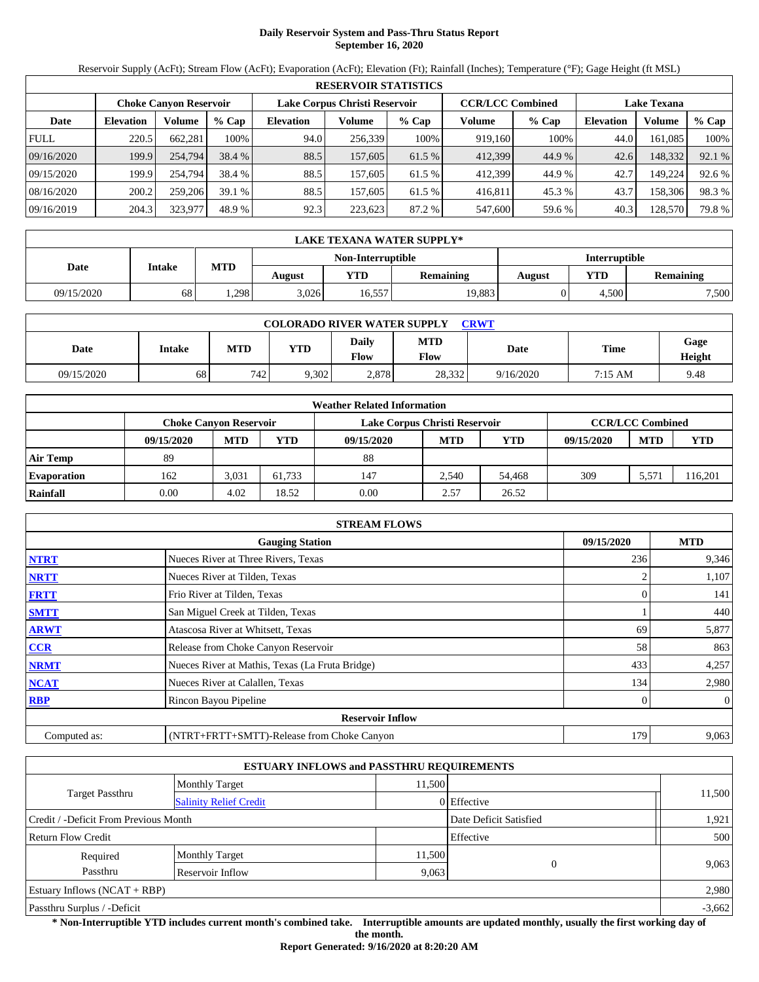# **Daily Reservoir System and Pass-Thru Status Report September 16, 2020**

Reservoir Supply (AcFt); Stream Flow (AcFt); Evaporation (AcFt); Elevation (Ft); Rainfall (Inches); Temperature (°F); Gage Height (ft MSL)

|             | <b>RESERVOIR STATISTICS</b>   |         |         |                               |         |         |                         |         |                    |         |        |  |  |
|-------------|-------------------------------|---------|---------|-------------------------------|---------|---------|-------------------------|---------|--------------------|---------|--------|--|--|
|             | <b>Choke Canyon Reservoir</b> |         |         | Lake Corpus Christi Reservoir |         |         | <b>CCR/LCC Combined</b> |         | <b>Lake Texana</b> |         |        |  |  |
| Date        | <b>Elevation</b>              | Volume  | $%$ Cap | <b>Elevation</b>              | Volume  | $%$ Cap | Volume                  | $%$ Cap | <b>Elevation</b>   | Volume  | % Cap  |  |  |
| <b>FULL</b> | 220.5                         | 662.281 | 100%    | 94.0                          | 256,339 | 100%    | 919,160                 | 100%    | 44.0               | 161.085 | 100%   |  |  |
| 09/16/2020  | 199.9                         | 254,794 | 38.4 %  | 88.5                          | 157,605 | 61.5 %  | 412,399                 | 44.9 %  | 42.6               | 148,332 | 92.1 % |  |  |
| 09/15/2020  | 199.9                         | 254,794 | 38.4 %  | 88.5                          | 157,605 | 61.5 %  | 412.399                 | 44.9 %  | 42.7               | 149.224 | 92.6 % |  |  |
| 08/16/2020  | 200.2                         | 259,206 | 39.1%   | 88.5                          | 157.605 | 61.5 %  | 416.811                 | 45.3 %  | 43.7               | 158,306 | 98.3%  |  |  |
| 09/16/2019  | 204.3                         | 323,977 | 48.9 %  | 92.3                          | 223,623 | 87.2 %  | 547,600                 | 59.6 %  | 40.3               | 128,570 | 79.8%  |  |  |

|            | LAKE TEXANA WATER SUPPLY* |            |        |                   |                  |               |                  |       |  |  |  |
|------------|---------------------------|------------|--------|-------------------|------------------|---------------|------------------|-------|--|--|--|
|            |                           |            |        | Non-Interruptible |                  | Interruptible |                  |       |  |  |  |
| Date       | <b>Intake</b>             | <b>MTD</b> | August | YTD               | <b>Remaining</b> | August        | <b>Remaining</b> |       |  |  |  |
| 09/15/2020 | 68                        | .298       | 3.026  | 16,557            | 19,883           |               | 4.500            | 7,500 |  |  |  |

| <b>COLORADO RIVER WATER SUPPLY</b><br>CRWT |        |            |            |                      |                    |           |         |                |  |  |
|--------------------------------------------|--------|------------|------------|----------------------|--------------------|-----------|---------|----------------|--|--|
| Date                                       | Intake | <b>MTD</b> | <b>YTD</b> | Daily<br><b>Flow</b> | <b>MTD</b><br>Flow | Date      | Time    | Gage<br>Height |  |  |
| 09/15/2020                                 | 68     | 742        | 9,302      | 2.878                | 28,332             | 9/16/2020 | 7:15 AM | 9.48           |  |  |

|                    | <b>Weather Related Information</b> |            |        |                               |                         |            |            |            |            |  |  |  |
|--------------------|------------------------------------|------------|--------|-------------------------------|-------------------------|------------|------------|------------|------------|--|--|--|
|                    | <b>Choke Canvon Reservoir</b>      |            |        | Lake Corpus Christi Reservoir | <b>CCR/LCC Combined</b> |            |            |            |            |  |  |  |
|                    | 09/15/2020                         | <b>MTD</b> | YTD    | 09/15/2020                    | <b>MTD</b>              | <b>YTD</b> | 09/15/2020 | <b>MTD</b> | <b>YTD</b> |  |  |  |
| <b>Air Temp</b>    | 89                                 |            |        | 88                            |                         |            |            |            |            |  |  |  |
| <b>Evaporation</b> | 162                                | 3.031      | 61.733 | 147                           | 2.540                   | 54.468     | 309        | 5.571      | 116,201    |  |  |  |
| Rainfall           | 0.00                               | 4.02       | 18.52  | 0.00                          | 2.57                    | 26.52      |            |            |            |  |  |  |

|              | <b>STREAM FLOWS</b>                             |            |              |  |  |  |  |  |  |
|--------------|-------------------------------------------------|------------|--------------|--|--|--|--|--|--|
|              | <b>Gauging Station</b>                          | 09/15/2020 | <b>MTD</b>   |  |  |  |  |  |  |
| <b>NTRT</b>  | Nueces River at Three Rivers, Texas             | 236        | 9,346        |  |  |  |  |  |  |
| <b>NRTT</b>  | Nueces River at Tilden, Texas                   |            | 1,107        |  |  |  |  |  |  |
| <b>FRTT</b>  | Frio River at Tilden, Texas                     |            | 141          |  |  |  |  |  |  |
| <b>SMTT</b>  | San Miguel Creek at Tilden, Texas               |            | 440          |  |  |  |  |  |  |
| <b>ARWT</b>  | Atascosa River at Whitsett, Texas               | 69         | 5,877        |  |  |  |  |  |  |
| CCR          | Release from Choke Canyon Reservoir             | 58         | 863          |  |  |  |  |  |  |
| <b>NRMT</b>  | Nueces River at Mathis, Texas (La Fruta Bridge) | 433        | 4,257        |  |  |  |  |  |  |
| <b>NCAT</b>  | Nueces River at Calallen, Texas                 | 134        | 2,980        |  |  |  |  |  |  |
| <b>RBP</b>   | Rincon Bayou Pipeline                           |            | $\mathbf{0}$ |  |  |  |  |  |  |
|              | <b>Reservoir Inflow</b>                         |            |              |  |  |  |  |  |  |
| Computed as: | (NTRT+FRTT+SMTT)-Release from Choke Canyon      | 179        | 9,063        |  |  |  |  |  |  |

|                                       | <b>ESTUARY INFLOWS and PASSTHRU REQUIREMENTS</b> |                        |             |          |
|---------------------------------------|--------------------------------------------------|------------------------|-------------|----------|
|                                       | <b>Monthly Target</b>                            | 11.500                 |             |          |
| Target Passthru                       | <b>Salinity Relief Credit</b>                    |                        | 0 Effective | 11,500   |
| Credit / -Deficit From Previous Month |                                                  | Date Deficit Satisfied | 1,921       |          |
| <b>Return Flow Credit</b>             |                                                  |                        | Effective   | 500      |
| Required                              | <b>Monthly Target</b>                            | 11,500                 |             |          |
| Passthru                              | Reservoir Inflow                                 | 9,063                  |             | 9,063    |
| Estuary Inflows $(NCAT + RBP)$        |                                                  |                        |             | 2,980    |
| Passthru Surplus / -Deficit           |                                                  |                        |             | $-3,662$ |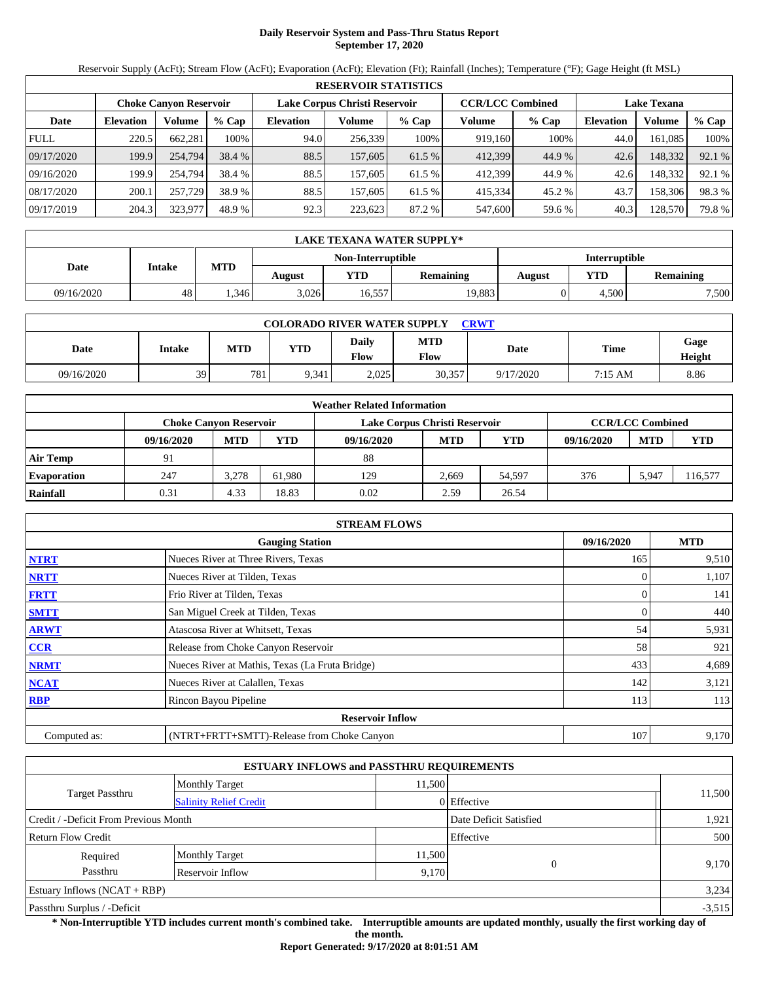# **Daily Reservoir System and Pass-Thru Status Report September 17, 2020**

Reservoir Supply (AcFt); Stream Flow (AcFt); Evaporation (AcFt); Elevation (Ft); Rainfall (Inches); Temperature (°F); Gage Height (ft MSL)

| <b>RESERVOIR STATISTICS</b> |                               |         |         |                               |         |         |                         |         |                    |         |        |  |
|-----------------------------|-------------------------------|---------|---------|-------------------------------|---------|---------|-------------------------|---------|--------------------|---------|--------|--|
|                             | <b>Choke Canyon Reservoir</b> |         |         | Lake Corpus Christi Reservoir |         |         | <b>CCR/LCC Combined</b> |         | <b>Lake Texana</b> |         |        |  |
| Date                        | <b>Elevation</b>              | Volume  | $%$ Cap | <b>Elevation</b>              | Volume  | $%$ Cap | Volume                  | $%$ Cap | <b>Elevation</b>   | Volume  | % Cap  |  |
| <b>FULL</b>                 | 220.5                         | 662,281 | 100%    | 94.0                          | 256,339 | 100%    | 919,160                 | 100%    | 44.0               | 161.085 | 100%   |  |
| 09/17/2020                  | 199.9                         | 254,794 | 38.4 %  | 88.5                          | 157,605 | 61.5 %  | 412,399                 | 44.9 %  | 42.6               | 148,332 | 92.1 % |  |
| 09/16/2020                  | 199.9                         | 254.794 | 38.4 %  | 88.5                          | 157,605 | 61.5 %  | 412,399                 | 44.9 %  | 42.6               | 148,332 | 92.1 % |  |
| 08/17/2020                  | 200.1                         | 257,729 | 38.9 %  | 88.5                          | 157,605 | 61.5 %  | 415,334                 | 45.2 %  | 43.7               | 158,306 | 98.3%  |  |
| 09/17/2019                  | 204.3                         | 323,977 | 48.9 %  | 92.3                          | 223,623 | 87.2 %  | 547,600                 | 59.6 %  | 40.3               | 128,570 | 79.8%  |  |

| LAKE TEXANA WATER SUPPLY* |        |            |        |                   |                  |                      |       |                  |  |  |
|---------------------------|--------|------------|--------|-------------------|------------------|----------------------|-------|------------------|--|--|
|                           |        |            |        | Non-Interruptible |                  | <b>Interruptible</b> |       |                  |  |  |
| Date                      | Intake | <b>MTD</b> | August | YTD               | <b>Remaining</b> | August               | YTD   | <b>Remaining</b> |  |  |
| 09/16/2020                | 48     | .346       | 3.026  | 16.557            | 19,883           |                      | 4.500 | 7,500            |  |  |

| <b>COLORADO RIVER WATER SUPPLY</b><br>CRWT |        |            |            |                      |                    |           |         |                |  |  |  |
|--------------------------------------------|--------|------------|------------|----------------------|--------------------|-----------|---------|----------------|--|--|--|
| Date                                       | Intake | <b>MTD</b> | <b>YTD</b> | Daily<br><b>Flow</b> | <b>MTD</b><br>Flow | Date      | Time    | Gage<br>Height |  |  |  |
| 09/16/2020                                 | 39     | 781        | 9.341      | 2.025                | 30,357             | 9/17/2020 | 7:15 AM | 8.86           |  |  |  |

| <b>Weather Related Information</b> |                               |            |        |                               |                         |            |            |            |            |  |  |
|------------------------------------|-------------------------------|------------|--------|-------------------------------|-------------------------|------------|------------|------------|------------|--|--|
|                                    | <b>Choke Canvon Reservoir</b> |            |        | Lake Corpus Christi Reservoir | <b>CCR/LCC Combined</b> |            |            |            |            |  |  |
|                                    | 09/16/2020                    | <b>MTD</b> | YTD    | 09/16/2020                    | <b>MTD</b>              | <b>YTD</b> | 09/16/2020 | <b>MTD</b> | <b>YTD</b> |  |  |
| <b>Air Temp</b>                    |                               |            |        | 88                            |                         |            |            |            |            |  |  |
| <b>Evaporation</b>                 | 247                           | 3.278      | 61.980 | 129                           | 2.669                   | 54.597     | 376        | 5.947      | 116,577    |  |  |
| Rainfall                           | 0.31                          | 4.33       | 18.83  | 0.02                          | 2.59                    | 26.54      |            |            |            |  |  |

| <b>STREAM FLOWS</b>                                |                                                 |     |       |  |  |  |  |  |
|----------------------------------------------------|-------------------------------------------------|-----|-------|--|--|--|--|--|
| 09/16/2020<br><b>MTD</b><br><b>Gauging Station</b> |                                                 |     |       |  |  |  |  |  |
| <b>NTRT</b>                                        | Nueces River at Three Rivers, Texas             | 165 | 9,510 |  |  |  |  |  |
| <b>NRTT</b>                                        | Nueces River at Tilden, Texas                   |     | 1,107 |  |  |  |  |  |
| <b>FRTT</b>                                        | Frio River at Tilden, Texas                     |     | 141   |  |  |  |  |  |
| <b>SMTT</b>                                        | San Miguel Creek at Tilden, Texas               | 0   | 440   |  |  |  |  |  |
| <b>ARWT</b>                                        | Atascosa River at Whitsett, Texas               | 54  | 5,931 |  |  |  |  |  |
| CCR                                                | Release from Choke Canyon Reservoir             | 58  | 921   |  |  |  |  |  |
| <b>NRMT</b>                                        | Nueces River at Mathis, Texas (La Fruta Bridge) | 433 | 4,689 |  |  |  |  |  |
| <b>NCAT</b>                                        | Nueces River at Calallen, Texas                 | 142 | 3,121 |  |  |  |  |  |
| <b>RBP</b>                                         | Rincon Bayou Pipeline                           | 113 | 113   |  |  |  |  |  |
|                                                    | <b>Reservoir Inflow</b>                         |     |       |  |  |  |  |  |
| Computed as:                                       | (NTRT+FRTT+SMTT)-Release from Choke Canyon      | 107 | 9,170 |  |  |  |  |  |

|                                       |                               | <b>ESTUARY INFLOWS and PASSTHRU REQUIREMENTS</b> |             |          |
|---------------------------------------|-------------------------------|--------------------------------------------------|-------------|----------|
|                                       | <b>Monthly Target</b>         | 11.500                                           |             |          |
| <b>Target Passthru</b>                | <b>Salinity Relief Credit</b> |                                                  | 0 Effective | 11,500   |
| Credit / -Deficit From Previous Month |                               | Date Deficit Satisfied                           | 1,921       |          |
| <b>Return Flow Credit</b>             |                               |                                                  | Effective   | 500      |
| Required                              | <b>Monthly Target</b>         | 11,500                                           |             |          |
| Passthru                              | Reservoir Inflow              | 9,170                                            | $\Omega$    | 9,170    |
| Estuary Inflows $(NCAT + RBP)$        |                               |                                                  |             | 3,234    |
| Passthru Surplus / -Deficit           |                               |                                                  |             | $-3,515$ |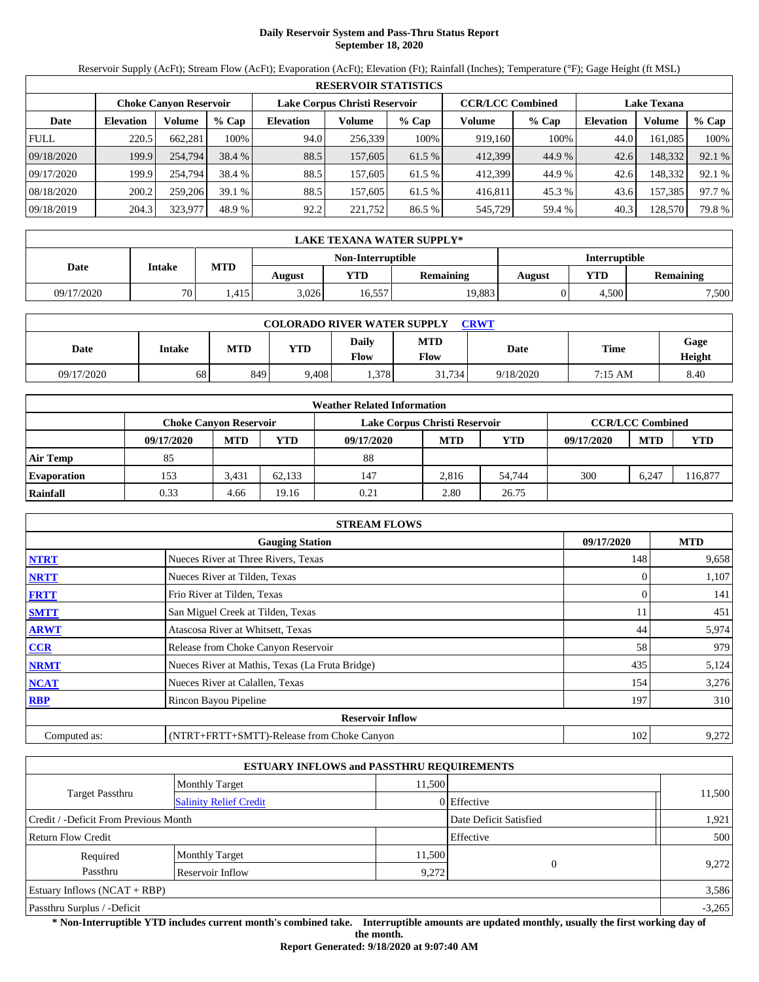# **Daily Reservoir System and Pass-Thru Status Report September 18, 2020**

Reservoir Supply (AcFt); Stream Flow (AcFt); Evaporation (AcFt); Elevation (Ft); Rainfall (Inches); Temperature (°F); Gage Height (ft MSL)

|             | <b>RESERVOIR STATISTICS</b> |                               |         |                               |         |         |                         |         |                    |         |        |  |  |
|-------------|-----------------------------|-------------------------------|---------|-------------------------------|---------|---------|-------------------------|---------|--------------------|---------|--------|--|--|
|             |                             | <b>Choke Canyon Reservoir</b> |         | Lake Corpus Christi Reservoir |         |         | <b>CCR/LCC Combined</b> |         | <b>Lake Texana</b> |         |        |  |  |
| Date        | <b>Elevation</b>            | Volume                        | $%$ Cap | <b>Elevation</b>              | Volume  | $%$ Cap | Volume                  | $%$ Cap | <b>Elevation</b>   | Volume  | % Cap  |  |  |
| <b>FULL</b> | 220.5                       | 662.281                       | 100%    | 94.0                          | 256,339 | 100%    | 919,160                 | 100%    | 44.0               | 161.085 | 100%   |  |  |
| 09/18/2020  | 199.9                       | 254,794                       | 38.4 %  | 88.5                          | 157,605 | 61.5 %  | 412,399                 | 44.9 %  | 42.6               | 148,332 | 92.1 % |  |  |
| 09/17/2020  | 199.9                       | 254,794                       | 38.4 %  | 88.5                          | 157,605 | 61.5 %  | 412.399                 | 44.9 %  | 42.6               | 148.332 | 92.1 % |  |  |
| 08/18/2020  | 200.2                       | 259,206                       | 39.1%   | 88.5                          | 157.605 | 61.5 %  | 416.811                 | 45.3 %  | 43.6               | 157,385 | 97.7 % |  |  |
| 09/18/2019  | 204.3                       | 323,977                       | 48.9 %  | 92.2                          | 221,752 | 86.5 %  | 545,729                 | 59.4 %  | 40.3               | 128,570 | 79.8%  |  |  |

| LAKE TEXANA WATER SUPPLY* |               |            |        |                   |                  |               |       |                  |  |  |
|---------------------------|---------------|------------|--------|-------------------|------------------|---------------|-------|------------------|--|--|
|                           |               |            |        | Non-Interruptible |                  | Interruptible |       |                  |  |  |
| Date                      | <b>Intake</b> | <b>MTD</b> | August | YTD               | <b>Remaining</b> | <b>August</b> | YTD   | <b>Remaining</b> |  |  |
| 09/17/2020                | 70 L          | .415       | 3.026  | 16,557            | 19,883           |               | 4.500 | 7,500            |  |  |

| <b>COLORADO RIVER WATER SUPPLY</b><br>CRWT |        |            |            |                      |                    |           |         |                |  |  |  |
|--------------------------------------------|--------|------------|------------|----------------------|--------------------|-----------|---------|----------------|--|--|--|
| Date                                       | Intake | <b>MTD</b> | <b>YTD</b> | Daily<br><b>Flow</b> | <b>MTD</b><br>Flow | Date      | Time    | Gage<br>Height |  |  |  |
| 09/17/2020                                 | 68     | 849        | 9.408      | .378                 | 31,734             | 9/18/2020 | 7:15 AM | 8.40           |  |  |  |

| <b>Weather Related Information</b> |            |                               |        |                               |                         |            |            |            |            |  |  |
|------------------------------------|------------|-------------------------------|--------|-------------------------------|-------------------------|------------|------------|------------|------------|--|--|
|                                    |            | <b>Choke Canvon Reservoir</b> |        | Lake Corpus Christi Reservoir | <b>CCR/LCC Combined</b> |            |            |            |            |  |  |
|                                    | 09/17/2020 | <b>MTD</b>                    | YTD    | 09/17/2020                    | <b>MTD</b>              | <b>YTD</b> | 09/17/2020 | <b>MTD</b> | <b>YTD</b> |  |  |
| <b>Air Temp</b>                    | 85         |                               |        | 88                            |                         |            |            |            |            |  |  |
| <b>Evaporation</b>                 | 153        | 3.431                         | 62.133 | 147                           | 2.816                   | 54.744     | 300        | 6,247      | 16,877     |  |  |
| Rainfall                           | 0.33       | 4.66                          | 19.16  | 0.21                          | 2.80                    | 26.75      |            |            |            |  |  |

| <b>STREAM FLOWS</b> |                                                 |          |       |  |  |  |  |  |  |
|---------------------|-------------------------------------------------|----------|-------|--|--|--|--|--|--|
|                     | <b>Gauging Station</b>                          |          |       |  |  |  |  |  |  |
| <b>NTRT</b>         | Nueces River at Three Rivers, Texas             | 148      | 9,658 |  |  |  |  |  |  |
| <b>NRTT</b>         | Nueces River at Tilden, Texas                   |          | 1,107 |  |  |  |  |  |  |
| <b>FRTT</b>         | Frio River at Tilden, Texas                     | $\Omega$ | 141   |  |  |  |  |  |  |
| <b>SMTT</b>         | San Miguel Creek at Tilden, Texas               | 11       | 451   |  |  |  |  |  |  |
| <b>ARWT</b>         | Atascosa River at Whitsett, Texas               | 44       | 5,974 |  |  |  |  |  |  |
| CCR                 | Release from Choke Canyon Reservoir             | 58       | 979   |  |  |  |  |  |  |
| <b>NRMT</b>         | Nueces River at Mathis, Texas (La Fruta Bridge) | 435      | 5,124 |  |  |  |  |  |  |
| <b>NCAT</b>         | Nueces River at Calallen, Texas                 | 154      | 3,276 |  |  |  |  |  |  |
| <b>RBP</b>          | Rincon Bayou Pipeline                           | 197      | 310   |  |  |  |  |  |  |
|                     | <b>Reservoir Inflow</b>                         |          |       |  |  |  |  |  |  |
| Computed as:        | (NTRT+FRTT+SMTT)-Release from Choke Canyon      | 102      | 9,272 |  |  |  |  |  |  |

|                                       |                               | <b>ESTUARY INFLOWS and PASSTHRU REQUIREMENTS</b> |             |        |  |  |
|---------------------------------------|-------------------------------|--------------------------------------------------|-------------|--------|--|--|
|                                       | <b>Monthly Target</b>         | 11.500                                           |             |        |  |  |
| Target Passthru                       | <b>Salinity Relief Credit</b> |                                                  | 0 Effective | 11,500 |  |  |
| Credit / -Deficit From Previous Month |                               | Date Deficit Satisfied                           | 1,921       |        |  |  |
| <b>Return Flow Credit</b>             |                               |                                                  | Effective   | 500    |  |  |
| Required                              | <b>Monthly Target</b>         | 11,500                                           |             |        |  |  |
| Passthru                              | Reservoir Inflow              | 9,272                                            | $\Omega$    | 9,272  |  |  |
| Estuary Inflows $(NCAT + RBP)$        |                               |                                                  |             | 3,586  |  |  |
| Passthru Surplus / -Deficit           |                               |                                                  |             |        |  |  |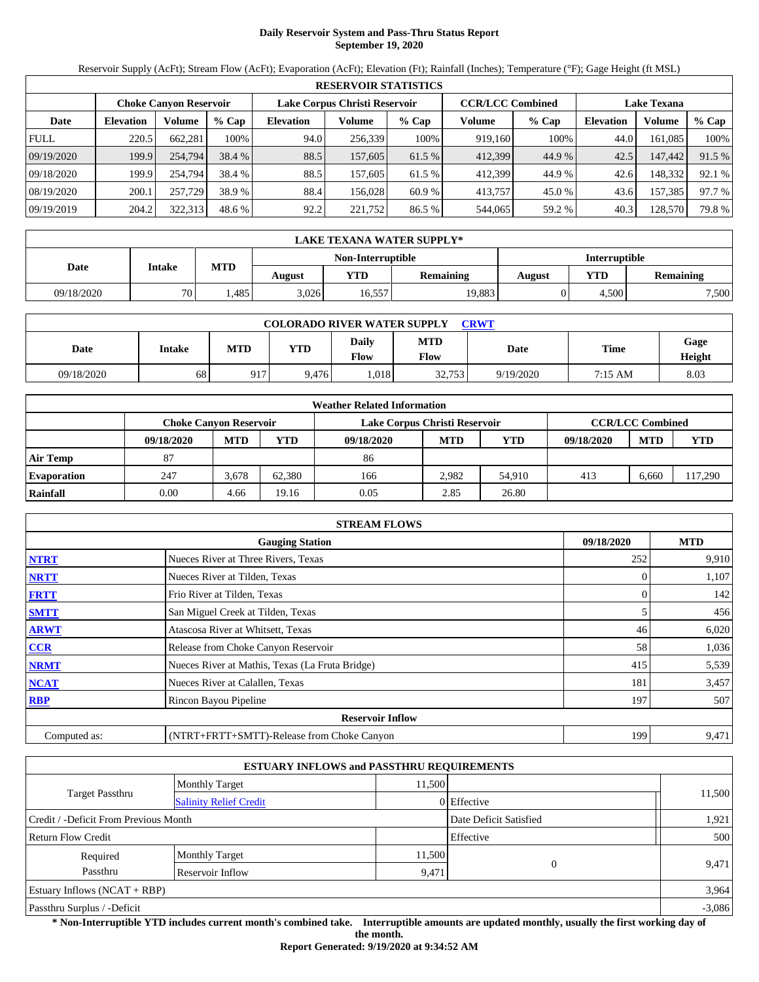# **Daily Reservoir System and Pass-Thru Status Report September 19, 2020**

Reservoir Supply (AcFt); Stream Flow (AcFt); Evaporation (AcFt); Elevation (Ft); Rainfall (Inches); Temperature (°F); Gage Height (ft MSL)

|             | <b>RESERVOIR STATISTICS</b>   |         |         |                               |         |         |                         |         |                    |         |        |  |
|-------------|-------------------------------|---------|---------|-------------------------------|---------|---------|-------------------------|---------|--------------------|---------|--------|--|
|             | <b>Choke Canyon Reservoir</b> |         |         | Lake Corpus Christi Reservoir |         |         | <b>CCR/LCC Combined</b> |         | <b>Lake Texana</b> |         |        |  |
| Date        | <b>Elevation</b>              | Volume  | $%$ Cap | <b>Elevation</b>              | Volume  | $%$ Cap | Volume                  | $%$ Cap | <b>Elevation</b>   | Volume  | % Cap  |  |
| <b>FULL</b> | 220.5                         | 662.281 | 100%    | 94.0                          | 256,339 | 100%    | 919,160                 | 100%    | 44.0               | 161.085 | 100%   |  |
| 09/19/2020  | 199.9                         | 254,794 | 38.4 %  | 88.5                          | 157,605 | 61.5 %  | 412,399                 | 44.9 %  | 42.5               | 147,442 | 91.5 % |  |
| 09/18/2020  | 199.9                         | 254,794 | 38.4 %  | 88.5                          | 157,605 | 61.5 %  | 412.399                 | 44.9 %  | 42.6               | 148.332 | 92.1 % |  |
| 08/19/2020  | 200.1                         | 257,729 | 38.9 %  | 88.4                          | 156.028 | 60.9 %  | 413,757                 | 45.0 %  | 43.6               | 157,385 | 97.7 % |  |
| 09/19/2019  | 204.2                         | 322,313 | 48.6 %  | 92.2                          | 221,752 | 86.5 %  | 544,065                 | 59.2 %  | 40.3               | 128,570 | 79.8%  |  |

|            | LAKE TEXANA WATER SUPPLY* |            |        |                   |                  |               |       |                  |  |  |  |
|------------|---------------------------|------------|--------|-------------------|------------------|---------------|-------|------------------|--|--|--|
|            |                           |            |        | Non-Interruptible |                  | Interruptible |       |                  |  |  |  |
| Date       | <b>Intake</b>             | <b>MTD</b> | August | YTD               | <b>Remaining</b> | August        | YTD   | <b>Remaining</b> |  |  |  |
| 09/18/2020 | 70 L                      | .485       | 3.026  | 16,557            | 19,883           |               | 4.500 | 7,500            |  |  |  |

| <b>COLORADO RIVER WATER SUPPLY</b><br>CRWT |        |            |            |                      |                    |           |         |                |  |  |  |
|--------------------------------------------|--------|------------|------------|----------------------|--------------------|-----------|---------|----------------|--|--|--|
| Date                                       | Intake | <b>MTD</b> | <b>YTD</b> | Daily<br><b>Flow</b> | <b>MTD</b><br>Flow | Date      | Time    | Gage<br>Height |  |  |  |
| 09/18/2020                                 | 68     | 917        | 9.476      | .018                 | 32.753             | 9/19/2020 | 7:15 AM | 8.03           |  |  |  |

|                    |                               |            |        | <b>Weather Related Information</b> |                         |            |            |            |            |
|--------------------|-------------------------------|------------|--------|------------------------------------|-------------------------|------------|------------|------------|------------|
|                    | <b>Choke Canvon Reservoir</b> |            |        | Lake Corpus Christi Reservoir      | <b>CCR/LCC Combined</b> |            |            |            |            |
|                    | 09/18/2020                    | <b>MTD</b> | YTD    | 09/18/2020                         | <b>MTD</b>              | <b>YTD</b> | 09/18/2020 | <b>MTD</b> | <b>YTD</b> |
| <b>Air Temp</b>    | 87                            |            |        | 86                                 |                         |            |            |            |            |
| <b>Evaporation</b> | 247                           | 3.678      | 62.380 | 166                                | 2.982                   | 54.910     | 413        | 6.660      | 117,290    |
| Rainfall           | 0.00                          | 4.66       | 19.16  | 0.05                               | 2.85                    | 26.80      |            |            |            |

|                                                    | <b>STREAM FLOWS</b>                             |     |       |  |  |  |  |  |
|----------------------------------------------------|-------------------------------------------------|-----|-------|--|--|--|--|--|
| <b>MTD</b><br><b>Gauging Station</b><br>09/18/2020 |                                                 |     |       |  |  |  |  |  |
| <b>NTRT</b>                                        | Nueces River at Three Rivers, Texas             | 252 | 9,910 |  |  |  |  |  |
| <b>NRTT</b>                                        | Nueces River at Tilden, Texas                   | 0   | 1,107 |  |  |  |  |  |
| <b>FRTT</b>                                        | Frio River at Tilden, Texas                     |     | 142   |  |  |  |  |  |
| <b>SMTT</b>                                        | San Miguel Creek at Tilden, Texas               | 5   | 456   |  |  |  |  |  |
| <b>ARWT</b>                                        | Atascosa River at Whitsett, Texas               | 46  | 6,020 |  |  |  |  |  |
| CCR                                                | Release from Choke Canyon Reservoir             | 58  | 1,036 |  |  |  |  |  |
| <b>NRMT</b>                                        | Nueces River at Mathis, Texas (La Fruta Bridge) | 415 | 5,539 |  |  |  |  |  |
| <b>NCAT</b>                                        | Nueces River at Calallen, Texas                 | 181 | 3,457 |  |  |  |  |  |
| <b>RBP</b>                                         | Rincon Bayou Pipeline                           | 197 | 507   |  |  |  |  |  |
|                                                    | <b>Reservoir Inflow</b>                         |     |       |  |  |  |  |  |
| Computed as:                                       | (NTRT+FRTT+SMTT)-Release from Choke Canyon      | 199 | 9,471 |  |  |  |  |  |

|                                       |                               | <b>ESTUARY INFLOWS and PASSTHRU REQUIREMENTS</b> |             |          |
|---------------------------------------|-------------------------------|--------------------------------------------------|-------------|----------|
|                                       | <b>Monthly Target</b>         | 11.500                                           |             |          |
| <b>Target Passthru</b>                | <b>Salinity Relief Credit</b> |                                                  | 0 Effective | 11,500   |
| Credit / -Deficit From Previous Month |                               | Date Deficit Satisfied                           | 1,921       |          |
| <b>Return Flow Credit</b>             |                               |                                                  | Effective   | 500      |
| Required                              | <b>Monthly Target</b>         | 11,500                                           |             |          |
| Passthru                              | Reservoir Inflow              | 9,471                                            | $\Omega$    | 9,471    |
| Estuary Inflows $(NCAT + RBP)$        |                               |                                                  |             | 3,964    |
| Passthru Surplus / -Deficit           |                               |                                                  |             | $-3,086$ |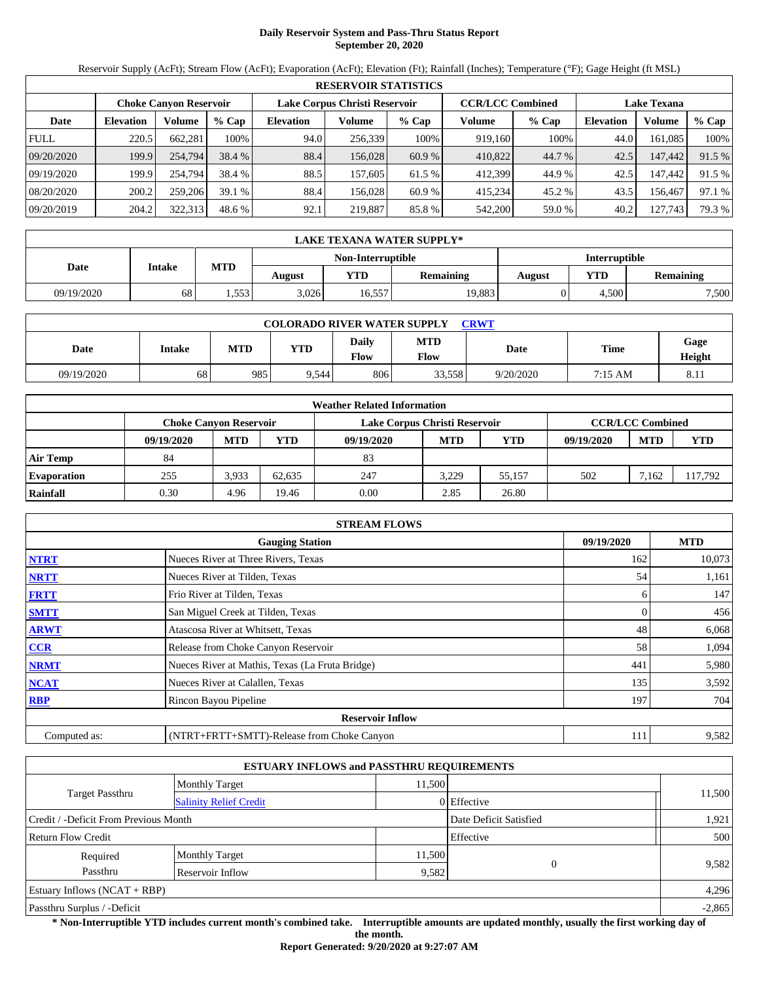# **Daily Reservoir System and Pass-Thru Status Report September 20, 2020**

Reservoir Supply (AcFt); Stream Flow (AcFt); Evaporation (AcFt); Elevation (Ft); Rainfall (Inches); Temperature (°F); Gage Height (ft MSL)

|             | <b>RESERVOIR STATISTICS</b>   |         |         |                               |         |         |                         |         |                    |         |        |  |
|-------------|-------------------------------|---------|---------|-------------------------------|---------|---------|-------------------------|---------|--------------------|---------|--------|--|
|             | <b>Choke Canyon Reservoir</b> |         |         | Lake Corpus Christi Reservoir |         |         | <b>CCR/LCC Combined</b> |         | <b>Lake Texana</b> |         |        |  |
| Date        | <b>Elevation</b>              | Volume  | $%$ Cap | <b>Elevation</b>              | Volume  | $%$ Cap | Volume                  | $%$ Cap | <b>Elevation</b>   | Volume  | % Cap  |  |
| <b>FULL</b> | 220.5                         | 662.281 | 100%    | 94.0                          | 256,339 | 100%    | 919,160                 | 100%    | 44.0               | 161.085 | 100%   |  |
| 09/20/2020  | 199.9                         | 254,794 | 38.4 %  | 88.4                          | 156,028 | 60.9 %  | 410,822                 | 44.7 %  | 42.5               | 147,442 | 91.5 % |  |
| 09/19/2020  | 199.9                         | 254,794 | 38.4 %  | 88.5                          | 157,605 | 61.5 %  | 412.399                 | 44.9 %  | 42.5               | 147.442 | 91.5 % |  |
| 08/20/2020  | 200.2                         | 259,206 | 39.1%   | 88.4                          | 156.028 | 60.9 %  | 415.234                 | 45.2 %  | 43.5               | 156.467 | 97.1 % |  |
| 09/20/2019  | 204.2                         | 322,313 | 48.6 %  | 92.1                          | 219,887 | 85.8 %  | 542,200                 | 59.0 %  | 40.2               | 127,743 | 79.3 % |  |

|            | LAKE TEXANA WATER SUPPLY* |            |        |                   |                  |               |       |                  |  |  |  |
|------------|---------------------------|------------|--------|-------------------|------------------|---------------|-------|------------------|--|--|--|
|            |                           |            |        | Non-Interruptible |                  | Interruptible |       |                  |  |  |  |
| Date       | <b>Intake</b>             | <b>MTD</b> | August | YTD               | <b>Remaining</b> | August        | YTD   | <b>Remaining</b> |  |  |  |
| 09/19/2020 | 68                        | .553       | 3.026  | 16,557            | 19,883           |               | 4.500 | 7,500            |  |  |  |

| <b>COLORADO RIVER WATER SUPPLY</b><br>CRWT |        |     |            |                      |                           |           |         |                        |  |  |
|--------------------------------------------|--------|-----|------------|----------------------|---------------------------|-----------|---------|------------------------|--|--|
| Date                                       | Intake | MTD | <b>YTD</b> | <b>Daily</b><br>Flow | <b>MTD</b><br><b>Flow</b> | Date      | Time    | Gage<br>Height         |  |  |
| 09/19/2020                                 | 68     | 985 | 9.544      | 806                  | 33.558                    | 9/20/2020 | 7:15 AM | O <sub>1</sub><br>0.11 |  |  |

|                    | <b>Weather Related Information</b> |                               |        |                               |                         |            |            |            |            |  |  |
|--------------------|------------------------------------|-------------------------------|--------|-------------------------------|-------------------------|------------|------------|------------|------------|--|--|
|                    |                                    | <b>Choke Canvon Reservoir</b> |        | Lake Corpus Christi Reservoir | <b>CCR/LCC Combined</b> |            |            |            |            |  |  |
|                    | 09/19/2020                         | <b>MTD</b>                    | YTD    | 09/19/2020                    | <b>MTD</b>              | <b>YTD</b> | 09/19/2020 | <b>MTD</b> | <b>YTD</b> |  |  |
| <b>Air Temp</b>    | 84                                 |                               |        | 83                            |                         |            |            |            |            |  |  |
| <b>Evaporation</b> | 255                                | 3.933                         | 62.635 | 247                           | 3.229                   | 55.157     | 502        | 7.162      | 117,792    |  |  |
| Rainfall           | 0.30                               | 4.96                          | 19.46  | 0.00                          | 2.85                    | 26.80      |            |            |            |  |  |

|              | <b>STREAM FLOWS</b>                             |     |        |  |  |  |  |  |
|--------------|-------------------------------------------------|-----|--------|--|--|--|--|--|
|              | <b>Gauging Station</b>                          |     |        |  |  |  |  |  |
| <b>NTRT</b>  | Nueces River at Three Rivers, Texas             | 162 | 10,073 |  |  |  |  |  |
| <b>NRTT</b>  | Nueces River at Tilden, Texas                   | 54  | 1,161  |  |  |  |  |  |
| <b>FRTT</b>  | Frio River at Tilden, Texas                     | 6.  | 147    |  |  |  |  |  |
| <b>SMTT</b>  | San Miguel Creek at Tilden, Texas               | 0   | 456    |  |  |  |  |  |
| <b>ARWT</b>  | Atascosa River at Whitsett, Texas               | 48  | 6,068  |  |  |  |  |  |
| CCR          | Release from Choke Canyon Reservoir             | 58  | 1,094  |  |  |  |  |  |
| <b>NRMT</b>  | Nueces River at Mathis, Texas (La Fruta Bridge) | 441 | 5,980  |  |  |  |  |  |
| <b>NCAT</b>  | Nueces River at Calallen, Texas                 | 135 | 3,592  |  |  |  |  |  |
| <b>RBP</b>   | Rincon Bayou Pipeline                           | 197 | 704    |  |  |  |  |  |
|              | <b>Reservoir Inflow</b>                         |     |        |  |  |  |  |  |
| Computed as: | (NTRT+FRTT+SMTT)-Release from Choke Canyon      | 111 | 9,582  |  |  |  |  |  |

|                                       |                               | <b>ESTUARY INFLOWS and PASSTHRU REQUIREMENTS</b> |                        |          |
|---------------------------------------|-------------------------------|--------------------------------------------------|------------------------|----------|
|                                       | <b>Monthly Target</b>         | 11.500                                           |                        |          |
| <b>Target Passthru</b>                | <b>Salinity Relief Credit</b> |                                                  | 0 Effective            | 11,500   |
| Credit / -Deficit From Previous Month |                               |                                                  | Date Deficit Satisfied | 1,921    |
| <b>Return Flow Credit</b>             |                               |                                                  | Effective              | 500      |
| Required                              | <b>Monthly Target</b>         | 11,500                                           |                        |          |
| Passthru                              | Reservoir Inflow              | 9,582                                            | $\Omega$               | 9,582    |
| Estuary Inflows $(NCAT + RBP)$        |                               |                                                  |                        | 4,296    |
| Passthru Surplus / -Deficit           |                               |                                                  |                        | $-2,865$ |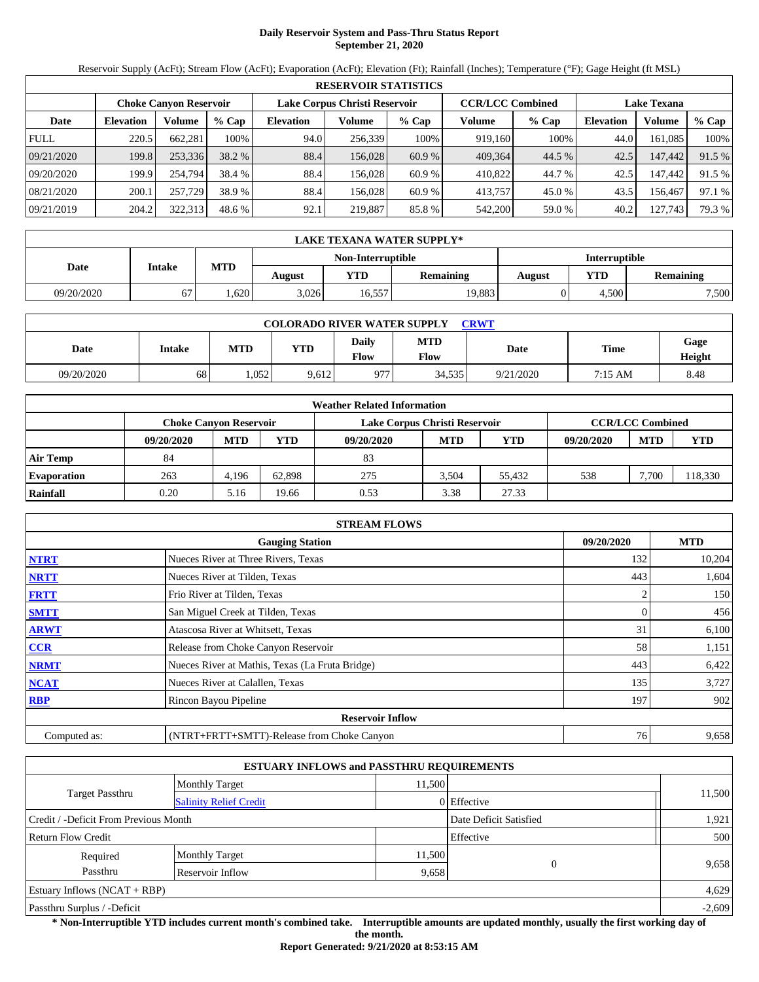# **Daily Reservoir System and Pass-Thru Status Report September 21, 2020**

Reservoir Supply (AcFt); Stream Flow (AcFt); Evaporation (AcFt); Elevation (Ft); Rainfall (Inches); Temperature (°F); Gage Height (ft MSL)

|             | <b>RESERVOIR STATISTICS</b>   |         |         |                               |         |         |                         |         |                    |         |        |  |
|-------------|-------------------------------|---------|---------|-------------------------------|---------|---------|-------------------------|---------|--------------------|---------|--------|--|
|             | <b>Choke Canyon Reservoir</b> |         |         | Lake Corpus Christi Reservoir |         |         | <b>CCR/LCC Combined</b> |         | <b>Lake Texana</b> |         |        |  |
| Date        | <b>Elevation</b>              | Volume  | $%$ Cap | <b>Elevation</b>              | Volume  | $%$ Cap | Volume                  | $%$ Cap | <b>Elevation</b>   | Volume  | % Cap  |  |
| <b>FULL</b> | 220.5                         | 662.281 | 100%    | 94.0                          | 256,339 | 100%    | 919,160                 | 100%    | 44.0               | 161.085 | 100%   |  |
| 09/21/2020  | 199.8                         | 253,336 | 38.2 %  | 88.4                          | 156,028 | 60.9 %  | 409.364                 | 44.5 %  | 42.5               | 147,442 | 91.5 % |  |
| 09/20/2020  | 199.9                         | 254,794 | 38.4 %  | 88.4                          | 156.028 | 60.9 %  | 410.822                 | 44.7 %  | 42.5               | 147.442 | 91.5 % |  |
| 08/21/2020  | 200.1                         | 257,729 | 38.9 %  | 88.4                          | 156.028 | 60.9 %  | 413.757                 | 45.0 %  | 43.5               | 156.467 | 97.1 % |  |
| 09/21/2019  | 204.2                         | 322,313 | 48.6 %  | 92.1                          | 219,887 | 85.8 %  | 542,200                 | 59.0 %  | 40.2               | 127,743 | 79.3 % |  |

|            | LAKE TEXANA WATER SUPPLY* |            |        |                   |                  |               |       |                  |  |  |  |
|------------|---------------------------|------------|--------|-------------------|------------------|---------------|-------|------------------|--|--|--|
|            |                           |            |        | Non-Interruptible |                  | Interruptible |       |                  |  |  |  |
| Date       | <b>Intake</b>             | <b>MTD</b> | August | YTD               | <b>Remaining</b> | <b>August</b> | YTD   | <b>Remaining</b> |  |  |  |
| 09/20/2020 |                           | .620       | 3.026  | 16,557            | 19,883           |               | 4.500 | 7,500            |  |  |  |

| <b>COLORADO RIVER WATER SUPPLY</b><br><b>CRWT</b> |        |       |       |                      |                    |           |         |                |  |  |  |
|---------------------------------------------------|--------|-------|-------|----------------------|--------------------|-----------|---------|----------------|--|--|--|
| Date                                              | Intake | MTD   | VTD   | <b>Daily</b><br>Flow | <b>MTD</b><br>Flow | Date      | Time    | Gage<br>Height |  |  |  |
| 09/20/2020                                        | 68     | 1.052 | 9,612 | 977                  | 34,535             | 9/21/2020 | 7:15 AM | 8.48           |  |  |  |

|                    | <b>Weather Related Information</b> |            |        |                               |                         |        |            |            |            |  |  |  |
|--------------------|------------------------------------|------------|--------|-------------------------------|-------------------------|--------|------------|------------|------------|--|--|--|
|                    | <b>Choke Canyon Reservoir</b>      |            |        | Lake Corpus Christi Reservoir | <b>CCR/LCC Combined</b> |        |            |            |            |  |  |  |
|                    | 09/20/2020                         | <b>MTD</b> | YTD    | 09/20/2020                    | <b>MTD</b>              | YTD    | 09/20/2020 | <b>MTD</b> | <b>YTD</b> |  |  |  |
| <b>Air Temp</b>    | 84                                 |            |        | 83                            |                         |        |            |            |            |  |  |  |
| <b>Evaporation</b> | 263                                | 4,196      | 62.898 | 275                           | 3.504                   | 55.432 | 538        | 7.700      | 118,330    |  |  |  |
| Rainfall           | 0.20                               | 5.16       | 19.66  | 0.53                          | 3.38                    | 27.33  |            |            |            |  |  |  |

|              | <b>STREAM FLOWS</b>                             |            |            |
|--------------|-------------------------------------------------|------------|------------|
|              | <b>Gauging Station</b>                          | 09/20/2020 | <b>MTD</b> |
| <b>NTRT</b>  | Nueces River at Three Rivers, Texas             | 132        | 10,204     |
| <b>NRTT</b>  | Nueces River at Tilden, Texas                   | 443        | 1,604      |
| <b>FRTT</b>  | Frio River at Tilden, Texas                     |            | 150        |
| <b>SMTT</b>  | San Miguel Creek at Tilden, Texas               | 0          | 456        |
| <b>ARWT</b>  | Atascosa River at Whitsett, Texas               | 31         | 6,100      |
| <b>CCR</b>   | Release from Choke Canyon Reservoir             | 58         | 1,151      |
| <b>NRMT</b>  | Nueces River at Mathis, Texas (La Fruta Bridge) | 443        | 6,422      |
| <b>NCAT</b>  | Nueces River at Calallen, Texas                 | 135        | 3,727      |
| <b>RBP</b>   | Rincon Bayou Pipeline                           | 197        | 902        |
|              | <b>Reservoir Inflow</b>                         |            |            |
| Computed as: | (NTRT+FRTT+SMTT)-Release from Choke Canyon      | 76         | 9,658      |

|                                       | <b>ESTUARY INFLOWS and PASSTHRU REQUIREMENTS</b> |        |                        |          |
|---------------------------------------|--------------------------------------------------|--------|------------------------|----------|
|                                       | <b>Monthly Target</b>                            | 11.500 |                        |          |
| Target Passthru                       | <b>Salinity Relief Credit</b>                    |        | 0 Effective            | 11,500   |
| Credit / -Deficit From Previous Month |                                                  |        | Date Deficit Satisfied | 1,921    |
| <b>Return Flow Credit</b>             |                                                  |        | Effective              | 500      |
| Required                              | <b>Monthly Target</b>                            | 11,500 | $\Omega$               |          |
| Passthru                              | Reservoir Inflow                                 | 9,658  |                        | 9,658    |
| Estuary Inflows $(NCAT + RBP)$        |                                                  |        |                        | 4,629    |
| Passthru Surplus / -Deficit           |                                                  |        |                        | $-2,609$ |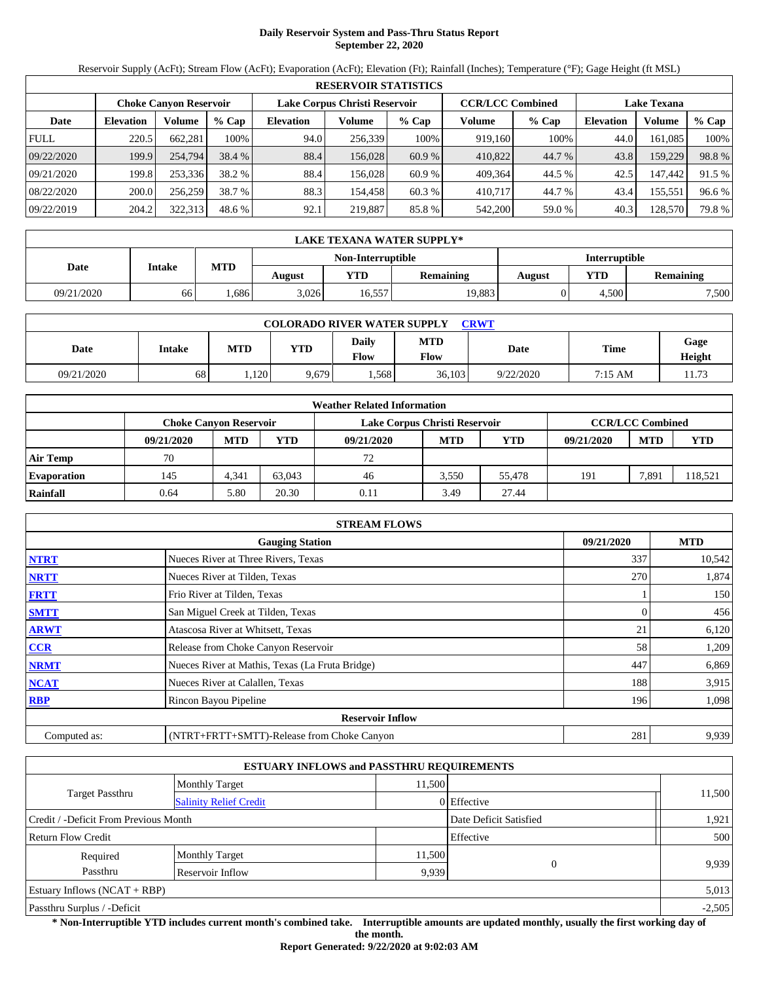# **Daily Reservoir System and Pass-Thru Status Report September 22, 2020**

Reservoir Supply (AcFt); Stream Flow (AcFt); Evaporation (AcFt); Elevation (Ft); Rainfall (Inches); Temperature (°F); Gage Height (ft MSL)

|             | <b>RESERVOIR STATISTICS</b> |                               |         |                               |         |         |                         |         |                    |         |        |  |  |
|-------------|-----------------------------|-------------------------------|---------|-------------------------------|---------|---------|-------------------------|---------|--------------------|---------|--------|--|--|
|             |                             | <b>Choke Canyon Reservoir</b> |         | Lake Corpus Christi Reservoir |         |         | <b>CCR/LCC Combined</b> |         | <b>Lake Texana</b> |         |        |  |  |
| Date        | <b>Elevation</b>            | Volume                        | $%$ Cap | <b>Elevation</b>              | Volume  | $%$ Cap | Volume                  | $%$ Cap | <b>Elevation</b>   | Volume  | % Cap  |  |  |
| <b>FULL</b> | 220.5                       | 662.281                       | 100%    | 94.0                          | 256,339 | 100%    | 919,160                 | 100%    | 44.0               | 161.085 | 100%   |  |  |
| 09/22/2020  | 199.9                       | 254,794                       | 38.4 %  | 88.4                          | 156,028 | 60.9 %  | 410,822                 | 44.7 %  | 43.8               | 159,229 | 98.8%  |  |  |
| 09/21/2020  | 199.8                       | 253.336                       | 38.2 %  | 88.4                          | 156.028 | 60.9 %  | 409.364                 | 44.5 %  | 42.5               | 147.442 | 91.5 % |  |  |
| 08/22/2020  | 200.0                       | 256,259                       | 38.7 %  | 88.3                          | 154.458 | 60.3 %  | 410.717                 | 44.7 %  | 43.4               | 155,551 | 96.6 % |  |  |
| 09/22/2019  | 204.2                       | 322,313                       | 48.6 %  | 92.1                          | 219,887 | 85.8 %  | 542,200                 | 59.0 %  | 40.3               | 128,570 | 79.8%  |  |  |

| LAKE TEXANA WATER SUPPLY* |        |            |        |                   |                  |                      |       |                  |  |  |
|---------------------------|--------|------------|--------|-------------------|------------------|----------------------|-------|------------------|--|--|
|                           |        |            |        | Non-Interruptible |                  | <b>Interruptible</b> |       |                  |  |  |
| Date                      | Intake | <b>MTD</b> | August | <b>YTD</b>        | <b>Remaining</b> | August               | YTD   | <b>Remaining</b> |  |  |
| 09/21/2020                | 66     | .686       | 3,026  | 16,557            | 19,883           |                      | 4.500 | 7,500            |  |  |

| <b>COLORADO RIVER WATER SUPPLY</b><br>CRWT |        |            |            |                      |                    |           |         |                |  |  |  |
|--------------------------------------------|--------|------------|------------|----------------------|--------------------|-----------|---------|----------------|--|--|--|
| Date                                       | Intake | <b>MTD</b> | <b>YTD</b> | <b>Daily</b><br>Flow | <b>MTD</b><br>Flow | Date      | Time    | Gage<br>Height |  |  |  |
| 09/21/2020                                 | 68     | .120       | 9.679      | .568                 | 36,103             | 9/22/2020 | 7:15 AM | 173<br>.       |  |  |  |

|                    | <b>Weather Related Information</b> |                               |        |                               |                         |            |            |            |            |  |  |  |
|--------------------|------------------------------------|-------------------------------|--------|-------------------------------|-------------------------|------------|------------|------------|------------|--|--|--|
|                    |                                    | <b>Choke Canvon Reservoir</b> |        | Lake Corpus Christi Reservoir | <b>CCR/LCC Combined</b> |            |            |            |            |  |  |  |
|                    | 09/21/2020                         | <b>MTD</b>                    | YTD    | 09/21/2020                    | <b>MTD</b>              | <b>YTD</b> | 09/21/2020 | <b>MTD</b> | <b>YTD</b> |  |  |  |
| <b>Air Temp</b>    | 70                                 |                               |        | 72                            |                         |            |            |            |            |  |  |  |
| <b>Evaporation</b> | 145                                | 4.341                         | 63,043 | 46                            | 3.550                   | 55,478     | 191        | 7,891      | 118,521    |  |  |  |
| Rainfall           | 0.64                               | 5.80                          | 20.30  | 0.11                          | 3.49                    | 27.44      |            |            |            |  |  |  |

|              | <b>STREAM FLOWS</b>                             |            |        |  |  |  |  |  |  |  |
|--------------|-------------------------------------------------|------------|--------|--|--|--|--|--|--|--|
|              | 09/21/2020                                      | <b>MTD</b> |        |  |  |  |  |  |  |  |
| <b>NTRT</b>  | Nueces River at Three Rivers, Texas             | 337        | 10,542 |  |  |  |  |  |  |  |
| <b>NRTT</b>  | Nueces River at Tilden, Texas                   | 270        | 1,874  |  |  |  |  |  |  |  |
| <b>FRTT</b>  | Frio River at Tilden, Texas                     |            | 150    |  |  |  |  |  |  |  |
| <b>SMTT</b>  | San Miguel Creek at Tilden, Texas               | 0          | 456    |  |  |  |  |  |  |  |
| <b>ARWT</b>  | Atascosa River at Whitsett, Texas               | 21         | 6,120  |  |  |  |  |  |  |  |
| <b>CCR</b>   | Release from Choke Canyon Reservoir             | 58         | 1,209  |  |  |  |  |  |  |  |
| <b>NRMT</b>  | Nueces River at Mathis, Texas (La Fruta Bridge) | 447        | 6,869  |  |  |  |  |  |  |  |
| <b>NCAT</b>  | Nueces River at Calallen, Texas                 | 188        | 3,915  |  |  |  |  |  |  |  |
| <b>RBP</b>   | Rincon Bayou Pipeline                           | 196        | 1,098  |  |  |  |  |  |  |  |
|              | <b>Reservoir Inflow</b>                         |            |        |  |  |  |  |  |  |  |
| Computed as: | (NTRT+FRTT+SMTT)-Release from Choke Canyon      | 281        | 9,939  |  |  |  |  |  |  |  |

|                                       |                               | <b>ESTUARY INFLOWS and PASSTHRU REQUIREMENTS</b> |                        |          |
|---------------------------------------|-------------------------------|--------------------------------------------------|------------------------|----------|
|                                       | <b>Monthly Target</b>         | 11.500                                           |                        |          |
| <b>Target Passthru</b>                | <b>Salinity Relief Credit</b> |                                                  | 0 Effective            | 11,500   |
| Credit / -Deficit From Previous Month |                               |                                                  | Date Deficit Satisfied | 1,921    |
| <b>Return Flow Credit</b>             |                               |                                                  | Effective              | 500      |
| Required                              | <b>Monthly Target</b>         | 11,500                                           |                        |          |
| Passthru                              | Reservoir Inflow              | 9,939                                            | $\Omega$               | 9,939    |
| Estuary Inflows $(NCAT + RBP)$        |                               |                                                  |                        | 5,013    |
| Passthru Surplus / -Deficit           |                               |                                                  |                        | $-2,505$ |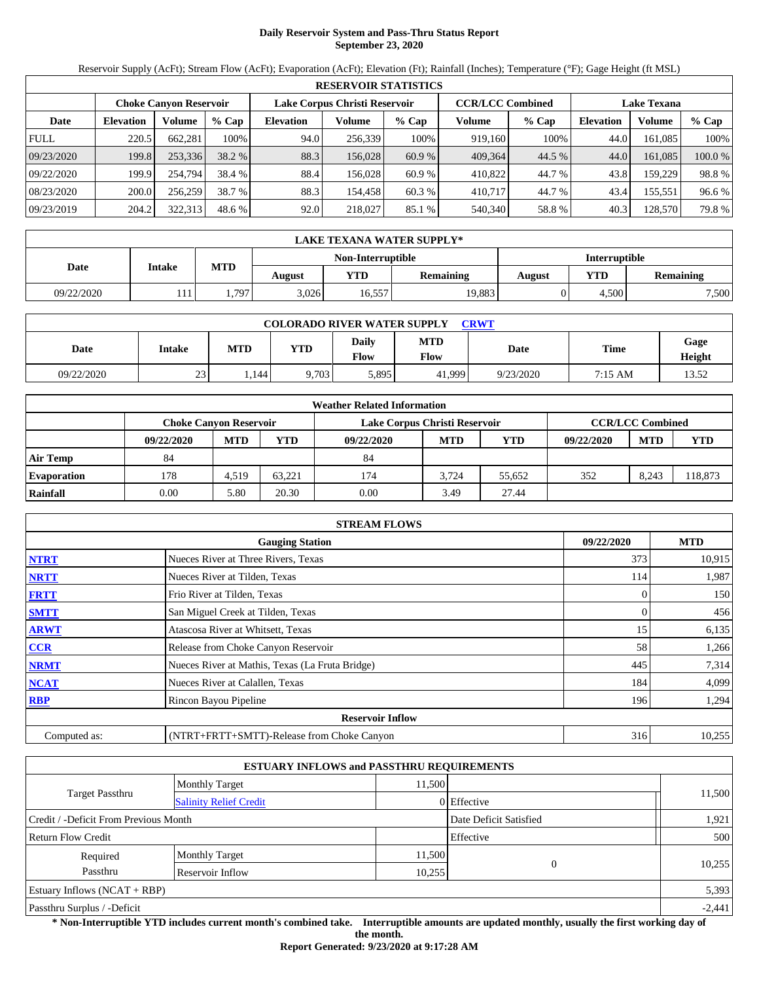# **Daily Reservoir System and Pass-Thru Status Report September 23, 2020**

Reservoir Supply (AcFt); Stream Flow (AcFt); Evaporation (AcFt); Elevation (Ft); Rainfall (Inches); Temperature (°F); Gage Height (ft MSL)

|             | <b>RESERVOIR STATISTICS</b>   |         |         |                               |         |         |                         |         |                    |         |         |  |
|-------------|-------------------------------|---------|---------|-------------------------------|---------|---------|-------------------------|---------|--------------------|---------|---------|--|
|             | <b>Choke Canvon Reservoir</b> |         |         | Lake Corpus Christi Reservoir |         |         | <b>CCR/LCC Combined</b> |         | <b>Lake Texana</b> |         |         |  |
| Date        | <b>Elevation</b>              | Volume  | $%$ Cap | <b>Elevation</b>              | Volume  | $%$ Cap | Volume                  | $%$ Cap | <b>Elevation</b>   | Volume  | % Cap   |  |
| <b>FULL</b> | 220.5                         | 662.281 | 100%    | 94.0                          | 256,339 | 100%    | 919,160                 | 100%    | 44.0               | 161.085 | 100%    |  |
| 09/23/2020  | 199.8                         | 253,336 | 38.2 %  | 88.3                          | 156,028 | 60.9 %  | 409.364                 | 44.5 %  | 44.0               | 161.085 | 100.0 % |  |
| 09/22/2020  | 199.9                         | 254,794 | 38.4 %  | 88.4                          | 156.028 | 60.9%   | 410,822                 | 44.7 %  | 43.8               | 159.229 | 98.8%   |  |
| 08/23/2020  | 200.0                         | 256,259 | 38.7 %  | 88.3                          | 154.458 | 60.3 %  | 410,717                 | 44.7 %  | 43.4               | 155,551 | 96.6 %  |  |
| 09/23/2019  | 204.2                         | 322,313 | 48.6 %  | 92.0                          | 218,027 | 85.1 %  | 540,340                 | 58.8%   | 40.3               | 128,570 | 79.8%   |  |

|            | LAKE TEXANA WATER SUPPLY* |            |        |                   |                  |                      |       |                  |  |  |  |
|------------|---------------------------|------------|--------|-------------------|------------------|----------------------|-------|------------------|--|--|--|
|            | <b>Intake</b>             |            |        | Non-Interruptible |                  | <b>Interruptible</b> |       |                  |  |  |  |
| Date       |                           | <b>MTD</b> | August | <b>YTD</b>        | <b>Remaining</b> | August               | YTD   | <b>Remaining</b> |  |  |  |
| 09/22/2020 | 11 L                      | .797       | 3,026  | 16,557            | 19,883           |                      | 4.500 | 7,500            |  |  |  |

| <b>COLORADO RIVER WATER SUPPLY</b><br>CRWT |        |            |            |                      |                           |           |         |                |  |  |
|--------------------------------------------|--------|------------|------------|----------------------|---------------------------|-----------|---------|----------------|--|--|
| Date                                       | Intake | <b>MTD</b> | <b>YTD</b> | <b>Daily</b><br>Flow | <b>MTD</b><br><b>Flow</b> | Date      | Time    | Gage<br>Height |  |  |
| 09/22/2020                                 | 23     | . 144      | 9,703      | 5,895                | 41,999                    | 9/23/2020 | 7:15 AM | 13.52          |  |  |

| <b>Weather Related Information</b> |                               |            |        |                               |                         |        |            |            |         |  |  |
|------------------------------------|-------------------------------|------------|--------|-------------------------------|-------------------------|--------|------------|------------|---------|--|--|
|                                    | <b>Choke Canvon Reservoir</b> |            |        | Lake Corpus Christi Reservoir | <b>CCR/LCC Combined</b> |        |            |            |         |  |  |
|                                    | 09/22/2020                    | <b>MTD</b> | YTD    | 09/22/2020                    | <b>MTD</b>              | YTD    | 09/22/2020 | <b>MTD</b> | YTD     |  |  |
| <b>Air Temp</b>                    | 84                            |            |        | 84                            |                         |        |            |            |         |  |  |
| <b>Evaporation</b>                 | 178                           | 4.519      | 63.221 | 174                           | 3.724                   | 55.652 | 352        | 8.243      | 118,873 |  |  |
| Rainfall                           | 0.00                          | 5.80       | 20.30  | 0.00                          | 3.49                    | 27.44  |            |            |         |  |  |

|              | <b>STREAM FLOWS</b>                             |            |            |  |  |  |  |  |  |  |
|--------------|-------------------------------------------------|------------|------------|--|--|--|--|--|--|--|
|              | <b>Gauging Station</b>                          | 09/22/2020 | <b>MTD</b> |  |  |  |  |  |  |  |
| <b>NTRT</b>  | Nueces River at Three Rivers, Texas             | 373        | 10,915     |  |  |  |  |  |  |  |
| <b>NRTT</b>  | Nueces River at Tilden, Texas                   | 114        | 1,987      |  |  |  |  |  |  |  |
| <b>FRTT</b>  | Frio River at Tilden, Texas                     | 0          | 150        |  |  |  |  |  |  |  |
| <b>SMTT</b>  | San Miguel Creek at Tilden, Texas               |            | 456        |  |  |  |  |  |  |  |
| <b>ARWT</b>  | Atascosa River at Whitsett, Texas               | 15         | 6,135      |  |  |  |  |  |  |  |
| <b>CCR</b>   | Release from Choke Canyon Reservoir             | 58         | 1,266      |  |  |  |  |  |  |  |
| <b>NRMT</b>  | Nueces River at Mathis, Texas (La Fruta Bridge) | 445        | 7,314      |  |  |  |  |  |  |  |
| <b>NCAT</b>  | Nueces River at Calallen, Texas                 | 184        | 4,099      |  |  |  |  |  |  |  |
| <b>RBP</b>   | Rincon Bayou Pipeline                           | 196        | 1,294      |  |  |  |  |  |  |  |
|              | <b>Reservoir Inflow</b>                         |            |            |  |  |  |  |  |  |  |
| Computed as: | (NTRT+FRTT+SMTT)-Release from Choke Canyon      | 316        | 10,255     |  |  |  |  |  |  |  |

|                                       |                                 | <b>ESTUARY INFLOWS and PASSTHRU REQUIREMENTS</b> |                        |          |
|---------------------------------------|---------------------------------|--------------------------------------------------|------------------------|----------|
|                                       | 11.500<br><b>Monthly Target</b> |                                                  |                        |          |
| <b>Target Passthru</b>                | <b>Salinity Relief Credit</b>   |                                                  | 0 Effective            | 11,500   |
| Credit / -Deficit From Previous Month |                                 |                                                  | Date Deficit Satisfied | 1,921    |
| <b>Return Flow Credit</b>             |                                 |                                                  | Effective              | 500      |
| Required                              | <b>Monthly Target</b>           | 11,500                                           |                        |          |
| Passthru                              | Reservoir Inflow                | 10,255                                           | $\Omega$               | 10,255   |
| Estuary Inflows $(NCAT + RBP)$        |                                 |                                                  |                        | 5,393    |
| Passthru Surplus / -Deficit           |                                 |                                                  |                        | $-2,441$ |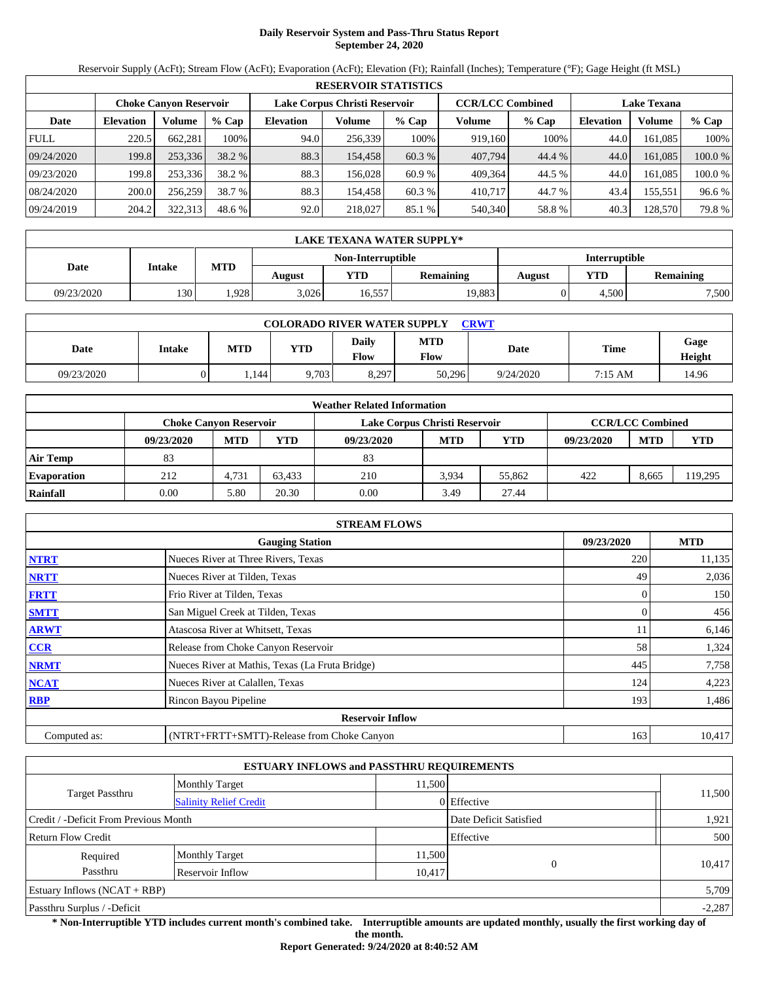# **Daily Reservoir System and Pass-Thru Status Report September 24, 2020**

Reservoir Supply (AcFt); Stream Flow (AcFt); Evaporation (AcFt); Elevation (Ft); Rainfall (Inches); Temperature (°F); Gage Height (ft MSL)

|             | <b>RESERVOIR STATISTICS</b> |                               |         |                               |         |         |                         |        |                    |         |         |  |
|-------------|-----------------------------|-------------------------------|---------|-------------------------------|---------|---------|-------------------------|--------|--------------------|---------|---------|--|
|             |                             | <b>Choke Canvon Reservoir</b> |         | Lake Corpus Christi Reservoir |         |         | <b>CCR/LCC Combined</b> |        | <b>Lake Texana</b> |         |         |  |
| Date        | <b>Elevation</b>            | Volume                        | $%$ Cap | <b>Elevation</b>              | Volume  | $%$ Cap | Volume                  | % Cap  | <b>Elevation</b>   | Volume  | $%$ Cap |  |
| <b>FULL</b> | 220.5                       | 662.281                       | 100%    | 94.0                          | 256.339 | 100%    | 919,160                 | 100%   | 44.0               | 161.085 | 100%    |  |
| 09/24/2020  | 199.8                       | 253,336                       | 38.2 %  | 88.3                          | 154.458 | 60.3 %  | 407,794                 | 44.4 % | 44.0               | 161.085 | 100.0 % |  |
| 09/23/2020  | 199.8                       | 253,336                       | 38.2 %  | 88.3                          | 156.028 | 60.9%   | 409.364                 | 44.5 % | 44.0               | 161.085 | 100.0 % |  |
| 08/24/2020  | 200.0                       | 256,259                       | 38.7 %  | 88.3                          | 154.458 | 60.3 %  | 410.717                 | 44.7 % | 43.4               | 155,551 | 96.6 %  |  |
| 09/24/2019  | 204.2                       | 322,313                       | 48.6 %  | 92.0                          | 218,027 | 85.1 %  | 540,340                 | 58.8%  | 40.3               | 128,570 | 79.8 %  |  |

|            | LAKE TEXANA WATER SUPPLY* |            |        |                   |                  |               |       |                  |  |  |  |
|------------|---------------------------|------------|--------|-------------------|------------------|---------------|-------|------------------|--|--|--|
|            | <b>Intake</b>             |            |        | Non-Interruptible |                  | Interruptible |       |                  |  |  |  |
| Date       |                           | <b>MTD</b> | August | <b>YTD</b>        | <b>Remaining</b> | August        | YTD   | <b>Remaining</b> |  |  |  |
| 09/23/2020 | 130 <sup>1</sup>          | .928       | 3,026  | 16,557            | 19,883           |               | 4.500 | 7,500            |  |  |  |

| <b>COLORADO RIVER WATER SUPPLY</b><br><b>CRWT</b> |        |       |            |                      |             |             |         |                |  |  |
|---------------------------------------------------|--------|-------|------------|----------------------|-------------|-------------|---------|----------------|--|--|
| Date                                              | Intake | MTD   | <b>YTD</b> | <b>Daily</b><br>Flow | MTD<br>Flow | <b>Date</b> | Time    | Gage<br>Height |  |  |
| 09/23/2020                                        |        | 1.144 | 9,703      | 8,297                | 50,296      | 9/24/2020   | 7:15 AM | 14.96          |  |  |

| <b>Weather Related Information</b> |                               |            |        |                               |                         |        |            |            |         |  |  |
|------------------------------------|-------------------------------|------------|--------|-------------------------------|-------------------------|--------|------------|------------|---------|--|--|
|                                    | <b>Choke Canvon Reservoir</b> |            |        | Lake Corpus Christi Reservoir | <b>CCR/LCC Combined</b> |        |            |            |         |  |  |
|                                    | 09/23/2020                    | <b>MTD</b> | YTD    | 09/23/2020                    | <b>MTD</b>              | YTD    | 09/23/2020 | <b>MTD</b> | YTD     |  |  |
| <b>Air Temp</b>                    | 83                            |            |        | 83                            |                         |        |            |            |         |  |  |
| <b>Evaporation</b>                 | 212                           | 4,731      | 63.433 | 210                           | 3.934                   | 55,862 | 422        | 8.665      | 119.295 |  |  |
| Rainfall                           | 0.00                          | 5.80       | 20.30  | 0.00                          | 3.49                    | 27.44  |            |            |         |  |  |

|              | <b>STREAM FLOWS</b>                             |            |            |  |  |  |  |  |  |  |
|--------------|-------------------------------------------------|------------|------------|--|--|--|--|--|--|--|
|              | <b>Gauging Station</b>                          | 09/23/2020 | <b>MTD</b> |  |  |  |  |  |  |  |
| <b>NTRT</b>  | Nueces River at Three Rivers, Texas             | 220        | 11,135     |  |  |  |  |  |  |  |
| <b>NRTT</b>  | Nueces River at Tilden, Texas                   | 49         | 2,036      |  |  |  |  |  |  |  |
| <b>FRTT</b>  | Frio River at Tilden, Texas                     | 0          | 150        |  |  |  |  |  |  |  |
| <b>SMTT</b>  | San Miguel Creek at Tilden, Texas               |            | 456        |  |  |  |  |  |  |  |
| <b>ARWT</b>  | Atascosa River at Whitsett, Texas               |            | 6,146      |  |  |  |  |  |  |  |
| <b>CCR</b>   | Release from Choke Canyon Reservoir             | 58         | 1,324      |  |  |  |  |  |  |  |
| <b>NRMT</b>  | Nueces River at Mathis, Texas (La Fruta Bridge) | 445        | 7,758      |  |  |  |  |  |  |  |
| <b>NCAT</b>  | Nueces River at Calallen, Texas                 | 124        | 4,223      |  |  |  |  |  |  |  |
| <b>RBP</b>   | Rincon Bayou Pipeline                           | 193        | 1,486      |  |  |  |  |  |  |  |
|              | <b>Reservoir Inflow</b>                         |            |            |  |  |  |  |  |  |  |
| Computed as: | (NTRT+FRTT+SMTT)-Release from Choke Canyon      | 163        | 10,417     |  |  |  |  |  |  |  |

|                                       |                                 | <b>ESTUARY INFLOWS and PASSTHRU REQUIREMENTS</b> |                        |          |
|---------------------------------------|---------------------------------|--------------------------------------------------|------------------------|----------|
|                                       | 11.500<br><b>Monthly Target</b> |                                                  |                        |          |
| <b>Target Passthru</b>                | <b>Salinity Relief Credit</b>   |                                                  | 0 Effective            | 11,500   |
| Credit / -Deficit From Previous Month |                                 |                                                  | Date Deficit Satisfied | 1,921    |
| <b>Return Flow Credit</b>             |                                 |                                                  | Effective              | 500      |
| Required                              | <b>Monthly Target</b>           | 11,500                                           | $\Omega$               |          |
| Passthru                              | Reservoir Inflow                | 10,417                                           |                        | 10,417   |
| Estuary Inflows $(NCAT + RBP)$        |                                 |                                                  |                        | 5,709    |
| Passthru Surplus / -Deficit           |                                 |                                                  |                        | $-2,287$ |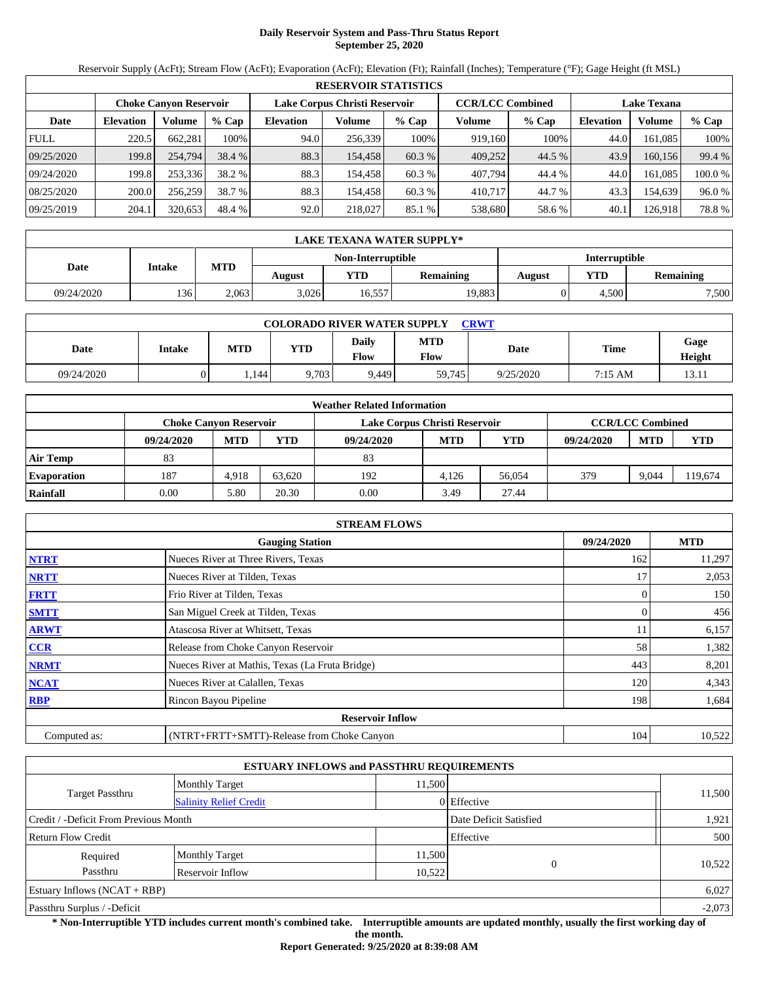# **Daily Reservoir System and Pass-Thru Status Report September 25, 2020**

Reservoir Supply (AcFt); Stream Flow (AcFt); Evaporation (AcFt); Elevation (Ft); Rainfall (Inches); Temperature (°F); Gage Height (ft MSL)

|             | <b>RESERVOIR STATISTICS</b> |                               |         |                               |         |         |                         |         |                    |         |         |  |  |
|-------------|-----------------------------|-------------------------------|---------|-------------------------------|---------|---------|-------------------------|---------|--------------------|---------|---------|--|--|
|             |                             | <b>Choke Canvon Reservoir</b> |         | Lake Corpus Christi Reservoir |         |         | <b>CCR/LCC Combined</b> |         | <b>Lake Texana</b> |         |         |  |  |
| Date        | <b>Elevation</b>            | Volume                        | $%$ Cap | <b>Elevation</b>              | Volume  | $%$ Cap | Volume                  | $%$ Cap | <b>Elevation</b>   | Volume  | % Cap   |  |  |
| <b>FULL</b> | 220.5                       | 662.281                       | 100%    | 94.0                          | 256,339 | 100%    | 919,160                 | 100%    | 44.0               | 161.085 | 100%    |  |  |
| 09/25/2020  | 199.8                       | 254,794                       | 38.4 %  | 88.3                          | 154.458 | 60.3 %  | 409,252                 | 44.5 %  | 43.9               | 160,156 | 99.4 %  |  |  |
| 09/24/2020  | 199.8                       | 253,336                       | 38.2 %  | 88.3                          | 154.458 | 60.3 %  | 407.794                 | 44.4 %  | 44.0               | 161.085 | 100.0 % |  |  |
| 08/25/2020  | 200.0                       | 256,259                       | 38.7 %  | 88.3                          | 154.458 | 60.3 %  | 410,717                 | 44.7 %  | 43.3               | 154.639 | 96.0%   |  |  |
| 09/25/2019  | 204.1                       | 320,653                       | 48.4 %  | 92.0                          | 218,027 | 85.1 %  | 538,680                 | 58.6 %  | 40.1               | 126,918 | 78.8%   |  |  |

| LAKE TEXANA WATER SUPPLY* |               |            |        |                   |                  |               |       |                  |  |  |
|---------------------------|---------------|------------|--------|-------------------|------------------|---------------|-------|------------------|--|--|
|                           | <b>Intake</b> |            |        | Non-Interruptible |                  | Interruptible |       |                  |  |  |
| Date                      |               | <b>MTD</b> | August | YTD               | <b>Remaining</b> | August        | YTD   | <b>Remaining</b> |  |  |
| 09/24/2020                | 136'          | 2.063      | 3.026  | 16,557            | 19,883           |               | 4.500 | 7,500            |  |  |

| <b>COLORADO RIVER WATER SUPPLY</b><br><b>CRWT</b> |        |            |            |                             |                    |           |         |                |  |  |
|---------------------------------------------------|--------|------------|------------|-----------------------------|--------------------|-----------|---------|----------------|--|--|
| Date                                              | Intake | <b>MTD</b> | <b>YTD</b> | <b>Daily</b><br><b>Flow</b> | <b>MTD</b><br>Flow | Date      | Time    | Gage<br>Height |  |  |
| 09/24/2020                                        |        | . . 144    | 9,703      | 9.449                       | 59,745             | 9/25/2020 | 7:15 AM | 13.11          |  |  |

| <b>Weather Related Information</b> |                               |            |        |                               |                         |            |            |            |            |  |  |
|------------------------------------|-------------------------------|------------|--------|-------------------------------|-------------------------|------------|------------|------------|------------|--|--|
|                                    | <b>Choke Canvon Reservoir</b> |            |        | Lake Corpus Christi Reservoir | <b>CCR/LCC Combined</b> |            |            |            |            |  |  |
|                                    | 09/24/2020                    | <b>MTD</b> | YTD    | 09/24/2020                    | <b>MTD</b>              | <b>YTD</b> | 09/24/2020 | <b>MTD</b> | <b>YTD</b> |  |  |
| <b>Air Temp</b>                    | 83                            |            |        | 83                            |                         |            |            |            |            |  |  |
| <b>Evaporation</b>                 | 187                           | 4.918      | 63.620 | 192                           | 4.126                   | 56,054     | 379        | 9.044      | 119,674    |  |  |
| Rainfall                           | 0.00                          | 5.80       | 20.30  | 0.00                          | 3.49                    | 27.44      |            |            |            |  |  |

| <b>STREAM FLOWS</b>                  |                                                 |     |        |  |  |  |  |  |
|--------------------------------------|-------------------------------------------------|-----|--------|--|--|--|--|--|
| 09/24/2020<br><b>Gauging Station</b> |                                                 |     |        |  |  |  |  |  |
| <b>NTRT</b>                          | Nueces River at Three Rivers, Texas             | 162 | 11,297 |  |  |  |  |  |
| <b>NRTT</b>                          | Nueces River at Tilden, Texas                   | 17  | 2,053  |  |  |  |  |  |
| <b>FRTT</b>                          | Frio River at Tilden, Texas                     |     | 150    |  |  |  |  |  |
| <b>SMTT</b>                          | San Miguel Creek at Tilden, Texas               | 0   | 456    |  |  |  |  |  |
| <b>ARWT</b>                          | Atascosa River at Whitsett, Texas               | 11  | 6,157  |  |  |  |  |  |
| CCR                                  | Release from Choke Canyon Reservoir             | 58  | 1,382  |  |  |  |  |  |
| <b>NRMT</b>                          | Nueces River at Mathis, Texas (La Fruta Bridge) | 443 | 8,201  |  |  |  |  |  |
| <b>NCAT</b>                          | Nueces River at Calallen, Texas                 | 120 | 4,343  |  |  |  |  |  |
| <b>RBP</b>                           | Rincon Bayou Pipeline                           | 198 | 1,684  |  |  |  |  |  |
|                                      | <b>Reservoir Inflow</b>                         |     |        |  |  |  |  |  |
| Computed as:                         | (NTRT+FRTT+SMTT)-Release from Choke Canyon      | 104 | 10,522 |  |  |  |  |  |

|                                       |                               | <b>ESTUARY INFLOWS and PASSTHRU REQUIREMENTS</b> |             |          |
|---------------------------------------|-------------------------------|--------------------------------------------------|-------------|----------|
|                                       | <b>Monthly Target</b>         | 11.500                                           |             |          |
| <b>Target Passthru</b>                | <b>Salinity Relief Credit</b> |                                                  | 0 Effective | 11,500   |
| Credit / -Deficit From Previous Month |                               | Date Deficit Satisfied                           | 1,921       |          |
| <b>Return Flow Credit</b>             |                               |                                                  | Effective   | 500      |
| Required                              | <b>Monthly Target</b>         | 11,500                                           |             |          |
| Passthru                              | Reservoir Inflow              | 10,522                                           | $\Omega$    | 10,522   |
| Estuary Inflows $(NCAT + RBP)$        |                               |                                                  |             | 6,027    |
| Passthru Surplus / -Deficit           |                               |                                                  |             | $-2,073$ |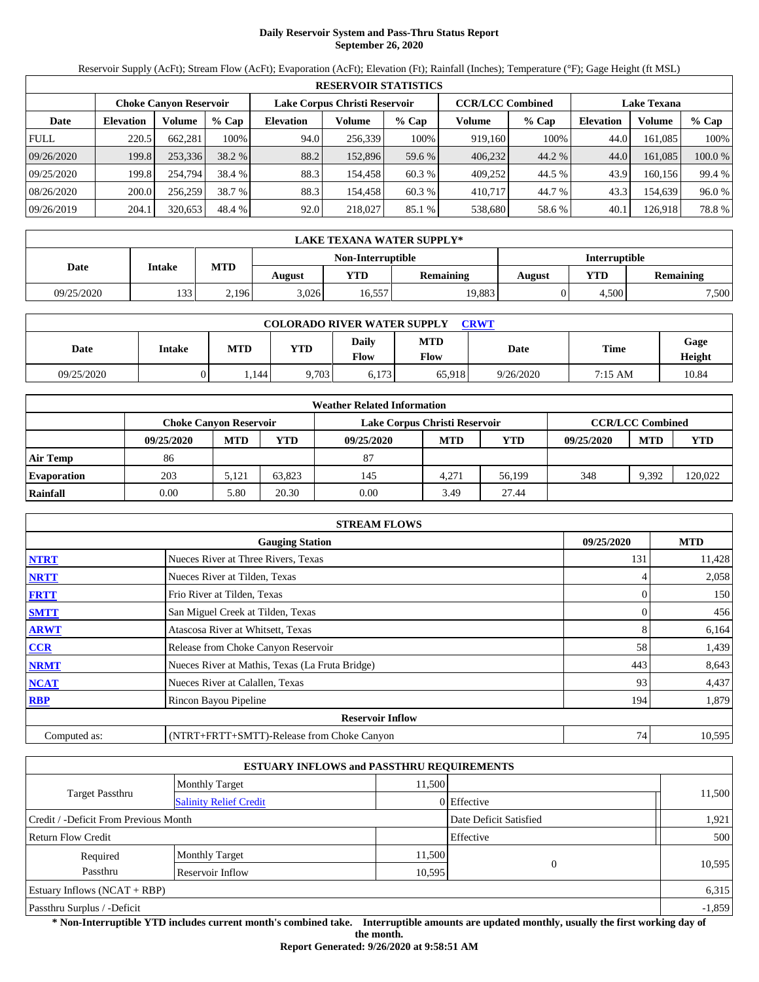# **Daily Reservoir System and Pass-Thru Status Report September 26, 2020**

Reservoir Supply (AcFt); Stream Flow (AcFt); Evaporation (AcFt); Elevation (Ft); Rainfall (Inches); Temperature (°F); Gage Height (ft MSL)

|             | <b>RESERVOIR STATISTICS</b> |                               |         |                               |         |         |                         |        |                    |         |         |  |  |
|-------------|-----------------------------|-------------------------------|---------|-------------------------------|---------|---------|-------------------------|--------|--------------------|---------|---------|--|--|
|             |                             | <b>Choke Canvon Reservoir</b> |         | Lake Corpus Christi Reservoir |         |         | <b>CCR/LCC Combined</b> |        | <b>Lake Texana</b> |         |         |  |  |
| Date        | <b>Elevation</b>            | Volume                        | $%$ Cap | <b>Elevation</b>              | Volume  | $%$ Cap | Volume                  | % Cap  | <b>Elevation</b>   | Volume  | $%$ Cap |  |  |
| <b>FULL</b> | 220.5                       | 662.281                       | 100%    | 94.0                          | 256,339 | 100%    | 919,160                 | 100%   | 44.0               | 161.085 | 100%    |  |  |
| 09/26/2020  | 199.8                       | 253,336                       | 38.2 %  | 88.2                          | 152,896 | 59.6 %  | 406,232                 | 44.2 % | 44.0               | 161.085 | 100.0 % |  |  |
| 09/25/2020  | 199.8                       | 254,794                       | 38.4 %  | 88.3                          | 154.458 | 60.3 %  | 409,252                 | 44.5 % | 43.9               | 160.156 | 99.4 %  |  |  |
| 08/26/2020  | 200.0                       | 256,259                       | 38.7 %  | 88.3                          | 154.458 | 60.3 %  | 410,717                 | 44.7 % | 43.3               | 154.639 | 96.0%   |  |  |
| 09/26/2019  | 204.1                       | 320,653                       | 48.4 %  | 92.0                          | 218,027 | 85.1 %  | 538,680                 | 58.6 % | 40.1               | 126,918 | 78.8%   |  |  |

| LAKE TEXANA WATER SUPPLY* |               |            |        |                   |                  |               |            |                  |  |  |
|---------------------------|---------------|------------|--------|-------------------|------------------|---------------|------------|------------------|--|--|
|                           |               |            |        | Non-Interruptible |                  | Interruptible |            |                  |  |  |
| Date                      | <b>Intake</b> | <b>MTD</b> | August | <b>YTD</b>        | <b>Remaining</b> | August        | <b>YTD</b> | <b>Remaining</b> |  |  |
| 09/25/2020                | 133'          | 2.196      | 3,026  | 16,557            | 19,883           |               | 4.500      | 7,500            |  |  |

| <b>COLORADO RIVER WATER SUPPLY</b><br><b>CRWT</b> |        |            |            |                      |             |             |         |                |  |  |
|---------------------------------------------------|--------|------------|------------|----------------------|-------------|-------------|---------|----------------|--|--|
| Date                                              | Intake | <b>MTD</b> | <b>YTD</b> | <b>Daily</b><br>Flow | MTD<br>Flow | <b>Date</b> | Time    | Gage<br>Height |  |  |
| 09/25/2020                                        |        | 1.144      | 9,703      | 6,173                | 65.918      | 9/26/2020   | 7:15 AM | 10.84          |  |  |

| <b>Weather Related Information</b> |            |                               |        |                               |                         |        |            |            |         |  |  |
|------------------------------------|------------|-------------------------------|--------|-------------------------------|-------------------------|--------|------------|------------|---------|--|--|
|                                    |            | <b>Choke Canvon Reservoir</b> |        | Lake Corpus Christi Reservoir | <b>CCR/LCC Combined</b> |        |            |            |         |  |  |
|                                    | 09/25/2020 | <b>MTD</b>                    | YTD    | 09/25/2020                    | <b>MTD</b>              | YTD    | 09/25/2020 | <b>MTD</b> | YTD     |  |  |
| <b>Air Temp</b>                    | 86         |                               |        | 87                            |                         |        |            |            |         |  |  |
| <b>Evaporation</b>                 | 203        | 5.121                         | 63.823 | 145                           | 4.271                   | 56.199 | 348        | 9.392      | 120.022 |  |  |
| Rainfall                           | 0.00       | 5.80                          | 20.30  | 0.00                          | 3.49                    | 27.44  |            |            |         |  |  |

| <b>STREAM FLOWS</b> |                                                 |     |        |  |  |  |  |  |
|---------------------|-------------------------------------------------|-----|--------|--|--|--|--|--|
|                     | <b>Gauging Station</b>                          |     |        |  |  |  |  |  |
| <b>NTRT</b>         | Nueces River at Three Rivers, Texas             | 131 | 11,428 |  |  |  |  |  |
| <b>NRTT</b>         | Nueces River at Tilden, Texas                   |     | 2,058  |  |  |  |  |  |
| <b>FRTT</b>         | Frio River at Tilden, Texas                     | 0   | 150    |  |  |  |  |  |
| <b>SMTT</b>         | San Miguel Creek at Tilden, Texas               |     | 456    |  |  |  |  |  |
| <b>ARWT</b>         | Atascosa River at Whitsett, Texas               |     | 6,164  |  |  |  |  |  |
| <b>CCR</b>          | Release from Choke Canyon Reservoir             | 58  | 1,439  |  |  |  |  |  |
| <b>NRMT</b>         | Nueces River at Mathis, Texas (La Fruta Bridge) | 443 | 8,643  |  |  |  |  |  |
| <b>NCAT</b>         | Nueces River at Calallen, Texas                 | 93  | 4,437  |  |  |  |  |  |
| <b>RBP</b>          | Rincon Bayou Pipeline                           | 194 | 1,879  |  |  |  |  |  |
|                     | <b>Reservoir Inflow</b>                         |     |        |  |  |  |  |  |
| Computed as:        | (NTRT+FRTT+SMTT)-Release from Choke Canyon      | 74  | 10,595 |  |  |  |  |  |

|                                       |                               | <b>ESTUARY INFLOWS and PASSTHRU REQUIREMENTS</b> |               |          |
|---------------------------------------|-------------------------------|--------------------------------------------------|---------------|----------|
|                                       | <b>Monthly Target</b>         | 11,500                                           |               |          |
| <b>Target Passthru</b>                | <b>Salinity Relief Credit</b> |                                                  | $0$ Effective | 11,500   |
| Credit / -Deficit From Previous Month |                               | Date Deficit Satisfied                           | 1,921         |          |
| <b>Return Flow Credit</b>             |                               |                                                  | Effective     | 500      |
| Required                              | <b>Monthly Target</b>         | 11,500                                           |               |          |
| Passthru                              | Reservoir Inflow              | 10,595                                           | $\theta$      | 10,595   |
| Estuary Inflows $(NCAT + RBP)$        |                               |                                                  |               | 6,315    |
| Passthru Surplus / -Deficit           |                               |                                                  |               | $-1,859$ |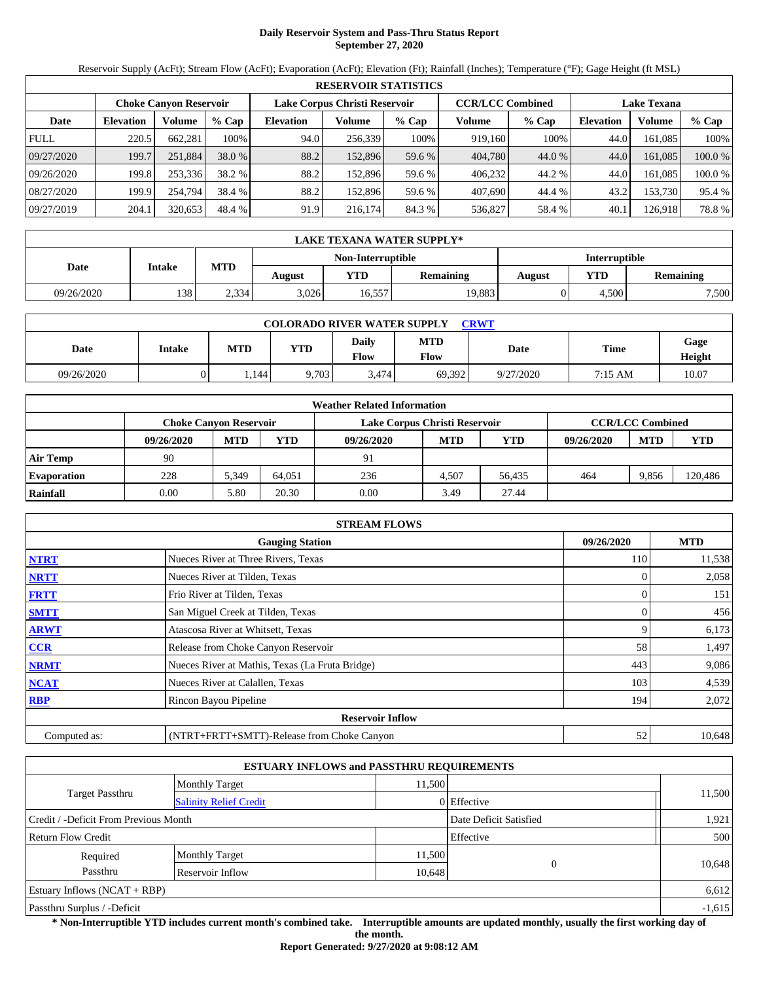# **Daily Reservoir System and Pass-Thru Status Report September 27, 2020**

Reservoir Supply (AcFt); Stream Flow (AcFt); Evaporation (AcFt); Elevation (Ft); Rainfall (Inches); Temperature (°F); Gage Height (ft MSL)

|             | <b>RESERVOIR STATISTICS</b>   |         |         |                               |         |         |                         |         |                    |         |         |  |
|-------------|-------------------------------|---------|---------|-------------------------------|---------|---------|-------------------------|---------|--------------------|---------|---------|--|
|             | <b>Choke Canvon Reservoir</b> |         |         | Lake Corpus Christi Reservoir |         |         | <b>CCR/LCC Combined</b> |         | <b>Lake Texana</b> |         |         |  |
| Date        | <b>Elevation</b>              | Volume  | $%$ Cap | <b>Elevation</b>              | Volume  | $%$ Cap | Volume                  | $%$ Cap | <b>Elevation</b>   | Volume  | % Cap   |  |
| <b>FULL</b> | 220.5                         | 662.281 | 100%    | 94.0                          | 256,339 | 100%    | 919.160                 | 100%    | 44.0               | 161.085 | 100%    |  |
| 09/27/2020  | 199.7                         | 251,884 | 38.0 %  | 88.2                          | 152.896 | 59.6 %  | 404,780                 | 44.0 %  | 44.0               | 161.085 | 100.0 % |  |
| 09/26/2020  | 199.8                         | 253.336 | 38.2 %  | 88.2                          | 152.896 | 59.6 %  | 406.232                 | 44.2 %  | 44.0               | 161.085 | 100.0 % |  |
| 08/27/2020  | 199.9                         | 254.794 | 38.4 %  | 88.2                          | 152.896 | 59.6 %  | 407.690                 | 44.4 %  | 43.2               | 153.730 | 95.4 %  |  |
| 09/27/2019  | 204.1                         | 320,653 | 48.4 %  | 91.9                          | 216,174 | 84.3 %  | 536,827                 | 58.4 %  | 40.1               | 126,918 | 78.8%   |  |

|            | LAKE TEXANA WATER SUPPLY* |            |        |                   |                  |                      |       |           |  |  |  |
|------------|---------------------------|------------|--------|-------------------|------------------|----------------------|-------|-----------|--|--|--|
|            |                           |            |        | Non-Interruptible |                  | <b>Interruptible</b> |       |           |  |  |  |
| Date       | <b>Intake</b>             | <b>MTD</b> | August | YTD               | <b>Remaining</b> | August               | YTD   | Remaining |  |  |  |
| 09/26/2020 | 138                       | 2.334      | 3.026  | 16.557            | 19,883           |                      | 4.500 | 7,500     |  |  |  |

| <b>COLORADO RIVER WATER SUPPLY</b><br><b>CRWT</b> |        |       |            |                      |             |             |         |                |  |  |  |
|---------------------------------------------------|--------|-------|------------|----------------------|-------------|-------------|---------|----------------|--|--|--|
| Date                                              | Intake | MTD   | <b>YTD</b> | <b>Daily</b><br>Flow | MTD<br>Flow | <b>Date</b> | Time    | Gage<br>Height |  |  |  |
| 09/26/2020                                        |        | 1.144 | 9,703      | 3.474                | 69,392      | 9/27/2020   | 7:15 AM | 10.07          |  |  |  |

|                    | <b>Weather Related Information</b> |                               |        |                               |                         |            |            |            |            |  |  |
|--------------------|------------------------------------|-------------------------------|--------|-------------------------------|-------------------------|------------|------------|------------|------------|--|--|
|                    |                                    | <b>Choke Canvon Reservoir</b> |        | Lake Corpus Christi Reservoir | <b>CCR/LCC Combined</b> |            |            |            |            |  |  |
|                    | 09/26/2020                         | <b>MTD</b>                    | YTD    | 09/26/2020                    | <b>MTD</b>              | <b>YTD</b> | 09/26/2020 | <b>MTD</b> | <b>YTD</b> |  |  |
| <b>Air Temp</b>    | 90                                 |                               |        | 91                            |                         |            |            |            |            |  |  |
| <b>Evaporation</b> | 228                                | 5,349                         | 64.051 | 236                           | 4.507                   | 56.435     | 464        | 9,856      | 120,486    |  |  |
| Rainfall           | 0.00                               | 5.80                          | 20.30  | 0.00                          | 3.49                    | 27.44      |            |            |            |  |  |

|                                                    | <b>STREAM FLOWS</b>                             |     |        |  |  |  |  |  |
|----------------------------------------------------|-------------------------------------------------|-----|--------|--|--|--|--|--|
| 09/26/2020<br><b>MTD</b><br><b>Gauging Station</b> |                                                 |     |        |  |  |  |  |  |
| <b>NTRT</b>                                        | Nueces River at Three Rivers, Texas             | 110 | 11,538 |  |  |  |  |  |
| <b>NRTT</b>                                        | Nueces River at Tilden, Texas                   |     | 2,058  |  |  |  |  |  |
| <b>FRTT</b>                                        | Frio River at Tilden, Texas                     |     | 151    |  |  |  |  |  |
| <b>SMTT</b>                                        | San Miguel Creek at Tilden, Texas               | 0   | 456    |  |  |  |  |  |
| <b>ARWT</b>                                        | Atascosa River at Whitsett, Texas               |     | 6,173  |  |  |  |  |  |
| <b>CCR</b>                                         | Release from Choke Canyon Reservoir             | 58  | 1,497  |  |  |  |  |  |
| <b>NRMT</b>                                        | Nueces River at Mathis, Texas (La Fruta Bridge) | 443 | 9,086  |  |  |  |  |  |
| <b>NCAT</b>                                        | Nueces River at Calallen, Texas                 | 103 | 4,539  |  |  |  |  |  |
| <b>RBP</b>                                         | Rincon Bayou Pipeline                           | 194 | 2,072  |  |  |  |  |  |
|                                                    | <b>Reservoir Inflow</b>                         |     |        |  |  |  |  |  |
| Computed as:                                       | (NTRT+FRTT+SMTT)-Release from Choke Canyon      | 52  | 10,648 |  |  |  |  |  |

|                                       |                               | <b>ESTUARY INFLOWS and PASSTHRU REQUIREMENTS</b> |                        |          |
|---------------------------------------|-------------------------------|--------------------------------------------------|------------------------|----------|
|                                       | <b>Monthly Target</b>         | 11.500                                           |                        |          |
| <b>Target Passthru</b>                | <b>Salinity Relief Credit</b> |                                                  | 0 Effective            | 11,500   |
| Credit / -Deficit From Previous Month |                               |                                                  | Date Deficit Satisfied | 1,921    |
| <b>Return Flow Credit</b>             |                               |                                                  | Effective              | 500      |
| Required                              | <b>Monthly Target</b>         | 11,500                                           |                        |          |
| Passthru                              | Reservoir Inflow              | 10,648                                           | $\Omega$               | 10,648   |
| Estuary Inflows $(NCAT + RBP)$        |                               |                                                  |                        | 6,612    |
| Passthru Surplus / -Deficit           |                               |                                                  |                        | $-1,615$ |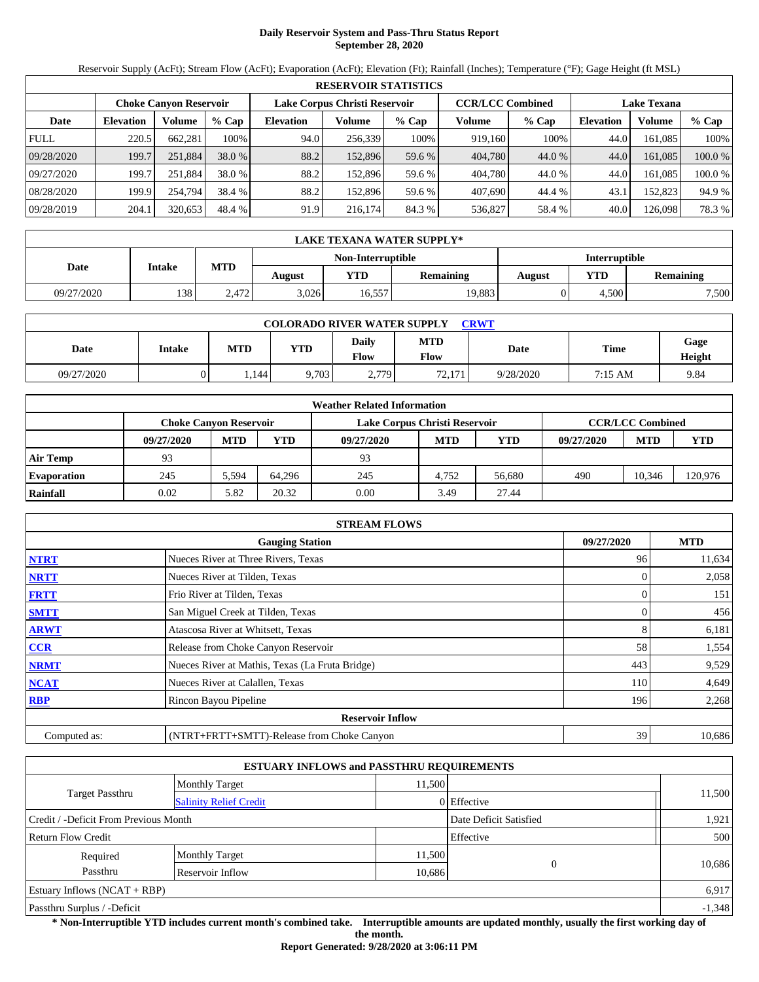# **Daily Reservoir System and Pass-Thru Status Report September 28, 2020**

Reservoir Supply (AcFt); Stream Flow (AcFt); Evaporation (AcFt); Elevation (Ft); Rainfall (Inches); Temperature (°F); Gage Height (ft MSL)

|             | <b>RESERVOIR STATISTICS</b>   |         |         |                               |         |         |                         |         |                    |         |         |  |
|-------------|-------------------------------|---------|---------|-------------------------------|---------|---------|-------------------------|---------|--------------------|---------|---------|--|
|             | <b>Choke Canvon Reservoir</b> |         |         | Lake Corpus Christi Reservoir |         |         | <b>CCR/LCC Combined</b> |         | <b>Lake Texana</b> |         |         |  |
| Date        | <b>Elevation</b>              | Volume  | $%$ Cap | <b>Elevation</b>              | Volume  | $%$ Cap | Volume                  | $%$ Cap | <b>Elevation</b>   | Volume  | % Cap   |  |
| <b>FULL</b> | 220.5                         | 662.281 | 100%    | 94.0                          | 256,339 | 100%    | 919,160                 | 100%    | 44.0               | 161.085 | 100%    |  |
| 09/28/2020  | 199.7                         | 251,884 | 38.0 %  | 88.2                          | 152.896 | 59.6 %  | 404,780                 | 44.0 %  | 44.0               | 161.085 | 100.0 % |  |
| 09/27/2020  | 199.7                         | 251.884 | 38.0 %  | 88.2                          | 152.896 | 59.6 %  | 404,780                 | 44.0 %  | 44.0               | 161.085 | 100.0 % |  |
| 08/28/2020  | 199.9                         | 254.794 | 38.4 %  | 88.2                          | 152.896 | 59.6 %  | 407.690                 | 44.4 %  | 43.1               | 152.823 | 94.9 %  |  |
| 09/28/2019  | 204.1                         | 320,653 | 48.4 %  | 91.9                          | 216,174 | 84.3 %  | 536,827                 | 58.4 %  | 40.0               | 126,098 | 78.3 %  |  |

|            | LAKE TEXANA WATER SUPPLY* |            |        |                   |                  |               |       |                  |  |  |  |
|------------|---------------------------|------------|--------|-------------------|------------------|---------------|-------|------------------|--|--|--|
|            |                           |            |        | Non-Interruptible |                  | Interruptible |       |                  |  |  |  |
| Date       | <b>Intake</b>             | <b>MTD</b> | August | <b>YTD</b>        | <b>Remaining</b> | August        | YTD   | <b>Remaining</b> |  |  |  |
| 09/27/2020 | 138'                      | 2.472      | 3,026  | 16,557            | 19,883           |               | 4.500 | 7,500            |  |  |  |

| <b>COLORADO RIVER WATER SUPPLY</b><br>CRWT |        |            |            |                      |                    |           |         |                |  |  |  |
|--------------------------------------------|--------|------------|------------|----------------------|--------------------|-----------|---------|----------------|--|--|--|
| Date                                       | Intake | <b>MTD</b> | <b>YTD</b> | <b>Daily</b><br>Flow | <b>MTD</b><br>Flow | Date      | Time    | Gage<br>Height |  |  |  |
| 09/27/2020                                 |        | . 144      | 9,703      | 2,779                | 72.171<br>$\sim$   | 9/28/2020 | 7:15 AM | 9.84           |  |  |  |

| <b>Weather Related Information</b> |                               |            |        |                               |                         |            |            |            |            |  |  |
|------------------------------------|-------------------------------|------------|--------|-------------------------------|-------------------------|------------|------------|------------|------------|--|--|
|                                    | <b>Choke Canyon Reservoir</b> |            |        | Lake Corpus Christi Reservoir | <b>CCR/LCC Combined</b> |            |            |            |            |  |  |
|                                    | 09/27/2020                    | <b>MTD</b> | YTD    | 09/27/2020                    | <b>MTD</b>              | <b>YTD</b> | 09/27/2020 | <b>MTD</b> | <b>YTD</b> |  |  |
| <b>Air Temp</b>                    | 93                            |            |        | 93                            |                         |            |            |            |            |  |  |
| <b>Evaporation</b>                 | 245                           | 5.594      | 64.296 | 245                           | 4.752                   | 56,680     | 490        | 10.346     | 120,976    |  |  |
| Rainfall                           | 0.02                          | 5.82       | 20.32  | 0.00                          | 3.49                    | 27.44      |            |            |            |  |  |

|              | <b>STREAM FLOWS</b>                             |            |        |
|--------------|-------------------------------------------------|------------|--------|
|              | 09/27/2020                                      | <b>MTD</b> |        |
| <b>NTRT</b>  | Nueces River at Three Rivers, Texas             | 96         | 11,634 |
| <b>NRTT</b>  | Nueces River at Tilden, Texas                   |            | 2,058  |
| <b>FRTT</b>  | Frio River at Tilden, Texas                     | 0          | 151    |
| <b>SMTT</b>  | San Miguel Creek at Tilden, Texas               | 0          | 456    |
| <b>ARWT</b>  | Atascosa River at Whitsett, Texas               | 8          | 6,181  |
| <b>CCR</b>   | Release from Choke Canyon Reservoir             | 58         | 1,554  |
| <b>NRMT</b>  | Nueces River at Mathis, Texas (La Fruta Bridge) | 443        | 9,529  |
| <b>NCAT</b>  | Nueces River at Calallen, Texas                 | 110        | 4,649  |
| <b>RBP</b>   | Rincon Bayou Pipeline                           | 196        | 2,268  |
|              | <b>Reservoir Inflow</b>                         |            |        |
| Computed as: | (NTRT+FRTT+SMTT)-Release from Choke Canyon      | 39         | 10,686 |

|                                       |                               | <b>ESTUARY INFLOWS and PASSTHRU REQUIREMENTS</b> |                        |          |
|---------------------------------------|-------------------------------|--------------------------------------------------|------------------------|----------|
|                                       | <b>Monthly Target</b>         | 11.500                                           |                        |          |
| <b>Target Passthru</b>                | <b>Salinity Relief Credit</b> |                                                  | 0 Effective            | 11,500   |
| Credit / -Deficit From Previous Month |                               |                                                  | Date Deficit Satisfied | 1,921    |
| <b>Return Flow Credit</b>             |                               |                                                  | Effective              | 500      |
| Required                              | <b>Monthly Target</b>         | 11,500                                           |                        |          |
| Passthru                              | Reservoir Inflow              | 10,686                                           | $\Omega$               | 10,686   |
| Estuary Inflows $(NCAT + RBP)$        |                               |                                                  |                        | 6,917    |
| Passthru Surplus / -Deficit           |                               |                                                  |                        | $-1,348$ |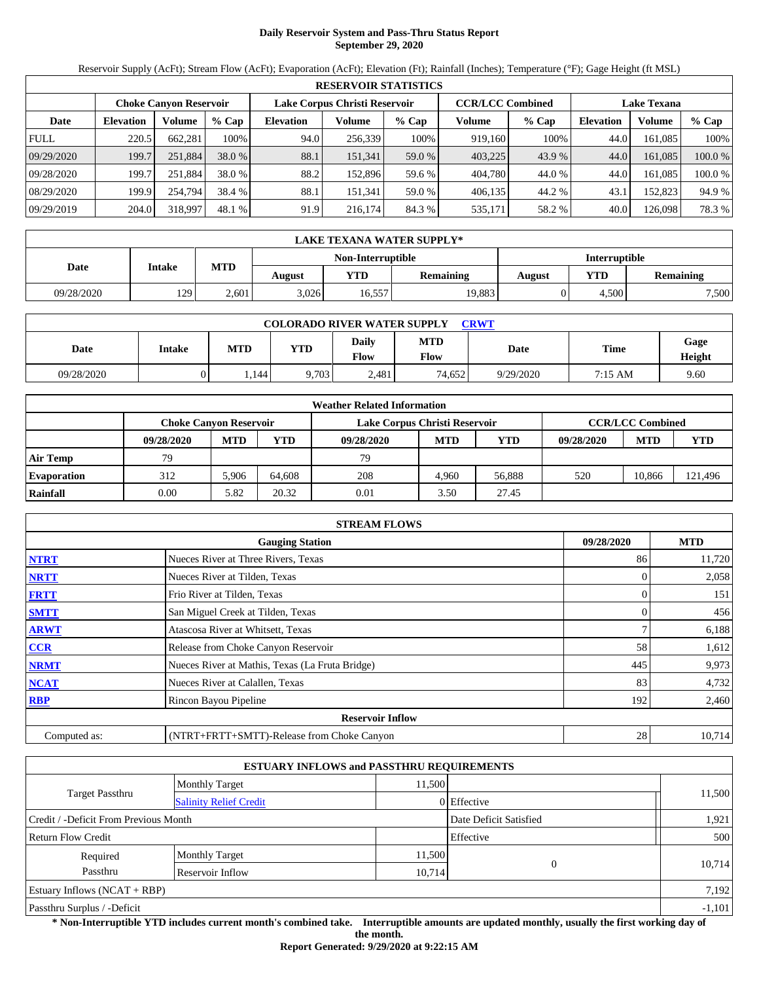# **Daily Reservoir System and Pass-Thru Status Report September 29, 2020**

Reservoir Supply (AcFt); Stream Flow (AcFt); Evaporation (AcFt); Elevation (Ft); Rainfall (Inches); Temperature (°F); Gage Height (ft MSL)

|             | <b>RESERVOIR STATISTICS</b>   |         |         |                               |         |         |                         |         |                    |         |         |  |
|-------------|-------------------------------|---------|---------|-------------------------------|---------|---------|-------------------------|---------|--------------------|---------|---------|--|
|             | <b>Choke Canvon Reservoir</b> |         |         | Lake Corpus Christi Reservoir |         |         | <b>CCR/LCC Combined</b> |         | <b>Lake Texana</b> |         |         |  |
| Date        | <b>Elevation</b>              | Volume  | $%$ Cap | <b>Elevation</b>              | Volume  | $%$ Cap | Volume                  | $%$ Cap | <b>Elevation</b>   | Volume  | % Cap   |  |
| <b>FULL</b> | 220.5                         | 662.281 | 100%    | 94.0                          | 256,339 | 100%    | 919.160                 | 100%    | 44.0               | 161.085 | 100%    |  |
| 09/29/2020  | 199.7                         | 251,884 | 38.0 %  | 88.1                          | 151,341 | 59.0 %  | 403,225                 | 43.9 %  | 44.0               | 161.085 | 100.0 % |  |
| 09/28/2020  | 199.7                         | 251.884 | 38.0 %  | 88.2                          | 152.896 | 59.6 %  | 404,780                 | 44.0 %  | 44.0               | 161.085 | 100.0 % |  |
| 08/29/2020  | 199.9                         | 254.794 | 38.4 %  | 88.1                          | 151,341 | 59.0 %  | 406.135                 | 44.2 %  | 43.1               | 152.823 | 94.9 %  |  |
| 09/29/2019  | 204.0                         | 318,997 | 48.1 %  | 91.9                          | 216,174 | 84.3 %  | 535,171                 | 58.2 %  | 40.0               | 126,098 | 78.3 %  |  |

|            | LAKE TEXANA WATER SUPPLY* |            |        |                   |                  |               |       |                  |  |  |  |
|------------|---------------------------|------------|--------|-------------------|------------------|---------------|-------|------------------|--|--|--|
|            |                           |            |        | Non-Interruptible |                  | Interruptible |       |                  |  |  |  |
| Date       | <b>Intake</b>             | <b>MTD</b> | August | <b>YTD</b>        | <b>Remaining</b> | August        | YTD   | <b>Remaining</b> |  |  |  |
| 09/28/2020 | 129                       | 2.601      | 3,026  | 16,557            | 19,883           |               | 4.500 | 7,500            |  |  |  |

| <b>COLORADO RIVER WATER SUPPLY</b><br><b>CRWT</b> |        |       |            |                      |             |             |         |                |  |  |  |
|---------------------------------------------------|--------|-------|------------|----------------------|-------------|-------------|---------|----------------|--|--|--|
| Date                                              | Intake | MTD   | <b>YTD</b> | <b>Daily</b><br>Flow | MTD<br>Flow | <b>Date</b> | Time    | Gage<br>Height |  |  |  |
| 09/28/2020                                        |        | 1.144 | 9,703      | 2.481                | 74.652      | 9/29/2020   | 7:15 AM | 9.60           |  |  |  |

|                    | <b>Weather Related Information</b> |            |        |                               |                         |            |            |            |            |  |  |
|--------------------|------------------------------------|------------|--------|-------------------------------|-------------------------|------------|------------|------------|------------|--|--|
|                    | <b>Choke Canvon Reservoir</b>      |            |        | Lake Corpus Christi Reservoir | <b>CCR/LCC Combined</b> |            |            |            |            |  |  |
|                    | 09/28/2020                         | <b>MTD</b> | YTD    | 09/28/2020                    | <b>MTD</b>              | <b>YTD</b> | 09/28/2020 | <b>MTD</b> | <b>YTD</b> |  |  |
| <b>Air Temp</b>    | 79                                 |            |        | 79                            |                         |            |            |            |            |  |  |
| <b>Evaporation</b> | 312                                | 5.906      | 64.608 | 208                           | 4.960                   | 56.888     | 520        | 10.866     | 121,496    |  |  |
| Rainfall           | 0.00                               | 5.82       | 20.32  | 0.01                          | 3.50                    | 27.45      |            |            |            |  |  |

|              | <b>STREAM FLOWS</b>                             |            |            |  |  |  |  |  |  |  |
|--------------|-------------------------------------------------|------------|------------|--|--|--|--|--|--|--|
|              | <b>Gauging Station</b>                          | 09/28/2020 | <b>MTD</b> |  |  |  |  |  |  |  |
| <b>NTRT</b>  | Nueces River at Three Rivers, Texas             | 86         | 11,720     |  |  |  |  |  |  |  |
| <b>NRTT</b>  | Nueces River at Tilden, Texas                   |            | 2,058      |  |  |  |  |  |  |  |
| <b>FRTT</b>  | Frio River at Tilden, Texas                     | 0          | 151        |  |  |  |  |  |  |  |
| <b>SMTT</b>  | San Miguel Creek at Tilden, Texas               |            | 456        |  |  |  |  |  |  |  |
| <b>ARWT</b>  | Atascosa River at Whitsett, Texas               |            | 6,188      |  |  |  |  |  |  |  |
| <b>CCR</b>   | Release from Choke Canyon Reservoir             | 58         | 1,612      |  |  |  |  |  |  |  |
| <b>NRMT</b>  | Nueces River at Mathis, Texas (La Fruta Bridge) | 445        | 9,973      |  |  |  |  |  |  |  |
| <b>NCAT</b>  | Nueces River at Calallen, Texas                 | 83         | 4,732      |  |  |  |  |  |  |  |
| <b>RBP</b>   | Rincon Bayou Pipeline                           | 192        | 2,460      |  |  |  |  |  |  |  |
|              | <b>Reservoir Inflow</b>                         |            |            |  |  |  |  |  |  |  |
| Computed as: | (NTRT+FRTT+SMTT)-Release from Choke Canyon      | 28         | 10,714     |  |  |  |  |  |  |  |

|                                       |                               | <b>ESTUARY INFLOWS and PASSTHRU REQUIREMENTS</b> |                        |          |
|---------------------------------------|-------------------------------|--------------------------------------------------|------------------------|----------|
|                                       | <b>Monthly Target</b>         | 11.500                                           |                        |          |
| <b>Target Passthru</b>                | <b>Salinity Relief Credit</b> |                                                  | 0 Effective            | 11,500   |
| Credit / -Deficit From Previous Month |                               |                                                  | Date Deficit Satisfied | 1,921    |
| <b>Return Flow Credit</b>             |                               |                                                  | Effective              | 500      |
| Required                              | <b>Monthly Target</b>         | 11,500                                           |                        |          |
| Passthru                              | Reservoir Inflow              | 10,714                                           | $\Omega$               | 10,714   |
| Estuary Inflows $(NCAT + RBP)$        |                               |                                                  |                        | 7,192    |
| Passthru Surplus / -Deficit           |                               |                                                  |                        | $-1,101$ |